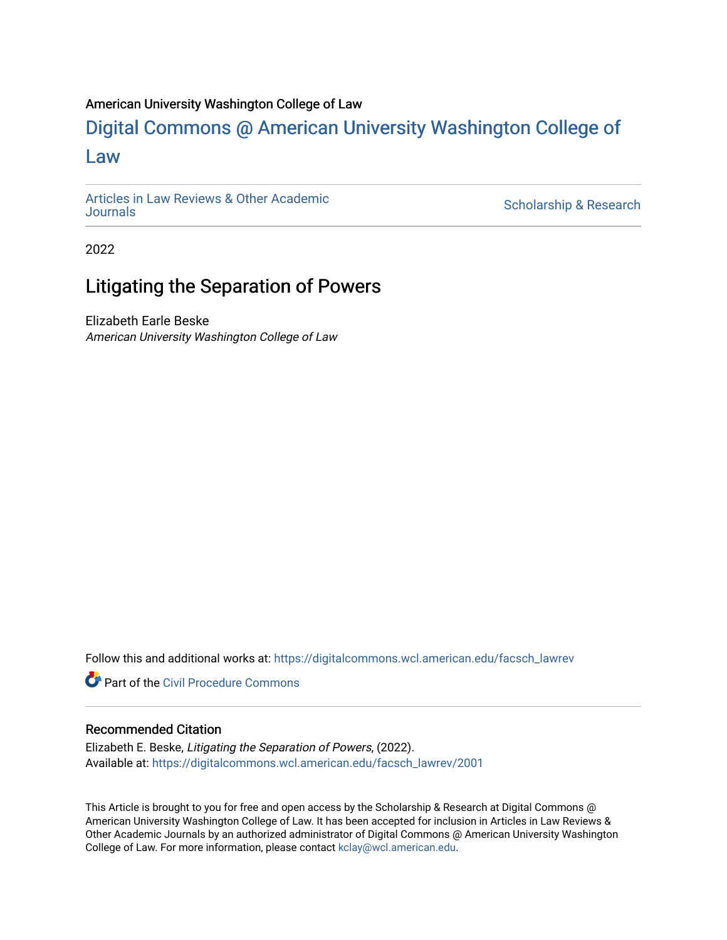## American University Washington College of Law

# [Digital Commons @ American University Washington College of](https://digitalcommons.wcl.american.edu/)  [Law](https://digitalcommons.wcl.american.edu/)

[Articles in Law Reviews & Other Academic](https://digitalcommons.wcl.american.edu/facsch_lawrev) 

Scholarship & Research

2022

## Litigating the Separation of Powers

Elizabeth Earle Beske American University Washington College of Law

Follow this and additional works at: [https://digitalcommons.wcl.american.edu/facsch\\_lawrev](https://digitalcommons.wcl.american.edu/facsch_lawrev?utm_source=digitalcommons.wcl.american.edu%2Ffacsch_lawrev%2F2001&utm_medium=PDF&utm_campaign=PDFCoverPages) 

**Part of the Civil Procedure Commons** 

## Recommended Citation

Elizabeth E. Beske, Litigating the Separation of Powers, (2022). Available at: [https://digitalcommons.wcl.american.edu/facsch\\_lawrev/2001](https://digitalcommons.wcl.american.edu/facsch_lawrev/2001?utm_source=digitalcommons.wcl.american.edu%2Ffacsch_lawrev%2F2001&utm_medium=PDF&utm_campaign=PDFCoverPages) 

This Article is brought to you for free and open access by the Scholarship & Research at Digital Commons @ American University Washington College of Law. It has been accepted for inclusion in Articles in Law Reviews & Other Academic Journals by an authorized administrator of Digital Commons @ American University Washington College of Law. For more information, please contact [kclay@wcl.american.edu](mailto:kclay@wcl.american.edu).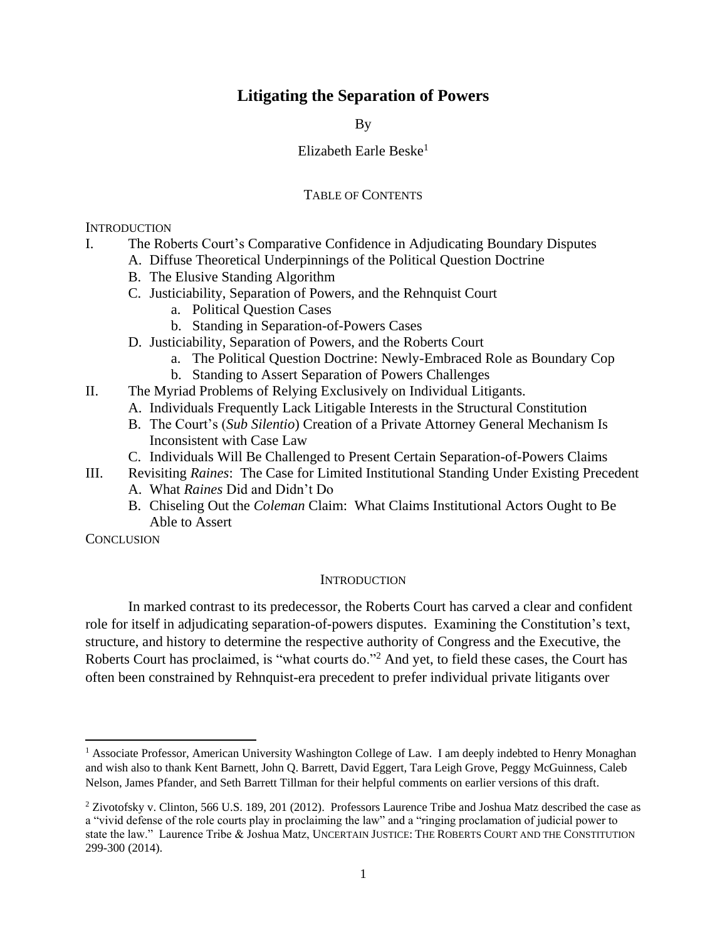## **Litigating the Separation of Powers**

By

## Elizabeth Earle Beske $1$

## TABLE OF CONTENTS

**INTRODUCTION** 

- I. The Roberts Court's Comparative Confidence in Adjudicating Boundary Disputes
	- A. Diffuse Theoretical Underpinnings of the Political Question Doctrine
	- B. The Elusive Standing Algorithm
	- C. Justiciability, Separation of Powers, and the Rehnquist Court
		- a. Political Question Cases
		- b. Standing in Separation-of-Powers Cases
	- D. Justiciability, Separation of Powers, and the Roberts Court
		- a. The Political Question Doctrine: Newly-Embraced Role as Boundary Cop
		- b. Standing to Assert Separation of Powers Challenges
- II. The Myriad Problems of Relying Exclusively on Individual Litigants.
	- A. Individuals Frequently Lack Litigable Interests in the Structural Constitution
	- B. The Court's (*Sub Silentio*) Creation of a Private Attorney General Mechanism Is Inconsistent with Case Law
	- C. Individuals Will Be Challenged to Present Certain Separation-of-Powers Claims
- III. Revisiting *Raines*: The Case for Limited Institutional Standing Under Existing Precedent
	- A. What *Raines* Did and Didn't Do
	- B. Chiseling Out the *Coleman* Claim: What Claims Institutional Actors Ought to Be Able to Assert

**CONCLUSION** 

 $\overline{\phantom{a}}$ 

#### **INTRODUCTION**

In marked contrast to its predecessor, the Roberts Court has carved a clear and confident role for itself in adjudicating separation-of-powers disputes. Examining the Constitution's text, structure, and history to determine the respective authority of Congress and the Executive, the Roberts Court has proclaimed, is "what courts do."<sup>2</sup> And yet, to field these cases, the Court has often been constrained by Rehnquist-era precedent to prefer individual private litigants over

<sup>&</sup>lt;sup>1</sup> Associate Professor, American University Washington College of Law. I am deeply indebted to Henry Monaghan and wish also to thank Kent Barnett, John Q. Barrett, David Eggert, Tara Leigh Grove, Peggy McGuinness, Caleb Nelson, James Pfander, and Seth Barrett Tillman for their helpful comments on earlier versions of this draft.

<sup>2</sup> Zivotofsky v. Clinton, 566 U.S. 189, 201 (2012). Professors Laurence Tribe and Joshua Matz described the case as a "vivid defense of the role courts play in proclaiming the law" and a "ringing proclamation of judicial power to state the law." Laurence Tribe & Joshua Matz, UNCERTAIN JUSTICE: THE ROBERTS COURT AND THE CONSTITUTION 299-300 (2014).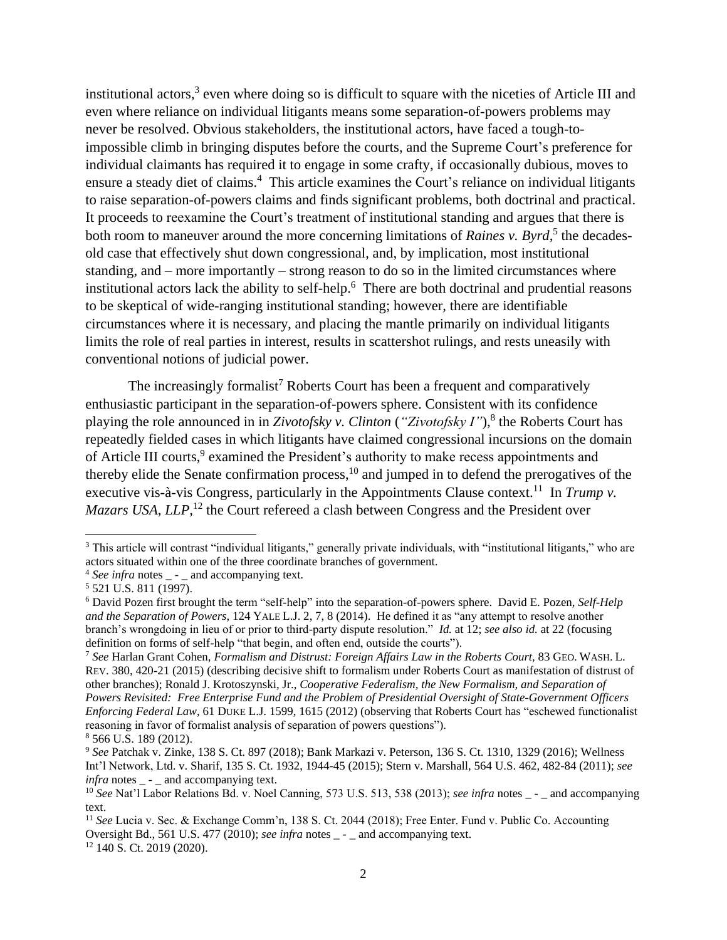institutional actors, $3$  even where doing so is difficult to square with the niceties of Article III and even where reliance on individual litigants means some separation-of-powers problems may never be resolved. Obvious stakeholders, the institutional actors, have faced a tough-toimpossible climb in bringing disputes before the courts, and the Supreme Court's preference for individual claimants has required it to engage in some crafty, if occasionally dubious, moves to ensure a steady diet of claims.<sup>4</sup> This article examines the Court's reliance on individual litigants to raise separation-of-powers claims and finds significant problems, both doctrinal and practical. It proceeds to reexamine the Court's treatment of institutional standing and argues that there is both room to maneuver around the more concerning limitations of *Raines v. Byrd*,<sup>5</sup> the decadesold case that effectively shut down congressional, and, by implication, most institutional standing, and – more importantly – strong reason to do so in the limited circumstances where institutional actors lack the ability to self-help. <sup>6</sup> There are both doctrinal and prudential reasons to be skeptical of wide-ranging institutional standing; however, there are identifiable circumstances where it is necessary, and placing the mantle primarily on individual litigants limits the role of real parties in interest, results in scattershot rulings, and rests uneasily with conventional notions of judicial power.

The increasingly formalist<sup>7</sup> Roberts Court has been a frequent and comparatively enthusiastic participant in the separation-of-powers sphere. Consistent with its confidence playing the role announced in in *Zivotofsky v. Clinton* (*"Zivotofsky I"*), 8 the Roberts Court has repeatedly fielded cases in which litigants have claimed congressional incursions on the domain of Article III courts,<sup>9</sup> examined the President's authority to make recess appointments and thereby elide the Senate confirmation process,<sup>10</sup> and jumped in to defend the prerogatives of the executive vis-à-vis Congress, particularly in the Appointments Clause context.<sup>11</sup> In *Trump v. Mazars USA, LLP*,<sup>12</sup> the Court refereed a clash between Congress and the President over

 $\overline{\phantom{a}}$ 

<sup>12</sup> 140 S. Ct. 2019 (2020).

<sup>&</sup>lt;sup>3</sup> This article will contrast "individual litigants," generally private individuals, with "institutional litigants," who are actors situated within one of the three coordinate branches of government.

 $4$  *See infra* notes  $\qquad$  -  $\qquad$  and accompanying text.

 $5$  521 U.S. 811 (1997).

<sup>6</sup> David Pozen first brought the term "self-help" into the separation-of-powers sphere. David E. Pozen, *Self-Help and the Separation of Powers*, 124 YALE L.J. 2, 7, 8 (2014). He defined it as "any attempt to resolve another branch's wrongdoing in lieu of or prior to third-party dispute resolution." *Id.* at 12; *see also id.* at 22 (focusing definition on forms of self-help "that begin, and often end, outside the courts").

<sup>7</sup> *See* Harlan Grant Cohen, *Formalism and Distrust: Foreign Affairs Law in the Roberts Court*, 83 GEO. WASH. L. REV. 380, 420-21 (2015) (describing decisive shift to formalism under Roberts Court as manifestation of distrust of other branches); Ronald J. Krotoszynski, Jr., *Cooperative Federalism, the New Formalism, and Separation of Powers Revisited: Free Enterprise Fund and the Problem of Presidential Oversight of State-Government Officers Enforcing Federal Law*, 61 DUKE L.J. 1599, 1615 (2012) (observing that Roberts Court has "eschewed functionalist reasoning in favor of formalist analysis of separation of powers questions"). <sup>8</sup> 566 U.S. 189 (2012).

<sup>9</sup> *See* Patchak v. Zinke, 138 S. Ct. 897 (2018); Bank Markazi v. Peterson, 136 S. Ct. 1310, 1329 (2016); Wellness Int'l Network, Ltd. v. Sharif, 135 S. Ct. 1932, 1944-45 (2015); Stern v. Marshall, 564 U.S. 462, 482-84 (2011); *see infra* notes - and accompanying text.

<sup>10</sup> *See* Nat'l Labor Relations Bd. v. Noel Canning, 573 U.S. 513, 538 (2013); *see infra* notes \_ - \_ and accompanying text.

<sup>11</sup> *See* Lucia v. Sec. & Exchange Comm'n, 138 S. Ct. 2044 (2018); Free Enter. Fund v. Public Co. Accounting Oversight Bd., 561 U.S. 477 (2010); *see infra* notes \_ - \_ and accompanying text.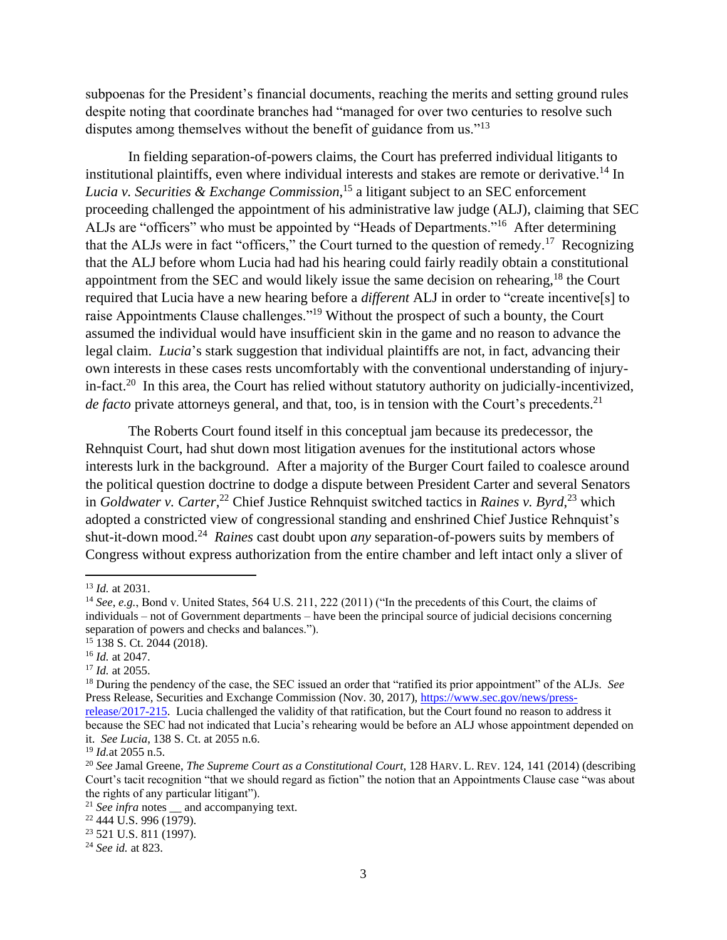subpoenas for the President's financial documents, reaching the merits and setting ground rules despite noting that coordinate branches had "managed for over two centuries to resolve such disputes among themselves without the benefit of guidance from us."<sup>13</sup>

In fielding separation-of-powers claims, the Court has preferred individual litigants to institutional plaintiffs, even where individual interests and stakes are remote or derivative.<sup>14</sup> In *Lucia v. Securities & Exchange Commission*, <sup>15</sup> a litigant subject to an SEC enforcement proceeding challenged the appointment of his administrative law judge (ALJ), claiming that SEC ALJs are "officers" who must be appointed by "Heads of Departments."<sup>16</sup> After determining that the ALJs were in fact "officers," the Court turned to the question of remedy.<sup>17</sup> Recognizing that the ALJ before whom Lucia had had his hearing could fairly readily obtain a constitutional appointment from the SEC and would likely issue the same decision on rehearing,<sup>18</sup> the Court required that Lucia have a new hearing before a *different* ALJ in order to "create incentive[s] to raise Appointments Clause challenges."<sup>19</sup> Without the prospect of such a bounty, the Court assumed the individual would have insufficient skin in the game and no reason to advance the legal claim. *Lucia*'s stark suggestion that individual plaintiffs are not, in fact, advancing their own interests in these cases rests uncomfortably with the conventional understanding of injuryin-fact.<sup>20</sup> In this area, the Court has relied without statutory authority on judicially-incentivized, de facto private attorneys general, and that, too, is in tension with the Court's precedents.<sup>21</sup>

The Roberts Court found itself in this conceptual jam because its predecessor, the Rehnquist Court, had shut down most litigation avenues for the institutional actors whose interests lurk in the background. After a majority of the Burger Court failed to coalesce around the political question doctrine to dodge a dispute between President Carter and several Senators in *Goldwater v. Carter*, <sup>22</sup> Chief Justice Rehnquist switched tactics in *Raines v. Byrd*, <sup>23</sup> which adopted a constricted view of congressional standing and enshrined Chief Justice Rehnquist's shut-it-down mood.<sup>24</sup> Raines cast doubt upon *any* separation-of-powers suits by members of Congress without express authorization from the entire chamber and left intact only a sliver of

<sup>13</sup> *Id.* at 2031.

<sup>14</sup> *See*, *e.g.*, Bond v. United States, 564 U.S. 211, 222 (2011) ("In the precedents of this Court, the claims of individuals – not of Government departments – have been the principal source of judicial decisions concerning separation of powers and checks and balances.").

<sup>15</sup> 138 S. Ct. 2044 (2018).

<sup>16</sup> *Id.* at 2047.

<sup>17</sup> *Id.* at 2055.

<sup>18</sup> During the pendency of the case, the SEC issued an order that "ratified its prior appointment" of the ALJs. *See* Press Release, Securities and Exchange Commission (Nov. 30, 2017), [https://www.sec.gov/news/press-](https://www.sec.gov/news/press-release/2017-215)

[release/2017-215.](https://www.sec.gov/news/press-release/2017-215) Lucia challenged the validity of that ratification, but the Court found no reason to address it because the SEC had not indicated that Lucia's rehearing would be before an ALJ whose appointment depended on it. *See Lucia*, 138 S. Ct. at 2055 n.6.

<sup>19</sup> *Id.*at 2055 n.5.

<sup>20</sup> *See* Jamal Greene, *The Supreme Court as a Constitutional Court*, 128 HARV. L. REV. 124, 141 (2014) (describing Court's tacit recognition "that we should regard as fiction" the notion that an Appointments Clause case "was about the rights of any particular litigant").

<sup>&</sup>lt;sup>21</sup> *See infra* notes \_ and accompanying text.

 $22\,444\,\text{U.S.}$  996 (1979).

<sup>23</sup> 521 U.S. 811 (1997).

<sup>24</sup> *See id.* at 823.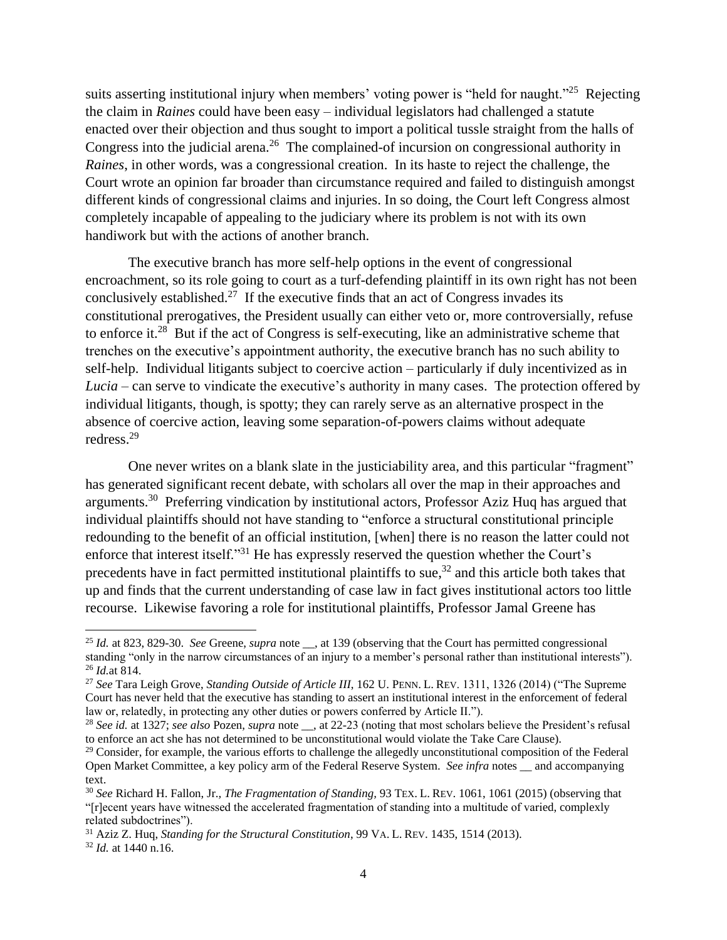suits asserting institutional injury when members' voting power is "held for naught."<sup>25</sup> Rejecting the claim in *Raines* could have been easy – individual legislators had challenged a statute enacted over their objection and thus sought to import a political tussle straight from the halls of Congress into the judicial arena.<sup>26</sup> The complained-of incursion on congressional authority in *Raines*, in other words, was a congressional creation. In its haste to reject the challenge, the Court wrote an opinion far broader than circumstance required and failed to distinguish amongst different kinds of congressional claims and injuries. In so doing, the Court left Congress almost completely incapable of appealing to the judiciary where its problem is not with its own handiwork but with the actions of another branch.

The executive branch has more self-help options in the event of congressional encroachment, so its role going to court as a turf-defending plaintiff in its own right has not been conclusively established.<sup>27</sup> If the executive finds that an act of Congress invades its constitutional prerogatives, the President usually can either veto or, more controversially, refuse to enforce it.<sup>28</sup> But if the act of Congress is self-executing, like an administrative scheme that trenches on the executive's appointment authority, the executive branch has no such ability to self-help. Individual litigants subject to coercive action – particularly if duly incentivized as in *Lucia* – can serve to vindicate the executive's authority in many cases. The protection offered by individual litigants, though, is spotty; they can rarely serve as an alternative prospect in the absence of coercive action, leaving some separation-of-powers claims without adequate redress. 29

One never writes on a blank slate in the justiciability area, and this particular "fragment" has generated significant recent debate, with scholars all over the map in their approaches and arguments.<sup>30</sup> Preferring vindication by institutional actors, Professor Aziz Huq has argued that individual plaintiffs should not have standing to "enforce a structural constitutional principle redounding to the benefit of an official institution, [when] there is no reason the latter could not enforce that interest itself."<sup>31</sup> He has expressly reserved the question whether the Court's precedents have in fact permitted institutional plaintiffs to sue, <sup>32</sup> and this article both takes that up and finds that the current understanding of case law in fact gives institutional actors too little recourse. Likewise favoring a role for institutional plaintiffs, Professor Jamal Greene has

 $\overline{a}$ 

<sup>25</sup> *Id.* at 823, 829-30. *See* Greene, *supra* note \_\_, at 139 (observing that the Court has permitted congressional standing "only in the narrow circumstances of an injury to a member's personal rather than institutional interests"). <sup>26</sup> *Id.*at 814.

<sup>27</sup> *See* Tara Leigh Grove, *Standing Outside of Article III*, 162 U. PENN. L. REV. 1311, 1326 (2014) ("The Supreme Court has never held that the executive has standing to assert an institutional interest in the enforcement of federal law or, relatedly, in protecting any other duties or powers conferred by Article II.").

<sup>&</sup>lt;sup>28</sup> See id. at 1327; see also Pozen, *supra* note \_\_, at 22-23 (noting that most scholars believe the President's refusal to enforce an act she has not determined to be unconstitutional would violate the Take Care Clause).

 $29$  Consider, for example, the various efforts to challenge the allegedly unconstitutional composition of the Federal Open Market Committee, a key policy arm of the Federal Reserve System. *See infra* notes \_\_ and accompanying text.

<sup>30</sup> *See* Richard H. Fallon, Jr.*, The Fragmentation of Standing,* 93 TEX. L. REV. 1061, 1061 (2015) (observing that "[r]ecent years have witnessed the accelerated fragmentation of standing into a multitude of varied, complexly related subdoctrines").

<sup>31</sup> Aziz Z. Huq, *Standing for the Structural Constitution*, 99 VA. L. REV. 1435, 1514 (2013).

<sup>32</sup> *Id.* at 1440 n.16.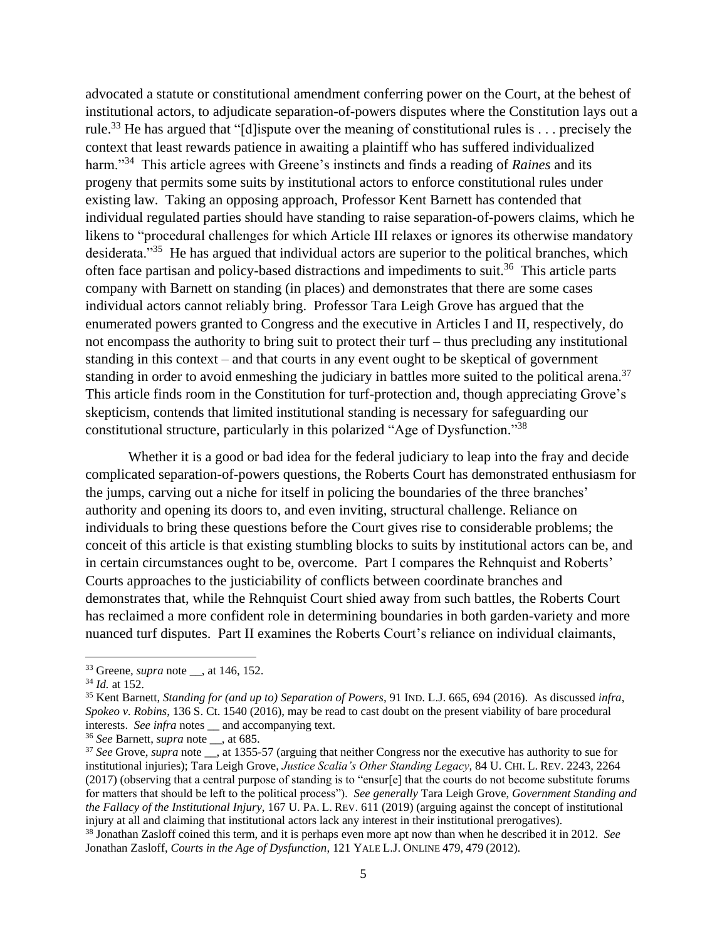advocated a statute or constitutional amendment conferring power on the Court, at the behest of institutional actors, to adjudicate separation-of-powers disputes where the Constitution lays out a rule.<sup>33</sup> He has argued that "[d]ispute over the meaning of constitutional rules is . . . precisely the context that least rewards patience in awaiting a plaintiff who has suffered individualized harm."<sup>34</sup> This article agrees with Greene's instincts and finds a reading of *Raines* and its progeny that permits some suits by institutional actors to enforce constitutional rules under existing law. Taking an opposing approach, Professor Kent Barnett has contended that individual regulated parties should have standing to raise separation-of-powers claims, which he likens to "procedural challenges for which Article III relaxes or ignores its otherwise mandatory desiderata."<sup>35</sup> He has argued that individual actors are superior to the political branches, which often face partisan and policy-based distractions and impediments to suit.<sup>36</sup> This article parts company with Barnett on standing (in places) and demonstrates that there are some cases individual actors cannot reliably bring. Professor Tara Leigh Grove has argued that the enumerated powers granted to Congress and the executive in Articles I and II, respectively, do not encompass the authority to bring suit to protect their turf – thus precluding any institutional standing in this context – and that courts in any event ought to be skeptical of government standing in order to avoid enmeshing the judiciary in battles more suited to the political arena.<sup>37</sup> This article finds room in the Constitution for turf-protection and, though appreciating Grove's skepticism, contends that limited institutional standing is necessary for safeguarding our constitutional structure, particularly in this polarized "Age of Dysfunction." 38

Whether it is a good or bad idea for the federal judiciary to leap into the fray and decide complicated separation-of-powers questions, the Roberts Court has demonstrated enthusiasm for the jumps, carving out a niche for itself in policing the boundaries of the three branches' authority and opening its doors to, and even inviting, structural challenge. Reliance on individuals to bring these questions before the Court gives rise to considerable problems; the conceit of this article is that existing stumbling blocks to suits by institutional actors can be, and in certain circumstances ought to be, overcome. Part I compares the Rehnquist and Roberts' Courts approaches to the justiciability of conflicts between coordinate branches and demonstrates that, while the Rehnquist Court shied away from such battles, the Roberts Court has reclaimed a more confident role in determining boundaries in both garden-variety and more nuanced turf disputes. Part II examines the Roberts Court's reliance on individual claimants,

<sup>33</sup> Greene*, supra* note \_\_, at 146, 152.

<sup>34</sup> *Id.* at 152.

<sup>35</sup> Kent Barnett, *Standing for (and up to) Separation of Powers*, 91 IND. L.J. 665, 694 (2016). As discussed *infra*, *Spokeo v. Robins*, 136 S. Ct. 1540 (2016), may be read to cast doubt on the present viability of bare procedural interests. *See infra* notes \_\_ and accompanying text.

<sup>36</sup> *See* Barnett, *supra* note \_\_, at 685.

<sup>&</sup>lt;sup>37</sup> See Grove, *supra* note \_\_, at 1355-57 (arguing that neither Congress nor the executive has authority to sue for institutional injuries); Tara Leigh Grove, *Justice Scalia's Other Standing Legacy*, 84 U. CHI. L. REV. 2243, 2264 (2017) (observing that a central purpose of standing is to "ensur[e] that the courts do not become substitute forums for matters that should be left to the political process"). *See generally* Tara Leigh Grove, *Government Standing and the Fallacy of the Institutional Injury*, 167 U. PA. L. REV. 611 (2019) (arguing against the concept of institutional injury at all and claiming that institutional actors lack any interest in their institutional prerogatives). <sup>38</sup> Jonathan Zasloff coined this term, and it is perhaps even more apt now than when he described it in 2012. *See*

Jonathan Zasloff, *Courts in the Age of Dysfunction*, 121 YALE L.J. ONLINE 479, 479 (2012).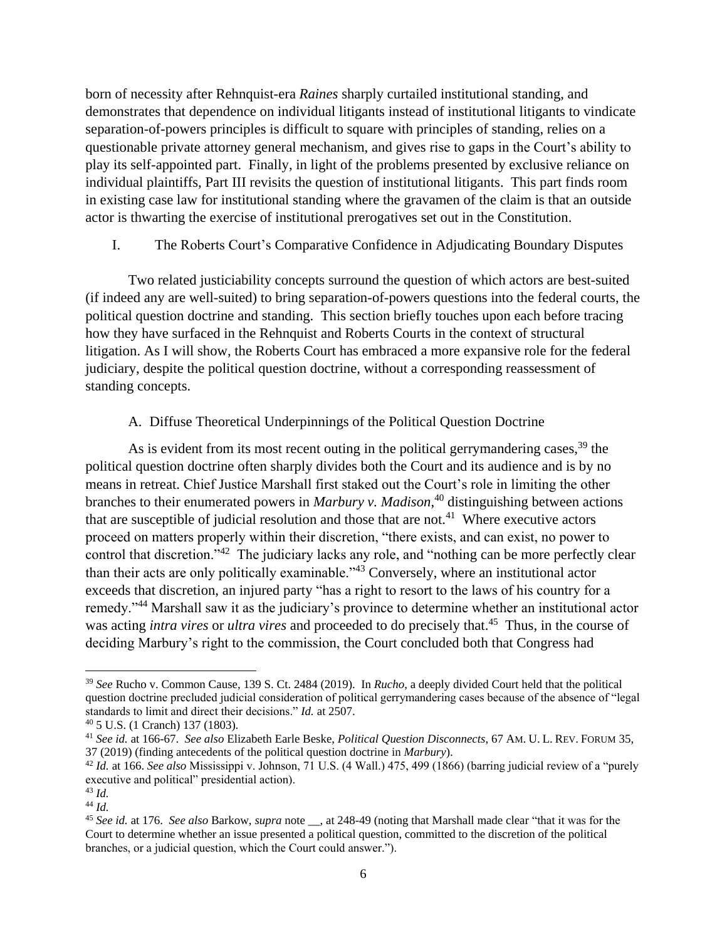born of necessity after Rehnquist-era *Raines* sharply curtailed institutional standing, and demonstrates that dependence on individual litigants instead of institutional litigants to vindicate separation-of-powers principles is difficult to square with principles of standing, relies on a questionable private attorney general mechanism, and gives rise to gaps in the Court's ability to play its self-appointed part. Finally, in light of the problems presented by exclusive reliance on individual plaintiffs, Part III revisits the question of institutional litigants. This part finds room in existing case law for institutional standing where the gravamen of the claim is that an outside actor is thwarting the exercise of institutional prerogatives set out in the Constitution.

I. The Roberts Court's Comparative Confidence in Adjudicating Boundary Disputes

Two related justiciability concepts surround the question of which actors are best-suited (if indeed any are well-suited) to bring separation-of-powers questions into the federal courts, the political question doctrine and standing. This section briefly touches upon each before tracing how they have surfaced in the Rehnquist and Roberts Courts in the context of structural litigation. As I will show, the Roberts Court has embraced a more expansive role for the federal judiciary, despite the political question doctrine, without a corresponding reassessment of standing concepts.

A. Diffuse Theoretical Underpinnings of the Political Question Doctrine

As is evident from its most recent outing in the political gerrymandering cases,<sup>39</sup> the political question doctrine often sharply divides both the Court and its audience and is by no means in retreat. Chief Justice Marshall first staked out the Court's role in limiting the other branches to their enumerated powers in *Marbury v. Madison*, <sup>40</sup> distinguishing between actions that are susceptible of judicial resolution and those that are not.<sup>41</sup> Where executive actors proceed on matters properly within their discretion, "there exists, and can exist, no power to control that discretion."<sup>42</sup> The judiciary lacks any role, and "nothing can be more perfectly clear than their acts are only politically examinable."<sup>43</sup> Conversely, where an institutional actor exceeds that discretion, an injured party "has a right to resort to the laws of his country for a remedy."<sup>44</sup> Marshall saw it as the judiciary's province to determine whether an institutional actor was acting *intra vires* or *ultra vires* and proceeded to do precisely that.<sup>45</sup> Thus, in the course of deciding Marbury's right to the commission, the Court concluded both that Congress had

 $\overline{a}$ 

<sup>39</sup> *See* Rucho v. Common Cause, 139 S. Ct. 2484 (2019). In *Rucho*, a deeply divided Court held that the political question doctrine precluded judicial consideration of political gerrymandering cases because of the absence of "legal standards to limit and direct their decisions." *Id.* at 2507.

<sup>40</sup> 5 U.S. (1 Cranch) 137 (1803).

<sup>41</sup> *See id.* at 166-67. *See also* Elizabeth Earle Beske, *Political Question Disconnects*, 67 AM. U. L. REV. FORUM 35, 37 (2019) (finding antecedents of the political question doctrine in *Marbury*).

<sup>42</sup> *Id.* at 166. *See also* Mississippi v. Johnson, 71 U.S. (4 Wall.) 475, 499 (1866) (barring judicial review of a "purely executive and political" presidential action).

<sup>43</sup> *Id.* <sup>44</sup> *Id.* 

<sup>45</sup> *See id.* at 176. *See also* Barkow, *supra* note \_\_, at 248-49 (noting that Marshall made clear "that it was for the Court to determine whether an issue presented a political question, committed to the discretion of the political branches, or a judicial question, which the Court could answer.").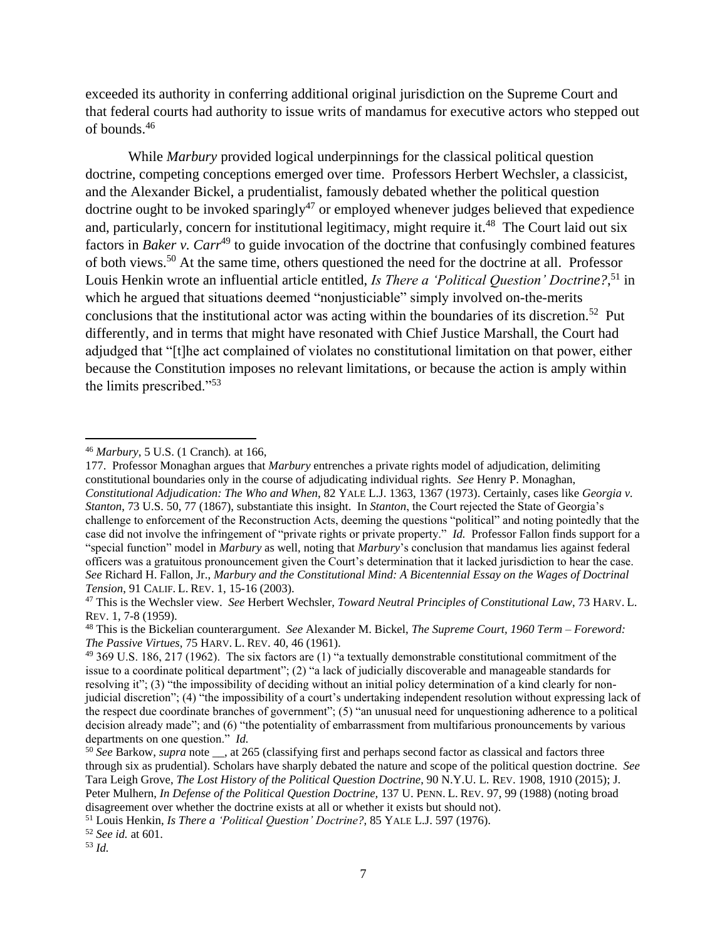exceeded its authority in conferring additional original jurisdiction on the Supreme Court and that federal courts had authority to issue writs of mandamus for executive actors who stepped out of bounds.<sup>46</sup>

While *Marbury* provided logical underpinnings for the classical political question doctrine, competing conceptions emerged over time. Professors Herbert Wechsler, a classicist, and the Alexander Bickel, a prudentialist, famously debated whether the political question doctrine ought to be invoked sparingly<sup>47</sup> or employed whenever judges believed that expedience and, particularly, concern for institutional legitimacy, might require it.<sup>48</sup> The Court laid out six factors in *Baker v. Carr*<sup>49</sup> to guide invocation of the doctrine that confusingly combined features of both views.<sup>50</sup> At the same time, others questioned the need for the doctrine at all. Professor Louis Henkin wrote an influential article entitled, *Is There a 'Political Question' Doctrine?*, <sup>51</sup> in which he argued that situations deemed "nonjusticiable" simply involved on-the-merits conclusions that the institutional actor was acting within the boundaries of its discretion.<sup>52</sup> Put differently, and in terms that might have resonated with Chief Justice Marshall, the Court had adjudged that "[t]he act complained of violates no constitutional limitation on that power, either because the Constitution imposes no relevant limitations, or because the action is amply within the limits prescribed."<sup>53</sup>

<sup>46</sup> *Marbury*, 5 U.S. (1 Cranch)*.* at 166,

<sup>177.</sup> Professor Monaghan argues that *Marbury* entrenches a private rights model of adjudication, delimiting constitutional boundaries only in the course of adjudicating individual rights. *See* Henry P. Monaghan, *Constitutional Adjudication: The Who and When*, 82 YALE L.J. 1363, 1367 (1973). Certainly, cases like *Georgia v. Stanton*, 73 U.S. 50, 77 (1867), substantiate this insight. In *Stanton*, the Court rejected the State of Georgia's challenge to enforcement of the Reconstruction Acts, deeming the questions "political" and noting pointedly that the case did not involve the infringement of "private rights or private property." *Id.* Professor Fallon finds support for a "special function" model in *Marbury* as well, noting that *Marbury*'s conclusion that mandamus lies against federal officers was a gratuitous pronouncement given the Court's determination that it lacked jurisdiction to hear the case. *See* Richard H. Fallon, Jr., *Marbury and the Constitutional Mind: A Bicentennial Essay on the Wages of Doctrinal Tension*, 91 CALIF. L. REV. 1, 15-16 (2003).

<sup>47</sup> This is the Wechsler view. *See* Herbert Wechsler*, Toward Neutral Principles of Constitutional Law*, 73 HARV. L. REV. 1, 7-8 (1959).

<sup>48</sup> This is the Bickelian counterargument. *See* Alexander M. Bickel, *The Supreme Court, 1960 Term – Foreword: The Passive Virtues*, 75 HARV. L. REV. 40, 46 (1961).

<sup>49</sup> 369 U.S. 186, 217 (1962). The six factors are (1) "a textually demonstrable constitutional commitment of the issue to a coordinate political department"; (2) "a lack of judicially discoverable and manageable standards for resolving it"; (3) "the impossibility of deciding without an initial policy determination of a kind clearly for nonjudicial discretion"; (4) "the impossibility of a court's undertaking independent resolution without expressing lack of the respect due coordinate branches of government"; (5) "an unusual need for unquestioning adherence to a political decision already made"; and (6) "the potentiality of embarrassment from multifarious pronouncements by various departments on one question." *Id.*

<sup>&</sup>lt;sup>50</sup> See Barkow, *supra* note \_\_, at 265 (classifying first and perhaps second factor as classical and factors three through six as prudential). Scholars have sharply debated the nature and scope of the political question doctrine. *See*  Tara Leigh Grove, *The Lost History of the Political Question Doctrine*, 90 N.Y.U. L. REV. 1908, 1910 (2015); J. Peter Mulhern, *In Defense of the Political Question [Doctrine,](https://1.next.westlaw.com/Link/Document/FullText?findType=Y&serNum=0102729906&pubNum=0001268&originatingDoc=If01c36b9fd3311e8a5b3e3d9e23d7429&refType=LR&fi=co_pp_sp_1268_99&originationContext=document&transitionType=DocumentItem&contextData=(sc.Default)#co_pp_sp_1268_99)* 137 U. PENN. L. REV. 97, 99 (1988) (noting broad disagreement over whether the doctrine exists at all or whether it exists but should not).

<sup>51</sup> Louis Henkin, *Is There a 'Political Question' Doctrine?*, 85 YALE L.J. 597 (1976).

<sup>52</sup> *See id.* at 601.

<sup>53</sup> *Id.*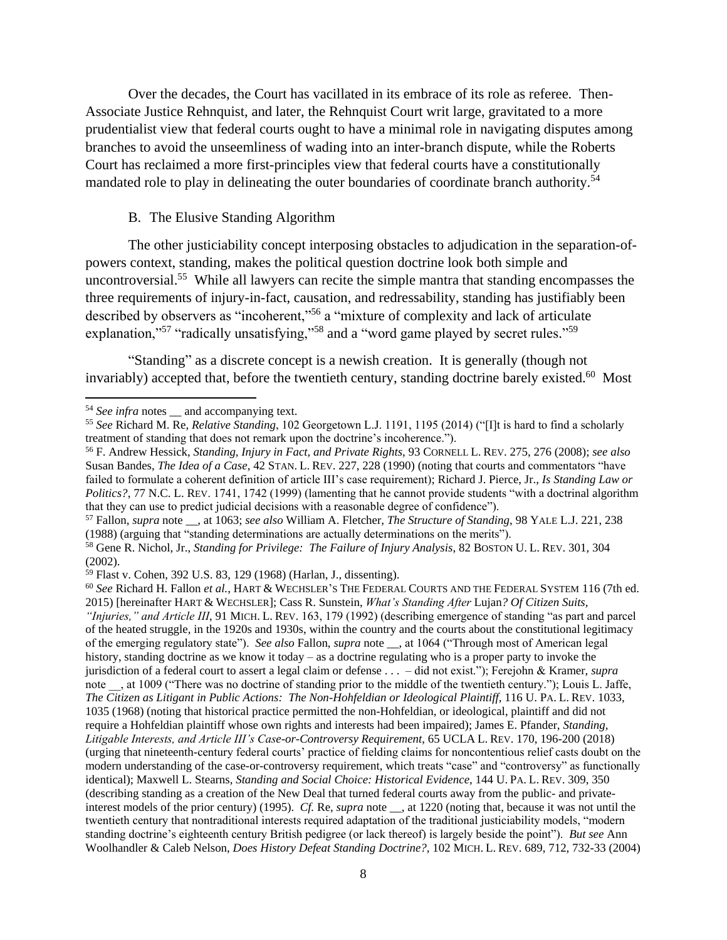Over the decades, the Court has vacillated in its embrace of its role as referee*.* Then-Associate Justice Rehnquist, and later, the Rehnquist Court writ large, gravitated to a more prudentialist view that federal courts ought to have a minimal role in navigating disputes among branches to avoid the unseemliness of wading into an inter-branch dispute, while the Roberts Court has reclaimed a more first-principles view that federal courts have a constitutionally mandated role to play in delineating the outer boundaries of coordinate branch authority.<sup>54</sup>

## B. The Elusive Standing Algorithm

The other justiciability concept interposing obstacles to adjudication in the separation-ofpowers context, standing, makes the political question doctrine look both simple and uncontroversial.<sup>55</sup> While all lawyers can recite the simple mantra that standing encompasses the three requirements of injury-in-fact, causation, and redressability, standing has justifiably been described by observers as "incoherent,"<sup>56</sup> a "mixture of complexity and lack of articulate explanation,"<sup>57</sup> "radically unsatisfying,"<sup>58</sup> and a "word game played by secret rules."<sup>59</sup>

"Standing" as a discrete concept is a newish creation. It is generally (though not invariably) accepted that, before the twentieth century, standing doctrine barely existed.<sup>60</sup> Most

 $\overline{\phantom{a}}$ 

<sup>57</sup> Fallon, *supra* note \_\_, at 1063; *see also* William A. Fletcher, *The Structure of Standing*, 98 YALE L.J. 221, 238 (1988) (arguing that "standing determinations are actually determinations on the merits").

<sup>60</sup> *See* Richard H. Fallon *et al.*, HART & WECHSLER'S THE FEDERAL COURTS AND THE FEDERAL SYSTEM 116 (7th ed. 2015) [hereinafter HART & WECHSLER]; Cass R. Sunstein, *What's Standing After* Lujan*? Of Citizen Suits,* 

<sup>&</sup>lt;sup>54</sup> *See infra* notes <u>ea</u> and accompanying text.

<sup>55</sup> *See* Richard M. Re, *Relative Standing*, 102 Georgetown L.J. 1191, 1195 (2014) ("[I]t is hard to find a scholarly treatment of standing that does not remark upon the doctrine's incoherence.").

<sup>56</sup> F. Andrew Hessick, *Standing, Injury in Fact, and Private Rights*, 93 CORNELL L. REV. 275, 276 (2008); *see also* Susan Bandes, *The Idea of a Case*, 42 STAN. L. REV. 227, 228 (1990) (noting that courts and commentators "have failed to formulate a coherent definition of article III's case requirement); Richard J. Pierce, Jr., *Is Standing Law or Politics?*, 77 N.C. L. REV. 1741, 1742 (1999) (lamenting that he cannot provide students "with a doctrinal algorithm that they can use to predict judicial decisions with a reasonable degree of confidence").

<sup>58</sup> Gene R. Nichol, Jr., *Standing for Privilege: The Failure of Injury Analysis*, 82 BOSTON U. L. REV. 301, 304 (2002).

<sup>59</sup> Flast v. Cohen, 392 U.S. 83, 129 (1968) (Harlan, J., dissenting).

*<sup>&</sup>quot;Injuries," and Article III*, 91 MICH. L. REV. 163, 179 (1992) (describing emergence of standing "as part and parcel of the heated struggle, in the 1920s and 1930s, within the country and the courts about the constitutional legitimacy of the emerging regulatory state"). *See also* Fallon, *supra* note \_\_, at 1064 ("Through most of American legal history, standing doctrine as we know it today – as a doctrine regulating who is a proper party to invoke the jurisdiction of a federal court to assert a legal claim or defense . . . – did not exist."); Ferejohn & Kramer, *supra* note \_\_, at 1009 ("There was no doctrine of standing prior to the middle of the twentieth century."); Louis L. Jaffe, *The Citizen as Litigant in Public Actions: The Non-Hohfeldian or Ideological Plaintiff*, 116 U. PA. L. REV. 1033, 1035 (1968) (noting that historical practice permitted the non-Hohfeldian, or ideological, plaintiff and did not require a Hohfeldian plaintiff whose own rights and interests had been impaired); James E. Pfander, *Standing, Litigable Interests, and Article III's Case-or-Controversy Requirement*, 65 UCLA L. REV. 170, 196-200 (2018) (urging that nineteenth-century federal courts' practice of fielding claims for noncontentious relief casts doubt on the modern understanding of the case-or-controversy requirement, which treats "case" and "controversy" as functionally identical); Maxwell L. Stearns, *Standing and Social Choice: Historical Evidence*, 144 U. PA. L. REV. 309, 350 (describing standing as a creation of the New Deal that turned federal courts away from the public- and privateinterest models of the prior century) (1995). *Cf.* Re, *supra* note \_\_, at 1220 (noting that, because it was not until the twentieth century that nontraditional interests required adaptation of the traditional justiciability models, "modern standing doctrine's eighteenth century British pedigree (or lack thereof) is largely beside the point"). *But see* Ann Woolhandler & Caleb Nelson, *Does History Defeat Standing Doctrine?*, 102 MICH. L. REV. 689, 712, 732-33 (2004)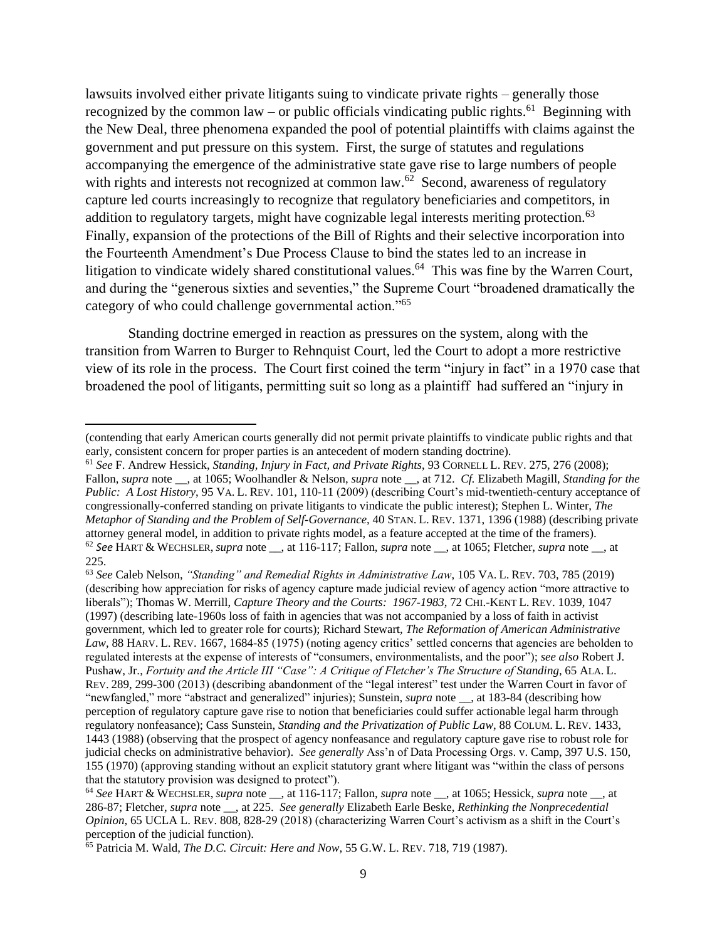lawsuits involved either private litigants suing to vindicate private rights – generally those recognized by the common law – or public officials vindicating public rights.<sup>61</sup> Beginning with the New Deal, three phenomena expanded the pool of potential plaintiffs with claims against the government and put pressure on this system. First, the surge of statutes and regulations accompanying the emergence of the administrative state gave rise to large numbers of people with rights and interests not recognized at common law.<sup>62</sup> Second, awareness of regulatory capture led courts increasingly to recognize that regulatory beneficiaries and competitors, in addition to regulatory targets, might have cognizable legal interests meriting protection.<sup>63</sup> Finally, expansion of the protections of the Bill of Rights and their selective incorporation into the Fourteenth Amendment's Due Process Clause to bind the states led to an increase in litigation to vindicate widely shared constitutional values.<sup>64</sup> This was fine by the Warren Court, and during the "generous sixties and seventies," the Supreme Court "broadened dramatically the category of who could challenge governmental action."<sup>65</sup>

Standing doctrine emerged in reaction as pressures on the system, along with the transition from Warren to Burger to Rehnquist Court, led the Court to adopt a more restrictive view of its role in the process. The Court first coined the term "injury in fact" in a 1970 case that broadened the pool of litigants, permitting suit so long as a plaintiff had suffered an "injury in

 $\overline{a}$ 

<sup>61</sup> *See* F. Andrew Hessick, *Standing, Injury in Fact, and Private Rights*, 93 CORNELL L. REV. 275, 276 (2008); Fallon, *supra* note \_\_, at 1065; Woolhandler & Nelson, *supra* note \_\_, at 712. *Cf.* Elizabeth Magill, *Standing for the Public: A Lost History*, 95 VA. L. REV. 101, 110-11 (2009) (describing Court's mid-twentieth-century acceptance of congressionally-conferred standing on private litigants to vindicate the public interest); Stephen L. Winter, *The Metaphor of Standing and the Problem of Self-Governance*, 40 STAN. L. REV. 1371, 1396 (1988) (describing private attorney general model, in addition to private rights model, as a feature accepted at the time of the framers). <sup>62</sup> *See* HART & WECHSLER, *supra* note \_\_, at 116-117; Fallon, *supra* note \_\_, at 1065; Fletcher, *supra* note \_\_, at 225.

<sup>63</sup> *See* Caleb Nelson, *"Standing" and Remedial Rights in Administrative Law*, 105 VA. L. REV. 703, 785 (2019) (describing how appreciation for risks of agency capture made judicial review of agency action "more attractive to liberals"); Thomas W. Merrill, *Capture Theory and the Courts: 1967-1983*, 72 CHI.-KENT L. REV. 1039, 1047 (1997) (describing late-1960s loss of faith in agencies that was not accompanied by a loss of faith in activist government, which led to greater role for courts); Richard Stewart, *The Reformation of American Administrative*  Law, 88 HARV. L. REV. 1667, 1684-85 (1975) (noting agency critics' settled concerns that agencies are beholden to regulated interests at the expense of interests of "consumers, environmentalists, and the poor"); *see also* Robert J. Pushaw, Jr., *Fortuity and the Article III "Case": A Critique of Fletcher's The Structure of Standing*, 65 ALA. L. REV. 289, 299-300 (2013) (describing abandonment of the "legal interest" test under the Warren Court in favor of "newfangled," more "abstract and generalized" injuries); Sunstein, *supra* note \_\_, at 183-84 (describing how perception of regulatory capture gave rise to notion that beneficiaries could suffer actionable legal harm through regulatory nonfeasance); Cass Sunstein, *Standing and the Privatization of Public Law*, 88 COLUM. L. REV. 1433, 1443 (1988) (observing that the prospect of agency nonfeasance and regulatory capture gave rise to robust role for judicial checks on administrative behavior). *See generally* Ass'n of Data Processing Orgs. v. Camp, 397 U.S. 150, 155 (1970) (approving standing without an explicit statutory grant where litigant was "within the class of persons that the statutory provision was designed to protect").

<sup>(</sup>contending that early American courts generally did not permit private plaintiffs to vindicate public rights and that early, consistent concern for proper parties is an antecedent of modern standing doctrine).

<sup>64</sup> *See* HART & WECHSLER, *supra* note \_\_, at 116-117; Fallon, *supra* note \_\_, at 1065; Hessick, *supra* note \_\_, at 286-87; Fletcher, *supra* note \_\_, at 225. *See generally* Elizabeth Earle Beske, *Rethinking the Nonprecedential Opinion*, 65 UCLA L. REV. 808, 828-29 (2018) (characterizing Warren Court's activism as a shift in the Court's perception of the judicial function).

<sup>65</sup> Patricia M. Wald, *The D.C. Circuit: Here and Now*, 55 G.W. L. REV. 718, 719 (1987).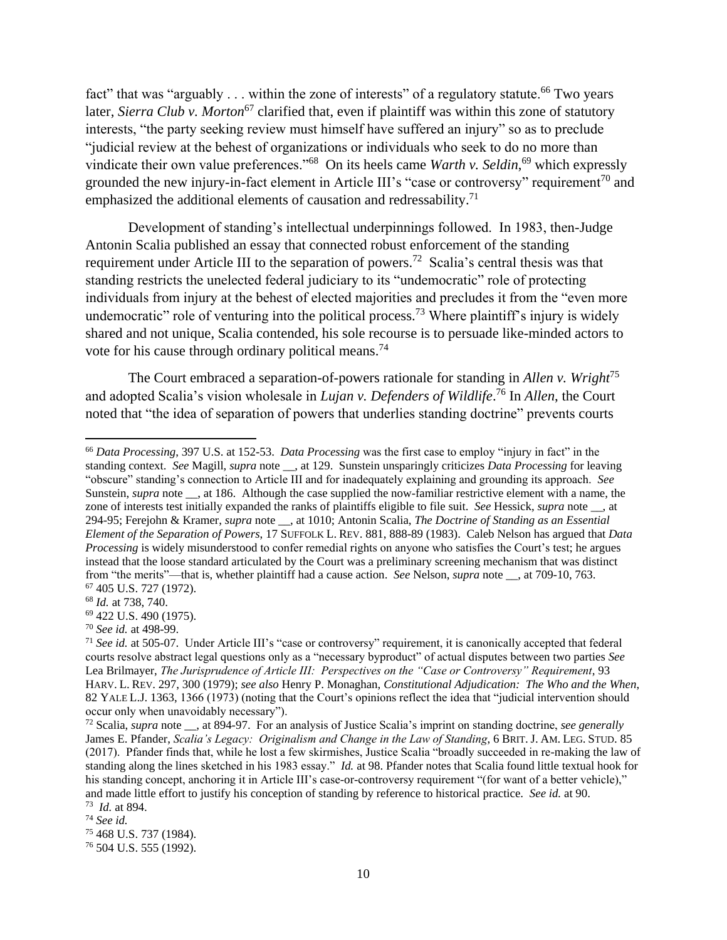fact" that was "arguably  $\dots$  within the zone of interests" of a regulatory statute.<sup>66</sup> Two years later, *Sierra Club v. Morton*<sup>67</sup> clarified that, even if plaintiff was within this zone of statutory interests, "the party seeking review must himself have suffered an injury" so as to preclude "judicial review at the behest of organizations or individuals who seek to do no more than vindicate their own value preferences."<sup>68</sup> On its heels came *Warth v. Seldin*,<sup>69</sup> which expressly grounded the new injury-in-fact element in Article III's "case or controversy" requirement<sup>70</sup> and emphasized the additional elements of causation and redressability.<sup>71</sup>

Development of standing's intellectual underpinnings followed. In 1983, then-Judge Antonin Scalia published an essay that connected robust enforcement of the standing requirement under Article III to the separation of powers.<sup>72</sup> Scalia's central thesis was that standing restricts the unelected federal judiciary to its "undemocratic" role of protecting individuals from injury at the behest of elected majorities and precludes it from the "even more undemocratic" role of venturing into the political process.<sup>73</sup> Where plaintiff's injury is widely shared and not unique, Scalia contended, his sole recourse is to persuade like-minded actors to vote for his cause through ordinary political means.<sup>74</sup>

The Court embraced a separation-of-powers rationale for standing in *Allen v. Wright*<sup>75</sup> and adopted Scalia's vision wholesale in *Lujan v. Defenders of Wildlife*. <sup>76</sup> In *Allen*, the Court noted that "the idea of separation of powers that underlies standing doctrine" prevents courts

<sup>66</sup> *Data Processing*, 397 U.S. at 152-53. *Data Processing* was the first case to employ "injury in fact" in the standing context. *See* Magill, *supra* note \_\_, at 129. Sunstein unsparingly criticizes *Data Processing* for leaving "obscure" standing's connection to Article III and for inadequately explaining and grounding its approach. *See* Sunstein, *supra* note \_\_, at 186. Although the case supplied the now-familiar restrictive element with a name, the zone of interests test initially expanded the ranks of plaintiffs eligible to file suit. *See* Hessick, *supra* note \_\_, at 294-95; Ferejohn & Kramer, *supra* note \_\_, at 1010; Antonin Scalia, *The Doctrine of Standing as an Essential Element of the Separation of Powers*, 17 SUFFOLK L. REV. 881, 888-89 (1983). Caleb Nelson has argued that *Data Processing* is widely misunderstood to confer remedial rights on anyone who satisfies the Court's test; he argues instead that the loose standard articulated by the Court was a preliminary screening mechanism that was distinct from "the merits"—that is, whether plaintiff had a cause action. *See* Nelson, *supra* note \_\_, at 709-10, 763. <sup>67</sup> 405 U.S. 727 (1972).

<sup>68</sup> *Id.* at 738, 740.

<sup>69</sup> 422 U.S. 490 (1975).

<sup>70</sup> *See id.* at 498-99.

<sup>71</sup> *See id.* at 505-07. Under Article III's "case or controversy" requirement, it is canonically accepted that federal courts resolve abstract legal questions only as a "necessary byproduct" of actual disputes between two parties *See* Lea Brilmayer, *The Jurisprudence of Article III: Perspectives on the "Case or Controversy" Requirement*, 93 HARV. L. REV. 297, 300 (1979); *see also* Henry P. Monaghan, *Constitutional Adjudication: The Who and the When*, 82 YALE L.J. 1363, 1366 (1973) (noting that the Court's opinions reflect the idea that "judicial intervention should occur only when unavoidably necessary").

<sup>72</sup> Scalia, *supra* note \_\_, at 894-97. For an analysis of Justice Scalia's imprint on standing doctrine, *see generally* James E. Pfander, *Scalia's Legacy: Originalism and Change in the Law of Standing*, 6 BRIT. J. AM. LEG. STUD. 85 (2017). Pfander finds that, while he lost a few skirmishes, Justice Scalia "broadly succeeded in re-making the law of standing along the lines sketched in his 1983 essay." *Id.* at 98. Pfander notes that Scalia found little textual hook for his standing concept, anchoring it in Article III's case-or-controversy requirement "(for want of a better vehicle)," and made little effort to justify his conception of standing by reference to historical practice. *See id.* at 90. 73 *Id.* at 894.

<sup>74</sup> *See id.*

<sup>75</sup> 468 U.S. 737 (1984).

<sup>76</sup> 504 U.S. 555 (1992).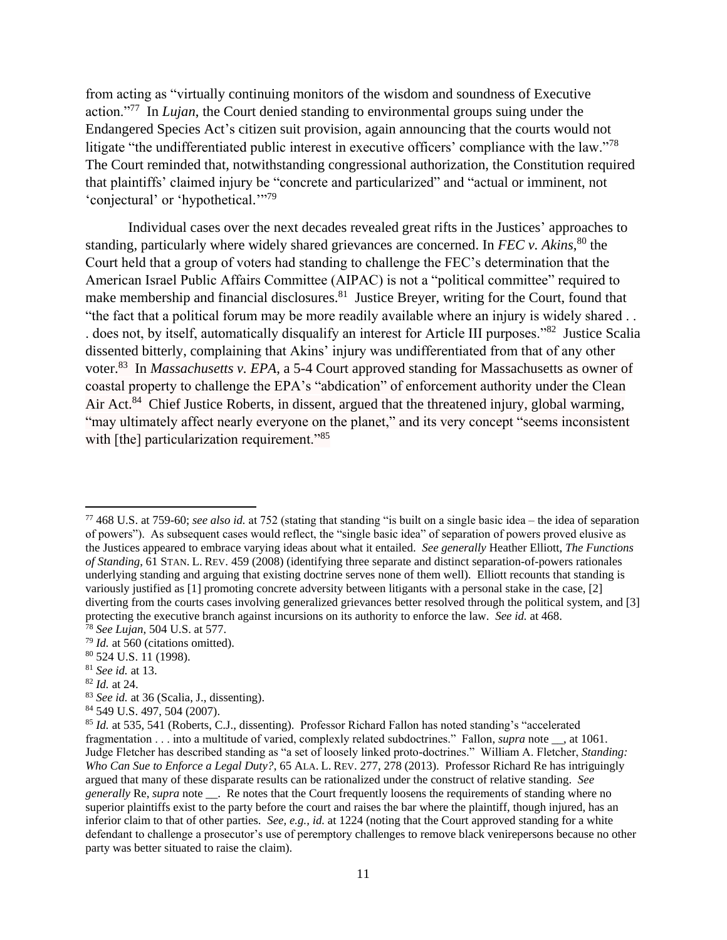from acting as "virtually continuing monitors of the wisdom and soundness of Executive action."<sup>77</sup> In *Lujan*, the Court denied standing to environmental groups suing under the Endangered Species Act's citizen suit provision, again announcing that the courts would not litigate "the undifferentiated public interest in executive officers' compliance with the law."<sup>78</sup> The Court reminded that, notwithstanding congressional authorization, the Constitution required that plaintiffs' claimed injury be "concrete and particularized" and "actual or imminent, not 'conjectural' or 'hypothetical."<sup>79</sup>

Individual cases over the next decades revealed great rifts in the Justices' approaches to standing, particularly where widely shared grievances are concerned. In *FEC v. Akins*,<sup>80</sup> the Court held that a group of voters had standing to challenge the FEC's determination that the American Israel Public Affairs Committee (AIPAC) is not a "political committee" required to make membership and financial disclosures.<sup>81</sup> Justice Breyer, writing for the Court, found that "the fact that a political forum may be more readily available where an injury is widely shared . . does not, by itself, automatically disqualify an interest for Article III purposes."<sup>82</sup> Justice Scalia dissented bitterly, complaining that Akins' injury was undifferentiated from that of any other voter. <sup>83</sup> In *Massachusetts v. EPA*, a 5-4 Court approved standing for Massachusetts as owner of coastal property to challenge the EPA's "abdication" of enforcement authority under the Clean Air Act.<sup>84</sup> Chief Justice Roberts, in dissent, argued that the threatened injury, global warming, "may ultimately affect nearly everyone on the planet," and its very concept "seems inconsistent with [the] particularization requirement."<sup>85</sup>

<sup>79</sup> *Id.* at 560 (citations omitted).

<sup>82</sup> *Id.* at 24.

 $\overline{a}$ 

<sup>84</sup> 549 U.S. 497, 504 (2007).

<sup>77</sup> 468 U.S. at 759-60; *see also id.* at 752 (stating that standing "is built on a single basic idea – the idea of separation of powers"). As subsequent cases would reflect, the "single basic idea" of separation of powers proved elusive as the Justices appeared to embrace varying ideas about what it entailed. *See generally* Heather Elliott, *The Functions of Standing*, 61 STAN. L. REV. 459 (2008) (identifying three separate and distinct separation-of-powers rationales underlying standing and arguing that existing doctrine serves none of them well). Elliott recounts that standing is variously justified as [1] promoting concrete adversity between litigants with a personal stake in the case, [2] diverting from the courts cases involving generalized grievances better resolved through the political system, and [3] protecting the executive branch against incursions on its authority to enforce the law. *See id.* at 468. <sup>78</sup> *See Lujan*, 504 U.S. at 577.

<sup>80</sup> 524 U.S. 11 (1998).

<sup>81</sup> *See id.* at 13.

<sup>83</sup> *See id.* at 36 (Scalia, J., dissenting).

<sup>85</sup> *Id.* at 535, 541 (Roberts, C.J., dissenting). Professor Richard Fallon has noted standing's "accelerated fragmentation . . . into a multitude of varied, complexly related subdoctrines." Fallon, *supra* note \_\_, at 1061. Judge Fletcher has described standing as "a set of loosely linked proto-doctrines." William A. Fletcher, *Standing: Who Can Sue to Enforce a Legal Duty?*, 65 ALA. L. REV. 277, 278 (2013). Professor Richard Re has intriguingly argued that many of these disparate results can be rationalized under the construct of relative standing. *See generally* Re, *supra* note \_\_\_. Re notes that the Court frequently loosens the requirements of standing where no superior plaintiffs exist to the party before the court and raises the bar where the plaintiff, though injured, has an inferior claim to that of other parties. *See, e.g., id.* at 1224 (noting that the Court approved standing for a white defendant to challenge a prosecutor's use of peremptory challenges to remove black venirepersons because no other party was better situated to raise the claim).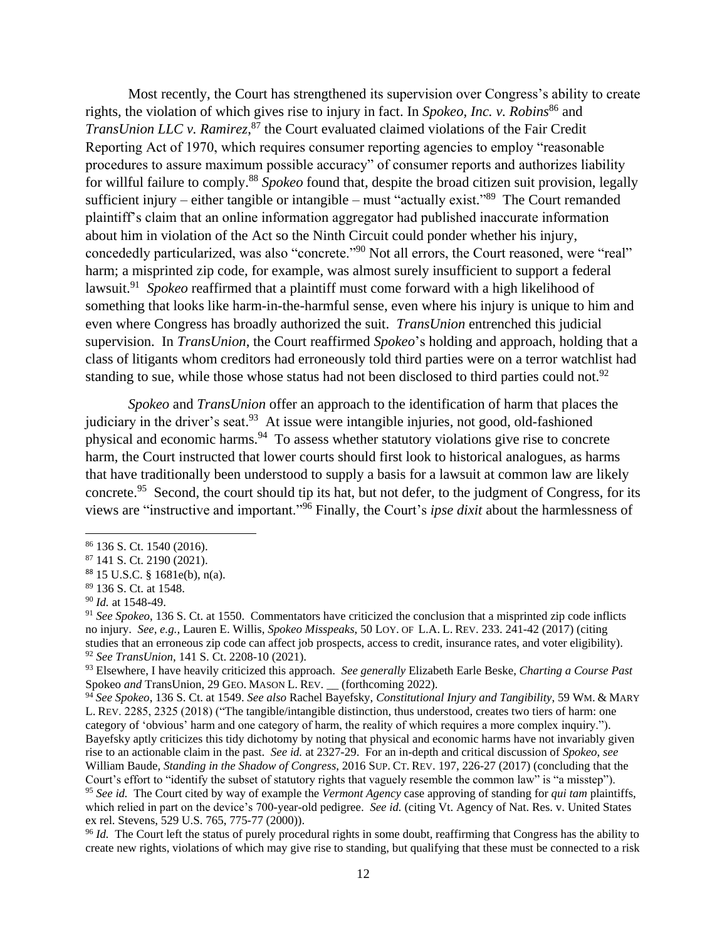Most recently, the Court has strengthened its supervision over Congress's ability to create rights, the violation of which gives rise to injury in fact. In *Spokeo, Inc. v. Robins*<sup>86</sup> and *TransUnion LLC v. Ramirez*, <sup>87</sup> the Court evaluated claimed violations of the Fair Credit Reporting Act of 1970, which requires consumer reporting agencies to employ "reasonable procedures to assure maximum possible accuracy" of consumer reports and authorizes liability for willful failure to comply. <sup>88</sup> *Spokeo* found that, despite the broad citizen suit provision, legally sufficient injury – either tangible or intangible – must "actually exist."<sup>89</sup> The Court remanded plaintiff's claim that an online information aggregator had published inaccurate information about him in violation of the Act so the Ninth Circuit could ponder whether his injury, concededly particularized, was also "concrete."<sup>90</sup> Not all errors, the Court reasoned, were "real" harm; a misprinted zip code, for example, was almost surely insufficient to support a federal lawsuit.<sup>91</sup> Spokeo reaffirmed that a plaintiff must come forward with a high likelihood of something that looks like harm-in-the-harmful sense, even where his injury is unique to him and even where Congress has broadly authorized the suit. *TransUnion* entrenched this judicial supervision. In *TransUnion*, the Court reaffirmed *Spokeo*'s holding and approach, holding that a class of litigants whom creditors had erroneously told third parties were on a terror watchlist had standing to sue, while those whose status had not been disclosed to third parties could not.<sup>92</sup>

*Spokeo* and *TransUnion* offer an approach to the identification of harm that places the judiciary in the driver's seat.<sup>93</sup> At issue were intangible injuries, not good, old-fashioned physical and economic harms.<sup>94</sup> To assess whether statutory violations give rise to concrete harm, the Court instructed that lower courts should first look to historical analogues, as harms that have traditionally been understood to supply a basis for a lawsuit at common law are likely concrete.<sup>95</sup> Second, the court should tip its hat, but not defer, to the judgment of Congress, for its views are "instructive and important."<sup>96</sup> Finally, the Court's *ipse dixit* about the harmlessness of

<sup>86</sup> 136 S. Ct. 1540 (2016).

<sup>87</sup> 141 S. Ct. 2190 (2021).

<sup>88</sup> 15 U.S.C. § 1681e(b), n(a).

<sup>89</sup> 136 S. Ct. at 1548.

<sup>90</sup> *Id.* at 1548-49.

<sup>91</sup> *See Spokeo*, 136 S. Ct. at 1550. Commentators have criticized the conclusion that a misprinted zip code inflicts no injury. *See, e.g.,* Lauren E. Willis, *Spokeo Misspeaks*, 50 LOY. OF L.A. L. REV. 233. 241-42 (2017) (citing studies that an erroneous zip code can affect job prospects, access to credit, insurance rates, and voter eligibility). <sup>92</sup> *See TransUnion*, 141 S. Ct. 2208-10 (2021).

<sup>93</sup> Elsewhere, I have heavily criticized this approach. *See generally* Elizabeth Earle Beske, *Charting a Course Past*  Spokeo *and* TransUnion, 29 GEO. MASON L. REV. \_\_ (forthcoming 2022).

<sup>94</sup> *See Spokeo*, 136 S. Ct. at 1549. *See also* Rachel Bayefsky, *Constitutional Injury and Tangibility*, 59 WM. & MARY L. REV. 2285, 2325 (2018) ("The tangible/intangible distinction, thus understood, creates two tiers of harm: one category of 'obvious' harm and one category of harm, the reality of which requires a more complex inquiry."). Bayefsky aptly criticizes this tidy dichotomy by noting that physical and economic harms have not invariably given rise to an actionable claim in the past. *See id.* at 2327-29. For an in-depth and critical discussion of *Spokeo*, *see* William Baude, *Standing in the Shadow of Congress*, 2016 SUP. CT. REV. 197, 226-27 (2017) (concluding that the Court's effort to "identify the subset of statutory rights that vaguely resemble the common law" is "a misstep"). <sup>95</sup> *See id.* The Court cited by way of example the *Vermont Agency* case approving of standing for *qui tam* plaintiffs, which relied in part on the device's 700-year-old pedigree. *See id.* (citing Vt. Agency of Nat. Res. v. United States ex rel. Stevens, 529 U.S. 765, 775-77 (2000)).

<sup>&</sup>lt;sup>96</sup> *Id.* The Court left the status of purely procedural rights in some doubt, reaffirming that Congress has the ability to create new rights, violations of which may give rise to standing, but qualifying that these must be connected to a risk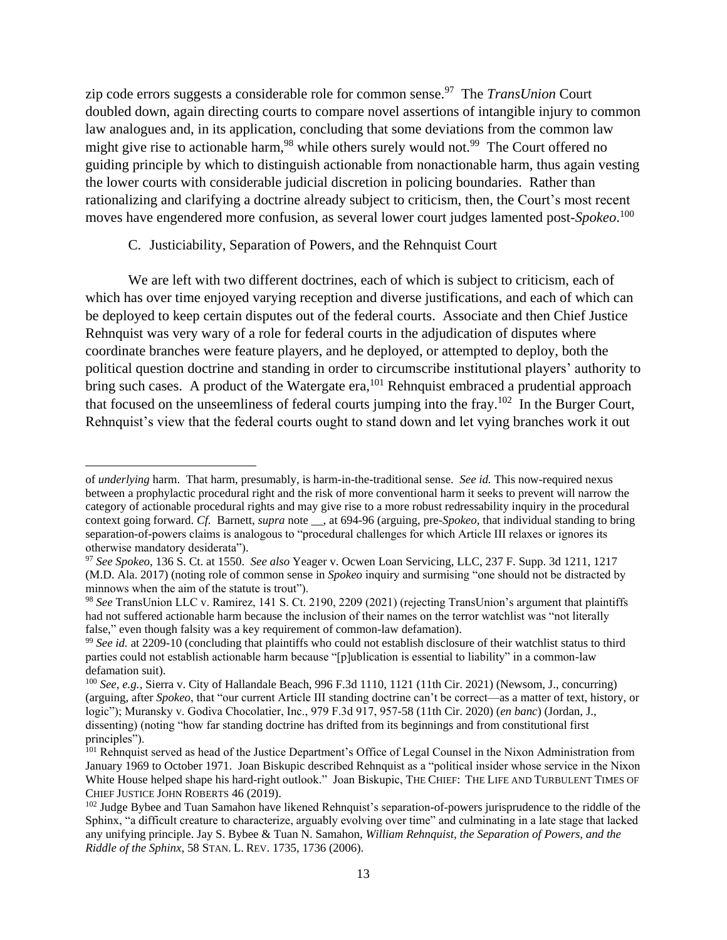zip code errors suggests a considerable role for common sense.<sup>97</sup> The *TransUnion* Court doubled down, again directing courts to compare novel assertions of intangible injury to common law analogues and, in its application, concluding that some deviations from the common law might give rise to actionable harm,<sup>98</sup> while others surely would not.<sup>99</sup> The Court offered no guiding principle by which to distinguish actionable from nonactionable harm, thus again vesting the lower courts with considerable judicial discretion in policing boundaries. Rather than rationalizing and clarifying a doctrine already subject to criticism, then, the Court's most recent moves have engendered more confusion, as several lower court judges lamented post-*Spokeo*. 100

## C. Justiciability, Separation of Powers, and the Rehnquist Court

 $\overline{\phantom{a}}$ 

We are left with two different doctrines, each of which is subject to criticism, each of which has over time enjoyed varying reception and diverse justifications, and each of which can be deployed to keep certain disputes out of the federal courts. Associate and then Chief Justice Rehnquist was very wary of a role for federal courts in the adjudication of disputes where coordinate branches were feature players, and he deployed, or attempted to deploy, both the political question doctrine and standing in order to circumscribe institutional players' authority to bring such cases. A product of the Watergate era,<sup>101</sup> Rehnquist embraced a prudential approach that focused on the unseemliness of federal courts jumping into the fray.<sup>102</sup> In the Burger Court, Rehnquist's view that the federal courts ought to stand down and let vying branches work it out

of *underlying* harm. That harm, presumably, is harm-in-the-traditional sense. *See id.* This now-required nexus between a prophylactic procedural right and the risk of more conventional harm it seeks to prevent will narrow the category of actionable procedural rights and may give rise to a more robust redressability inquiry in the procedural context going forward. *Cf.* Barnett, *supra* note \_\_, at 694-96 (arguing, pre-*Spokeo*, that individual standing to bring separation-of-powers claims is analogous to "procedural challenges for which Article III relaxes or ignores its otherwise mandatory desiderata").

<sup>97</sup> *See Spokeo*, 136 S. Ct. at 1550. *See also* Yeager v. Ocwen Loan Servicing, LLC, 237 F. Supp. 3d 1211, 1217 (M.D. Ala. 2017) (noting role of common sense in *Spokeo* inquiry and surmising "one should not be distracted by minnows when the aim of the statute is trout").

<sup>&</sup>lt;sup>98</sup> See TransUnion LLC v. Ramirez, 141 S. Ct. 2190, 2209 (2021) (rejecting TransUnion's argument that plaintiffs had not suffered actionable harm because the inclusion of their names on the terror watchlist was "not literally false," even though falsity was a key requirement of common-law defamation).

<sup>&</sup>lt;sup>99</sup> See id. at 2209-10 (concluding that plaintiffs who could not establish disclosure of their watchlist status to third parties could not establish actionable harm because "[p]ublication is essential to liability" in a common-law defamation suit).

<sup>100</sup> *See, e.g.*, Sierra v. City of Hallandale Beach, 996 F.3d 1110, 1121 (11th Cir. 2021) (Newsom, J., concurring) (arguing, after *Spokeo*, that "our current Article III standing doctrine can't be correct—as a matter of text, history, or logic"); Muransky v. Godiva Chocolatier, Inc., 979 F.3d 917, 957-58 (11th Cir. 2020) (*en banc*) (Jordan, J., dissenting) (noting "how far standing doctrine has drifted from its beginnings and from constitutional first principles").

<sup>&</sup>lt;sup>101</sup> Rehnquist served as head of the Justice Department's Office of Legal Counsel in the Nixon Administration from January 1969 to October 1971. Joan Biskupic described Rehnquist as a "political insider whose service in the Nixon White House helped shape his hard-right outlook." Joan Biskupic, THE CHIEF: THE LIFE AND TURBULENT TIMES OF CHIEF JUSTICE JOHN ROBERTS 46 (2019).

<sup>&</sup>lt;sup>102</sup> Judge Bybee and Tuan Samahon have likened Rehnquist's separation-of-powers jurisprudence to the riddle of the Sphinx, "a difficult creature to characterize, arguably evolving over time" and culminating in a late stage that lacked any unifying principle. Jay S. Bybee & Tuan N. Samahon, *William Rehnquist, the Separation of Powers, and the Riddle of the Sphinx*, 58 STAN. L. REV. 1735, 1736 (2006).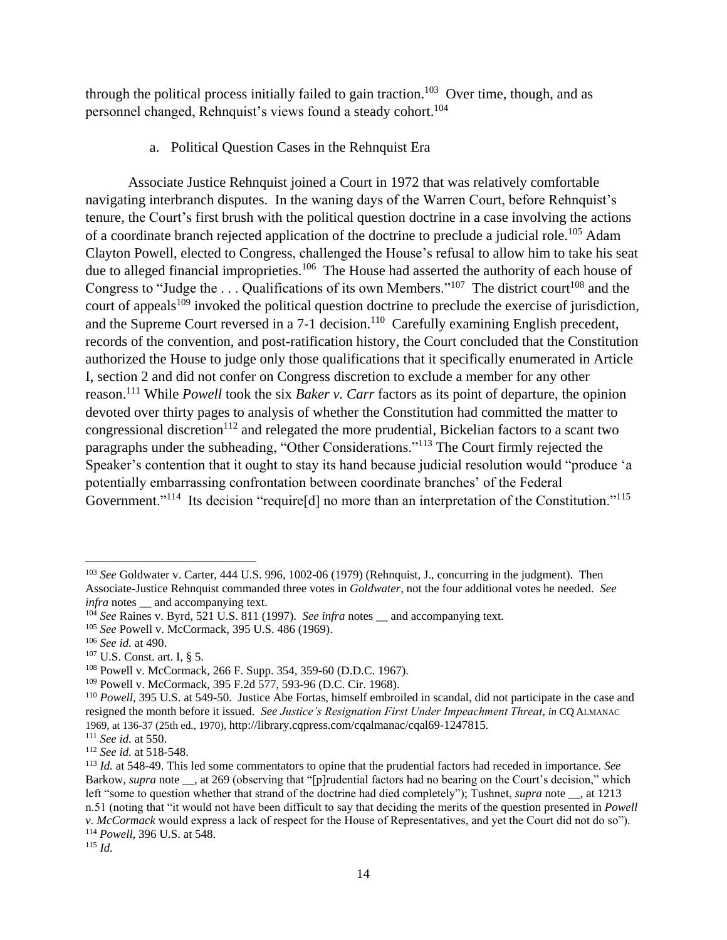through the political process initially failed to gain traction.<sup>103</sup> Over time, though, and as personnel changed, Rehnquist's views found a steady cohort.<sup>104</sup>

a. Political Question Cases in the Rehnquist Era

Associate Justice Rehnquist joined a Court in 1972 that was relatively comfortable navigating interbranch disputes. In the waning days of the Warren Court, before Rehnquist's tenure, the Court's first brush with the political question doctrine in a case involving the actions of a coordinate branch rejected application of the doctrine to preclude a judicial role*.* <sup>105</sup> Adam Clayton Powell, elected to Congress, challenged the House's refusal to allow him to take his seat due to alleged financial improprieties.<sup>106</sup> The House had asserted the authority of each house of Congress to "Judge the . . . Qualifications of its own Members."<sup>107</sup> The district court<sup>108</sup> and the court of appeals<sup>109</sup> invoked the political question doctrine to preclude the exercise of jurisdiction, and the Supreme Court reversed in a  $7-1$  decision.<sup>110</sup> Carefully examining English precedent, records of the convention, and post-ratification history, the Court concluded that the Constitution authorized the House to judge only those qualifications that it specifically enumerated in Article I, section 2 and did not confer on Congress discretion to exclude a member for any other reason.<sup>111</sup> While *Powell* took the six *Baker v. Carr* factors as its point of departure, the opinion devoted over thirty pages to analysis of whether the Constitution had committed the matter to congressional discretion<sup>112</sup> and relegated the more prudential, Bickelian factors to a scant two paragraphs under the subheading, "Other Considerations."<sup>113</sup> The Court firmly rejected the Speaker's contention that it ought to stay its hand because judicial resolution would "produce 'a potentially embarrassing confrontation between coordinate branches' of the Federal Government."<sup>114</sup> Its decision "require[d] no more than an interpretation of the Constitution."<sup>115</sup>

 $\overline{\phantom{a}}$ <sup>103</sup> *See* Goldwater v. Carter, 444 U.S. 996, 1002-06 (1979) (Rehnquist, J., concurring in the judgment). Then Associate-Justice Rehnquist commanded three votes in *Goldwater*, not the four additional votes he needed. *See infra* notes and accompanying text.

<sup>&</sup>lt;sup>104</sup> *See* Raines v. Byrd, 521 U.S. 811 (1997). *See infra* notes \_\_ and accompanying text.

<sup>105</sup> *See* Powell v. McCormack, 395 U.S. 486 (1969).

<sup>106</sup> *See id.* at 490.

<sup>107</sup> U.S. Const. art. I, § 5.

<sup>108</sup> Powell v. McCormack, 266 F. Supp. 354, 359-60 (D.D.C. 1967).

<sup>109</sup> Powell v. McCormack, 395 F.2d 577, 593-96 (D.C. Cir. 1968).

<sup>110</sup> *Powell*, 395 U.S. at 549-50. Justice Abe Fortas, himself embroiled in scandal, did not participate in the case and resigned the month before it issued. *See Justice's Resignation First Under Impeachment Threat*, *in* CQ ALMANAC 1969, at 136-37 (25th ed., 1970), http://library.cqpress.com/cqalmanac/cqal69-1247815.

<sup>111</sup> *See id.* at 550.

<sup>112</sup> *See id.* at 518-548.

<sup>113</sup> *Id.* at 548-49. This led some commentators to opine that the prudential factors had receded in importance. *See* Barkow, *supra* note \_\_, at 269 (observing that "[p]rudential factors had no bearing on the Court's decision," which left "some to question whether that strand of the doctrine had died completely"); Tushnet, *supra* note \_\_, at 1213 n.51 (noting that "it would not have been difficult to say that deciding the merits of the question presented in *Powell v. McCormack* would express a lack of respect for the House of Representatives, and yet the Court did not do so"). <sup>114</sup> *Powell*, 396 U.S. at 548.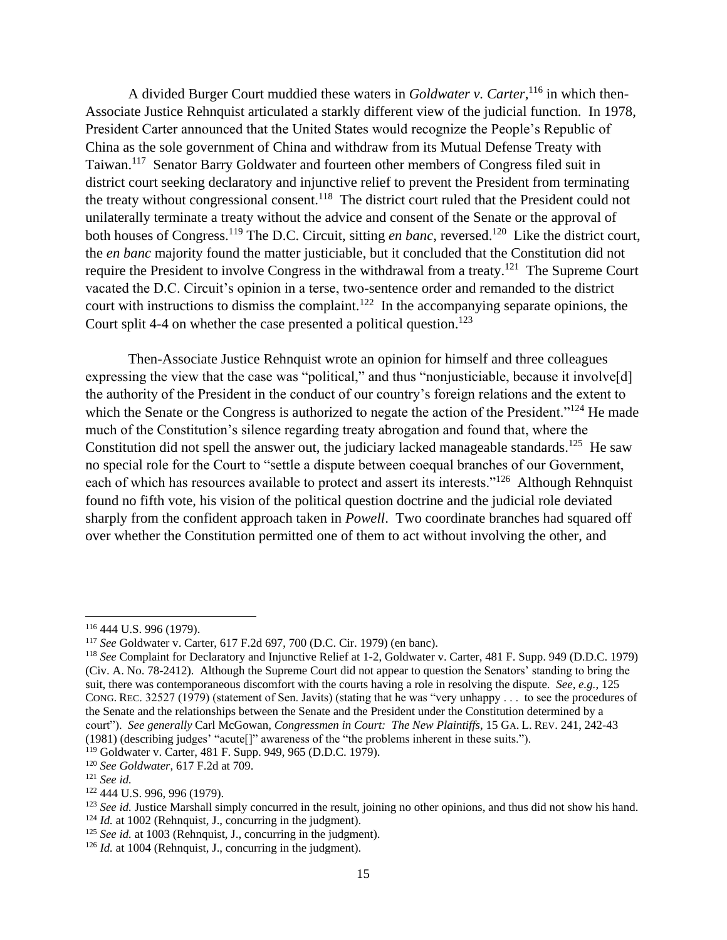A divided Burger Court muddied these waters in *Goldwater v. Carter*, <sup>116</sup> in which then-Associate Justice Rehnquist articulated a starkly different view of the judicial function. In 1978, President Carter announced that the United States would recognize the People's Republic of China as the sole government of China and withdraw from its Mutual Defense Treaty with Taiwan.<sup>117</sup> Senator Barry Goldwater and fourteen other members of Congress filed suit in district court seeking declaratory and injunctive relief to prevent the President from terminating the treaty without congressional consent.<sup>118</sup> The district court ruled that the President could not unilaterally terminate a treaty without the advice and consent of the Senate or the approval of both houses of Congress.<sup>119</sup> The D.C. Circuit, sitting *en banc*, reversed.<sup>120</sup> Like the district court, the *en banc* majority found the matter justiciable, but it concluded that the Constitution did not require the President to involve Congress in the withdrawal from a treaty.<sup>121</sup> The Supreme Court vacated the D.C. Circuit's opinion in a terse, two-sentence order and remanded to the district court with instructions to dismiss the complaint.<sup>122</sup> In the accompanying separate opinions, the Court split 4-4 on whether the case presented a political question.<sup>123</sup>

Then-Associate Justice Rehnquist wrote an opinion for himself and three colleagues expressing the view that the case was "political," and thus "nonjusticiable, because it involve[d] the authority of the President in the conduct of our country's foreign relations and the extent to which the Senate or the Congress is authorized to negate the action of the President."<sup>124</sup> He made much of the Constitution's silence regarding treaty abrogation and found that, where the Constitution did not spell the answer out, the judiciary lacked manageable standards.<sup>125</sup> He saw no special role for the Court to "settle a dispute between coequal branches of our Government, each of which has resources available to protect and assert its interests."<sup>126</sup> Although Rehnquist found no fifth vote, his vision of the political question doctrine and the judicial role deviated sharply from the confident approach taken in *Powell*. Two coordinate branches had squared off over whether the Constitution permitted one of them to act without involving the other, and

<sup>116</sup> 444 U.S. 996 (1979).

<sup>117</sup> *See* Goldwater v. Carter, 617 F.2d 697, 700 (D.C. Cir. 1979) (en banc).

<sup>118</sup> *See* Complaint for Declaratory and Injunctive Relief at 1-2, Goldwater v. Carter, 481 F. Supp. 949 (D.D.C. 1979) (Civ. A. No. 78-2412). Although the Supreme Court did not appear to question the Senators' standing to bring the suit, there was contemporaneous discomfort with the courts having a role in resolving the dispute. *See, e.g.*, 125 CONG. REC. 32527 (1979) (statement of Sen. Javits) (stating that he was "very unhappy . . . to see the procedures of the Senate and the relationships between the Senate and the President under the Constitution determined by a court"). *See generally* Carl McGowan, *Congressmen in Court: The New Plaintiffs*, 15 GA. L. REV. 241, 242-43 (1981) (describing judges' "acute[]" awareness of the "the problems inherent in these suits.").

<sup>119</sup> Goldwater v. Carter, 481 F. Supp. 949, 965 (D.D.C. 1979).

<sup>120</sup> *See Goldwater*, 617 F.2d at 709.

<sup>121</sup> *See id.*

<sup>122</sup> 444 U.S. 996, 996 (1979).

<sup>&</sup>lt;sup>123</sup> *See id.* Justice Marshall simply concurred in the result, joining no other opinions, and thus did not show his hand.  $124$  *Id.* at 1002 (Rehnquist, J., concurring in the judgment).

<sup>&</sup>lt;sup>125</sup> *See id.* at 1003 (Rehnquist, J., concurring in the judgment).

<sup>&</sup>lt;sup>126</sup> *Id.* at 1004 (Rehnquist, J., concurring in the judgment).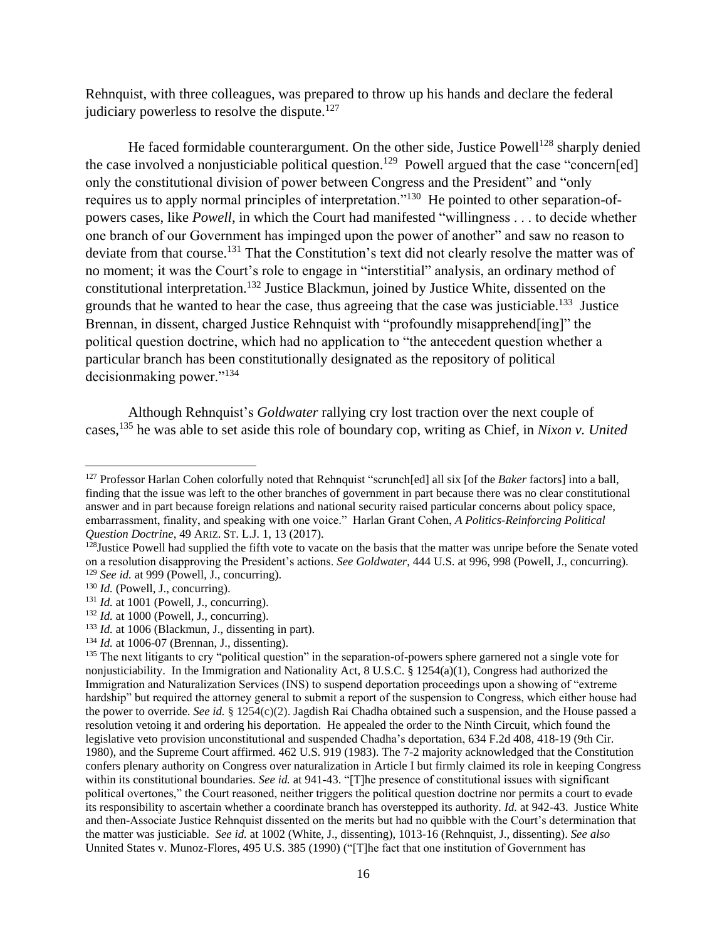Rehnquist, with three colleagues, was prepared to throw up his hands and declare the federal judiciary powerless to resolve the dispute. $127$ 

He faced formidable counterargument. On the other side, Justice Powell<sup>128</sup> sharply denied the case involved a nonjusticiable political question.<sup>129</sup> Powell argued that the case "concern[ed] only the constitutional division of power between Congress and the President" and "only requires us to apply normal principles of interpretation."<sup>130</sup> He pointed to other separation-ofpowers cases, like *Powell*, in which the Court had manifested "willingness . . . to decide whether one branch of our Government has impinged upon the power of another" and saw no reason to deviate from that course.<sup>131</sup> That the Constitution's text did not clearly resolve the matter was of no moment; it was the Court's role to engage in "interstitial" analysis, an ordinary method of constitutional interpretation.<sup>132</sup> Justice Blackmun, joined by Justice White, dissented on the grounds that he wanted to hear the case, thus agreeing that the case was justiciable.<sup>133</sup> Justice Brennan, in dissent, charged Justice Rehnquist with "profoundly misapprehend[ing]" the political question doctrine, which had no application to "the antecedent question whether a particular branch has been constitutionally designated as the repository of political decisionmaking power."<sup>134</sup>

Although Rehnquist's *Goldwater* rallying cry lost traction over the next couple of cases, <sup>135</sup> he was able to set aside this role of boundary cop, writing as Chief, in *Nixon v. United* 

<sup>127</sup> Professor Harlan Cohen colorfully noted that Rehnquist "scrunch[ed] all six [of the *Baker* factors] into a ball, finding that the issue was left to the other branches of government in part because there was no clear constitutional answer and in part because foreign relations and national security raised particular concerns about policy space, embarrassment, finality, and speaking with one voice." Harlan Grant Cohen, *A Politics-Reinforcing Political Question Doctrine*, 49 ARIZ. ST. L.J. 1, 13 (2017).

<sup>&</sup>lt;sup>128</sup>Justice Powell had supplied the fifth vote to vacate on the basis that the matter was unripe before the Senate voted on a resolution disapproving the President's actions. *See Goldwater*, 444 U.S. at 996, 998 (Powell, J., concurring). <sup>129</sup> *See id.* at 999 (Powell, J., concurring).

<sup>&</sup>lt;sup>130</sup> *Id.* (Powell, J., concurring).

<sup>&</sup>lt;sup>131</sup> *Id.* at 1001 (Powell, J., concurring).

 $132$  *Id.* at 1000 (Powell, J., concurring).

<sup>&</sup>lt;sup>133</sup> *Id.* at 1006 (Blackmun, J., dissenting in part).

<sup>134</sup> *Id.* at 1006-07 (Brennan, J., dissenting).

<sup>&</sup>lt;sup>135</sup> The next litigants to cry "political question" in the separation-of-powers sphere garnered not a single vote for nonjusticiability. In the Immigration and Nationality Act, 8 U.S.C. § 1254(a)(1), Congress had authorized the Immigration and Naturalization Services (INS) to suspend deportation proceedings upon a showing of "extreme hardship" but required the attorney general to submit a report of the suspension to Congress, which either house had the power to override. *See id.* § 1254(c)(2). Jagdish Rai Chadha obtained such a suspension, and the House passed a resolution vetoing it and ordering his deportation. He appealed the order to the Ninth Circuit, which found the legislative veto provision unconstitutional and suspended Chadha's deportation, 634 F.2d 408, 418-19 (9th Cir. 1980), and the Supreme Court affirmed. 462 U.S. 919 (1983). The 7-2 majority acknowledged that the Constitution confers plenary authority on Congress over naturalization in Article I but firmly claimed its role in keeping Congress within its constitutional boundaries. *See id.* at 941-43. "[T]he presence of constitutional issues with significant political overtones," the Court reasoned, neither triggers the political question doctrine nor permits a court to evade its responsibility to ascertain whether a coordinate branch has overstepped its authority. *Id.* at 942-43. Justice White and then-Associate Justice Rehnquist dissented on the merits but had no quibble with the Court's determination that the matter was justiciable. *See id.* at 1002 (White, J., dissenting), 1013-16 (Rehnquist, J., dissenting). *See also* Unnited States v. Munoz-Flores, 495 U.S. 385 (1990) ("[T]he fact that one institution of Government has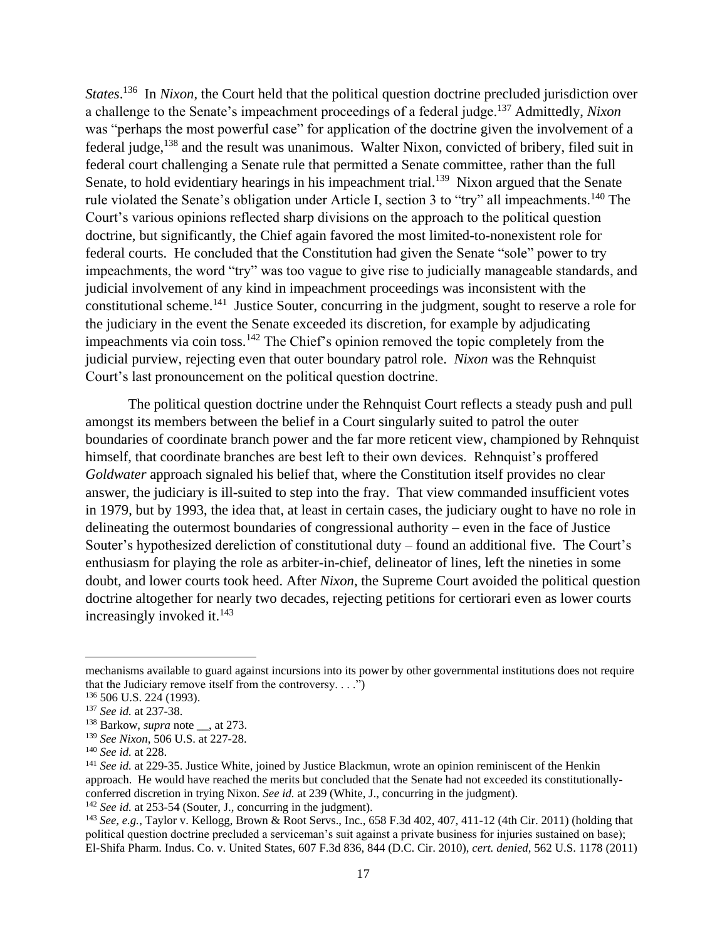*States*.<sup>136</sup> In *Nixon*, the Court held that the political question doctrine precluded jurisdiction over a challenge to the Senate's impeachment proceedings of a federal judge.<sup>137</sup> Admittedly, *Nixon*  was "perhaps the most powerful case" for application of the doctrine given the involvement of a federal judge,<sup>138</sup> and the result was unanimous. Walter Nixon, convicted of bribery, filed suit in federal court challenging a Senate rule that permitted a Senate committee, rather than the full Senate, to hold evidentiary hearings in his impeachment trial.<sup>139</sup> Nixon argued that the Senate rule violated the Senate's obligation under Article I, section 3 to "try" all impeachments.<sup>140</sup> The Court's various opinions reflected sharp divisions on the approach to the political question doctrine, but significantly, the Chief again favored the most limited-to-nonexistent role for federal courts. He concluded that the Constitution had given the Senate "sole" power to try impeachments, the word "try" was too vague to give rise to judicially manageable standards, and judicial involvement of any kind in impeachment proceedings was inconsistent with the constitutional scheme.<sup>141</sup> Justice Souter, concurring in the judgment, sought to reserve a role for the judiciary in the event the Senate exceeded its discretion, for example by adjudicating impeachments via coin toss.<sup>142</sup> The Chief's opinion removed the topic completely from the judicial purview, rejecting even that outer boundary patrol role. *Nixon* was the Rehnquist Court's last pronouncement on the political question doctrine.

The political question doctrine under the Rehnquist Court reflects a steady push and pull amongst its members between the belief in a Court singularly suited to patrol the outer boundaries of coordinate branch power and the far more reticent view, championed by Rehnquist himself, that coordinate branches are best left to their own devices. Rehnquist's proffered *Goldwater* approach signaled his belief that, where the Constitution itself provides no clear answer, the judiciary is ill-suited to step into the fray. That view commanded insufficient votes in 1979, but by 1993, the idea that, at least in certain cases, the judiciary ought to have no role in delineating the outermost boundaries of congressional authority – even in the face of Justice Souter's hypothesized dereliction of constitutional duty – found an additional five. The Court's enthusiasm for playing the role as arbiter-in-chief, delineator of lines, left the nineties in some doubt, and lower courts took heed. After *Nixon*, the Supreme Court avoided the political question doctrine altogether for nearly two decades, rejecting petitions for certiorari even as lower courts increasingly invoked it.<sup>143</sup>

 $\overline{\phantom{a}}$ 

<sup>142</sup> *See id.* at 253-54 (Souter, J., concurring in the judgment).

mechanisms available to guard against incursions into its power by other governmental institutions does not require that the Judiciary remove itself from the controversy.  $\dots$ ")

<sup>136</sup> 506 U.S. 224 (1993).

<sup>137</sup> *See id.* at 237-38.

<sup>&</sup>lt;sup>138</sup> Barkow, *supra* note \_\_, at 273.

<sup>139</sup> *See Nixon*, 506 U.S. at 227-28.

<sup>140</sup> *See id.* at 228.

<sup>&</sup>lt;sup>141</sup> *See id.* at 229-35. Justice White, joined by Justice Blackmun, wrote an opinion reminiscent of the Henkin approach. He would have reached the merits but concluded that the Senate had not exceeded its constitutionallyconferred discretion in trying Nixon. *See id.* at 239 (White, J., concurring in the judgment).

<sup>143</sup> *See, e.g.*, Taylor v. Kellogg, Brown & Root Servs., Inc., 658 F.3d 402, 407, 411-12 (4th Cir. 2011) (holding that political question doctrine precluded a serviceman's suit against a private business for injuries sustained on base); El-Shifa Pharm. Indus. Co. v. United States, 607 F.3d 836, 844 (D.C. Cir. 2010), *cert. denied*, 562 U.S. 1178 (2011)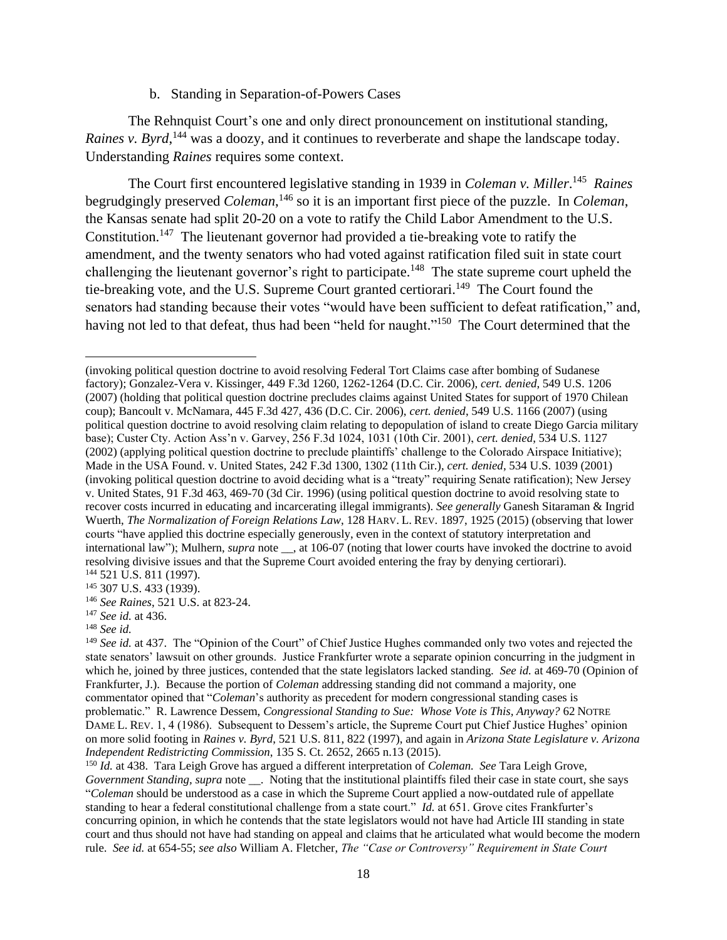### b. Standing in Separation-of-Powers Cases

The Rehnquist Court's one and only direct pronouncement on institutional standing, Raines v. Byrd,<sup>144</sup> was a doozy, and it continues to reverberate and shape the landscape today. Understanding *Raines* requires some context.

The Court first encountered legislative standing in 1939 in *Coleman v. Miller*. <sup>145</sup> *Raines*  begrudgingly preserved *Coleman*, <sup>146</sup> so it is an important first piece of the puzzle. In *Coleman*, the Kansas senate had split 20-20 on a vote to ratify the Child Labor Amendment to the U.S. Constitution.<sup>147</sup> The lieutenant governor had provided a tie-breaking vote to ratify the amendment, and the twenty senators who had voted against ratification filed suit in state court challenging the lieutenant governor's right to participate.<sup>148</sup> The state supreme court upheld the tie-breaking vote, and the U.S. Supreme Court granted certiorari.<sup>149</sup> The Court found the senators had standing because their votes "would have been sufficient to defeat ratification," and, having not led to that defeat, thus had been "held for naught."<sup>150</sup> The Court determined that the

<sup>(</sup>invoking political question doctrine to avoid resolving Federal Tort Claims case after bombing of Sudanese factory); Gonzalez-Vera v. Kissinger, 449 F.3d 1260, 1262-1264 (D.C. Cir. 2006), *cert. denied*, 549 U.S. 1206 (2007) (holding that political question doctrine precludes claims against United States for support of 1970 Chilean coup); Bancoult v. McNamara, 445 F.3d 427, 436 (D.C. Cir. 2006), *cert. denied*, 549 U.S. 1166 (2007) (using political question doctrine to avoid resolving claim relating to depopulation of island to create Diego Garcia military base); Custer Cty. Action Ass'n v. Garvey, 256 F.3d 1024, 1031 (10th Cir. 2001), *cert. denied*, 534 U.S. 1127 (2002) (applying political question doctrine to preclude plaintiffs' challenge to the Colorado Airspace Initiative); Made in the USA Found. v. United States, 242 F.3d 1300, 1302 (11th Cir.), *cert. denied*, 534 U.S. 1039 (2001) (invoking political question doctrine to avoid deciding what is a "treaty" requiring Senate ratification); New Jersey v. United States, 91 F.3d 463, 469-70 (3d Cir. 1996) (using political question doctrine to avoid resolving state to recover costs incurred in educating and incarcerating illegal immigrants). *See generally* Ganesh Sitaraman & Ingrid Wuerth, *The Normalization of Foreign Relations Law*, 128 HARV. L. REV. 1897, 1925 (2015) (observing that lower courts "have applied this doctrine especially generously, even in the context of statutory interpretation and international law"); Mulhern, *supra* note \_\_, at 106-07 (noting that lower courts have invoked the doctrine to avoid resolving divisive issues and that the Supreme Court avoided entering the fray by denying certiorari). <sup>144</sup> 521 U.S. 811 (1997).

<sup>145 307</sup> U.S. 433 (1939).

<sup>146</sup> *See Raines*, 521 U.S. at 823-24.

<sup>147</sup> *See id.* at 436.

<sup>148</sup> *See id.*

<sup>&</sup>lt;sup>149</sup> See id. at 437. The "Opinion of the Court" of Chief Justice Hughes commanded only two votes and rejected the state senators' lawsuit on other grounds. Justice Frankfurter wrote a separate opinion concurring in the judgment in which he, joined by three justices, contended that the state legislators lacked standing. *See id.* at 469-70 (Opinion of Frankfurter, J.). Because the portion of *Coleman* addressing standing did not command a majority, one commentator opined that "*Coleman*'s authority as precedent for modern congressional standing cases is problematic." R. Lawrence Dessem, *Congressional Standing to Sue: Whose Vote is This, Anyway?* 62 NOTRE DAME L. REV. 1, 4 (1986). Subsequent to Dessem's article, the Supreme Court put Chief Justice Hughes' opinion on more solid footing in *Raines v. Byrd*, 521 U.S. 811, 822 (1997), and again in *Arizona State Legislature v. Arizona Independent Redistricting Commission*, 135 S. Ct. 2652, 2665 n.13 (2015).

<sup>150</sup> *Id.* at 438. Tara Leigh Grove has argued a different interpretation of *Coleman. See* Tara Leigh Grove, *Government Standing, supra* note . Noting that the institutional plaintiffs filed their case in state court, she says "*Coleman* should be understood as a case in which the Supreme Court applied a now-outdated rule of appellate standing to hear a federal constitutional challenge from a state court." *Id.* at 651. Grove cites Frankfurter's concurring opinion, in which he contends that the state legislators would not have had Article III standing in state court and thus should not have had standing on appeal and claims that he articulated what would become the modern rule. *See id.* at 654-55; *see also* William A. Fletcher, *The "Case or Controversy" Requirement in State Court*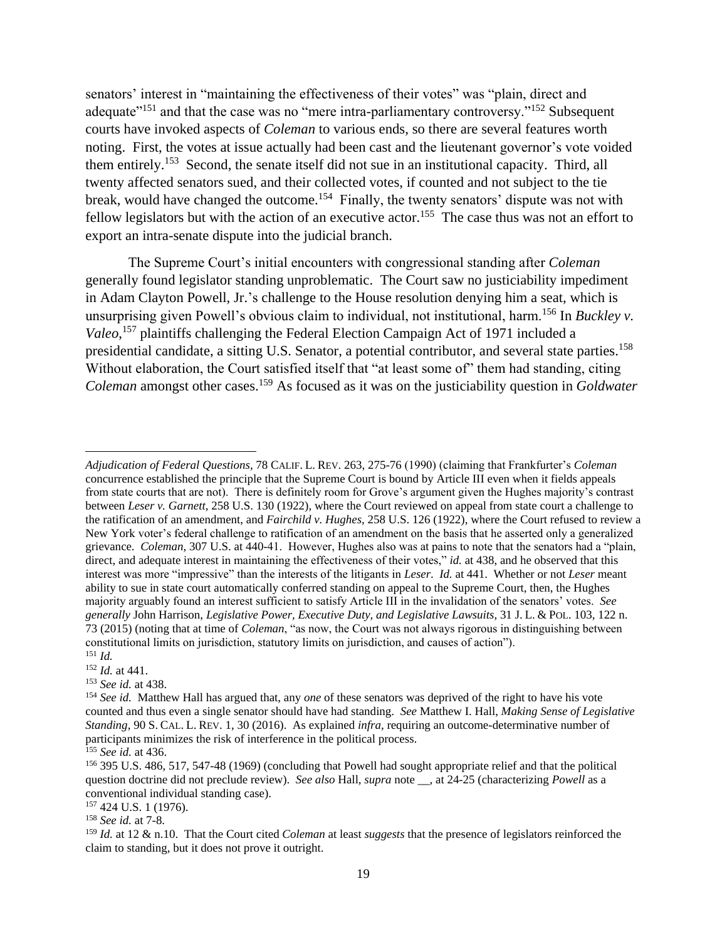senators' interest in "maintaining the effectiveness of their votes" was "plain, direct and adequate<sup> $151$ </sup> and that the case was no "mere intra-parliamentary controversy."<sup>152</sup> Subsequent courts have invoked aspects of *Coleman* to various ends, so there are several features worth noting. First, the votes at issue actually had been cast and the lieutenant governor's vote voided them entirely.<sup>153</sup> Second, the senate itself did not sue in an institutional capacity. Third, all twenty affected senators sued, and their collected votes, if counted and not subject to the tie break, would have changed the outcome.<sup>154</sup> Finally, the twenty senators' dispute was not with fellow legislators but with the action of an executive actor.<sup>155</sup> The case thus was not an effort to export an intra-senate dispute into the judicial branch.

The Supreme Court's initial encounters with congressional standing after *Coleman*  generally found legislator standing unproblematic. The Court saw no justiciability impediment in Adam Clayton Powell, Jr.'s challenge to the House resolution denying him a seat, which is unsurprising given Powell's obvious claim to individual, not institutional, harm.<sup>156</sup> In *Buckley v. Valeo*, <sup>157</sup> plaintiffs challenging the Federal Election Campaign Act of 1971 included a presidential candidate, a sitting U.S. Senator, a potential contributor, and several state parties.<sup>158</sup> Without elaboration, the Court satisfied itself that "at least some of" them had standing, citing *Coleman* amongst other cases.<sup>159</sup> As focused as it was on the justiciability question in *Goldwater* 

 $\overline{\phantom{a}}$ 

<sup>158</sup> *See id.* at 7-8.

*Adjudication of Federal Questions*, 78 CALIF. L. REV. 263, 275-76 (1990) (claiming that Frankfurter's *Coleman* concurrence established the principle that the Supreme Court is bound by Article III even when it fields appeals from state courts that are not). There is definitely room for Grove's argument given the Hughes majority's contrast between *Leser v. Garnett*, 258 U.S. 130 (1922), where the Court reviewed on appeal from state court a challenge to the ratification of an amendment, and *Fairchild v. Hughes*, 258 U.S. 126 (1922), where the Court refused to review a New York voter's federal challenge to ratification of an amendment on the basis that he asserted only a generalized grievance. *Coleman*, 307 U.S. at 440-41. However, Hughes also was at pains to note that the senators had a "plain, direct, and adequate interest in maintaining the effectiveness of their votes," *id.* at 438, and he observed that this interest was more "impressive" than the interests of the litigants in *Leser*. *Id.* at 441. Whether or not *Leser* meant ability to sue in state court automatically conferred standing on appeal to the Supreme Court, then, the Hughes majority arguably found an interest sufficient to satisfy Article III in the invalidation of the senators' votes. *See generally* John Harrison, *Legislative Power, Executive Duty, and Legislative Lawsuits*, 31 J. L. & POL. 103, 122 n. 73 (2015) (noting that at time of *Coleman*, "as now, the Court was not always rigorous in distinguishing between constitutional limits on jurisdiction, statutory limits on jurisdiction, and causes of action"). <sup>151</sup> *Id.*

<sup>152</sup> *Id.* at 441.

<sup>153</sup> *See id.* at 438.

<sup>154</sup> *See id.* Matthew Hall has argued that, any *one* of these senators was deprived of the right to have his vote counted and thus even a single senator should have had standing. *See* Matthew I. Hall, *Making Sense of Legislative Standing*, 90 S. CAL. L. REV. 1, 30 (2016). As explained *infra*, requiring an outcome-determinative number of participants minimizes the risk of interference in the political process.

<sup>155</sup> *See id.* at 436.

<sup>156</sup> 395 U.S. 486, 517, 547-48 (1969) (concluding that Powell had sought appropriate relief and that the political question doctrine did not preclude review). *See also* Hall, *supra* note \_\_, at 24-25 (characterizing *Powell* as a conventional individual standing case).

<sup>157</sup> 424 U.S. 1 (1976).

<sup>159</sup> *Id.* at 12 & n.10. That the Court cited *Coleman* at least *suggests* that the presence of legislators reinforced the claim to standing, but it does not prove it outright.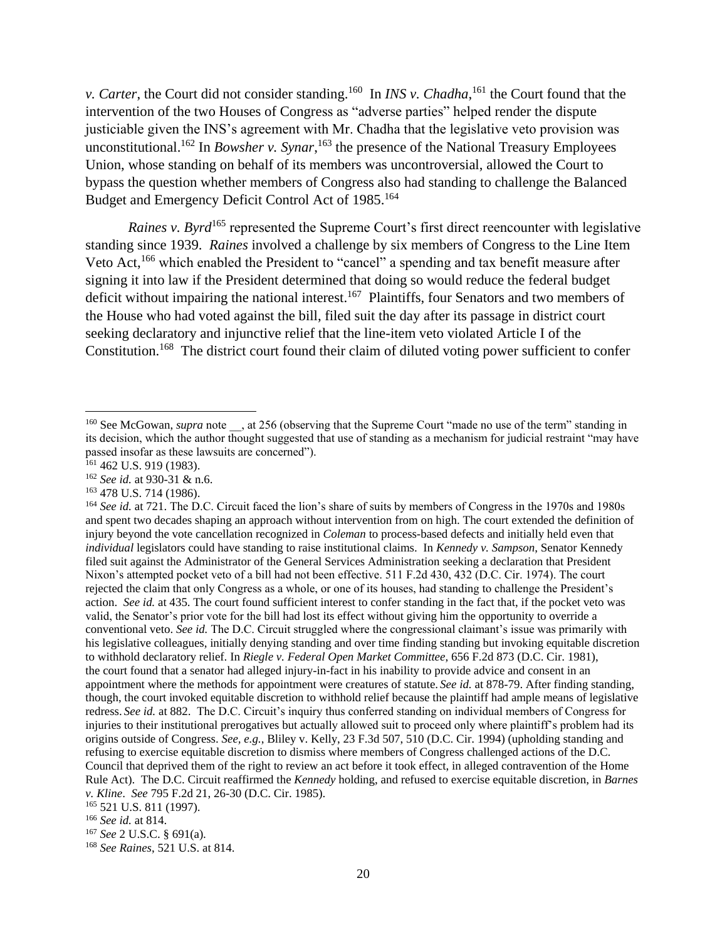*v. Carter*, the Court did not consider standing.<sup>160</sup> In *INS v. Chadha*,<sup>161</sup> the Court found that the intervention of the two Houses of Congress as "adverse parties" helped render the dispute justiciable given the INS's agreement with Mr. Chadha that the legislative veto provision was unconstitutional.<sup>162</sup> In *Bowsher v. Synar*,<sup>163</sup> the presence of the National Treasury Employees Union, whose standing on behalf of its members was uncontroversial, allowed the Court to bypass the question whether members of Congress also had standing to challenge the Balanced Budget and Emergency Deficit Control Act of 1985.<sup>164</sup>

*Raines v. Byrd*<sup>165</sup> represented the Supreme Court's first direct reencounter with legislative standing since 1939. *Raines* involved a challenge by six members of Congress to the Line Item Veto Act,<sup>166</sup> which enabled the President to "cancel" a spending and tax benefit measure after signing it into law if the President determined that doing so would reduce the federal budget deficit without impairing the national interest.<sup>167</sup> Plaintiffs, four Senators and two members of the House who had voted against the bill, filed suit the day after its passage in district court seeking declaratory and injunctive relief that the line-item veto violated Article I of the Constitution.<sup>168</sup> The district court found their claim of diluted voting power sufficient to confer

l

<sup>168</sup> *See Raines*, 521 U.S. at 814.

<sup>&</sup>lt;sup>160</sup> See McGowan, *supra* note , at 256 (observing that the Supreme Court "made no use of the term" standing in its decision, which the author thought suggested that use of standing as a mechanism for judicial restraint "may have passed insofar as these lawsuits are concerned").

<sup>&</sup>lt;sup>161</sup> 462 U.S. 919 (1983).

<sup>162</sup> *See id.* at 930-31 & n.6.

<sup>163</sup> 478 U.S. 714 (1986).

<sup>164</sup> *See id.* at 721. The D.C. Circuit faced the lion's share of suits by members of Congress in the 1970s and 1980s and spent two decades shaping an approach without intervention from on high. The court extended the definition of injury beyond the vote cancellation recognized in *Coleman* to process-based defects and initially held even that *individual* legislators could have standing to raise institutional claims. In *Kennedy v. Sampson*, Senator Kennedy filed suit against the Administrator of the General Services Administration seeking a declaration that President Nixon's attempted pocket veto of a bill had not been effective. 511 F.2d 430, 432 (D.C. Cir. 1974). The court rejected the claim that only Congress as a whole, or one of its houses, had standing to challenge the President's action. *See id.* at 435. The court found sufficient interest to confer standing in the fact that, if the pocket veto was valid, the Senator's prior vote for the bill had lost its effect without giving him the opportunity to override a conventional veto. *See id.* The D.C. Circuit struggled where the congressional claimant's issue was primarily with his legislative colleagues, initially denying standing and over time finding standing but invoking equitable discretion to withhold declaratory relief. In *Riegle v. Federal Open Market Committee*, 656 F.2d 873 (D.C. Cir. 1981), the court found that a senator had alleged injury-in-fact in his inability to provide advice and consent in an appointment where the methods for appointment were creatures of statute. *See id.* at 878-79. After finding standing, though, the court invoked equitable discretion to withhold relief because the plaintiff had ample means of legislative redress. *See id.* at 882. The D.C. Circuit's inquiry thus conferred standing on individual members of Congress for injuries to their institutional prerogatives but actually allowed suit to proceed only where plaintiff's problem had its origins outside of Congress. *See, e.g.*, Bliley v. Kelly, 23 F.3d 507, 510 (D.C. Cir. 1994) (upholding standing and refusing to exercise equitable discretion to dismiss where members of Congress challenged actions of the D.C. Council that deprived them of the right to review an act before it took effect, in alleged contravention of the Home Rule Act). The D.C. Circuit reaffirmed the *Kennedy* holding, and refused to exercise equitable discretion, in *Barnes v. Kline*. *See* 795 F.2d 21, 26-30 (D.C. Cir. 1985).

<sup>165</sup> 521 U.S. 811 (1997).

<sup>166</sup> *See id.* at 814.

<sup>167</sup> *See* 2 U.S.C. § 691(a).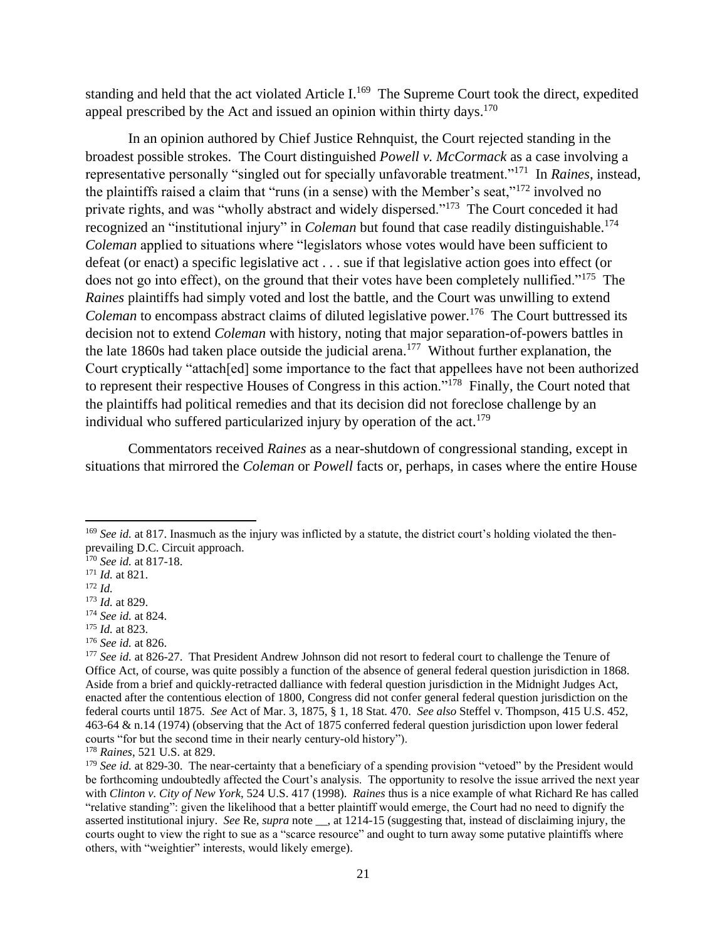standing and held that the act violated Article I.<sup>169</sup> The Supreme Court took the direct, expedited appeal prescribed by the Act and issued an opinion within thirty days. $170$ 

In an opinion authored by Chief Justice Rehnquist, the Court rejected standing in the broadest possible strokes. The Court distinguished *Powell v. McCormack* as a case involving a representative personally "singled out for specially unfavorable treatment."<sup>171</sup> In *Raines*, instead, the plaintiffs raised a claim that "runs (in a sense) with the Member's seat,"<sup>172</sup> involved no private rights, and was "wholly abstract and widely dispersed."<sup>173</sup> The Court conceded it had recognized an "institutional injury" in *Coleman* but found that case readily distinguishable.<sup>174</sup> *Coleman* applied to situations where "legislators whose votes would have been sufficient to defeat (or enact) a specific legislative act . . . sue if that legislative action goes into effect (or does not go into effect), on the ground that their votes have been completely nullified."<sup>175</sup> The *Raines* plaintiffs had simply voted and lost the battle, and the Court was unwilling to extend Coleman to encompass abstract claims of diluted legislative power.<sup>176</sup> The Court buttressed its decision not to extend *Coleman* with history, noting that major separation-of-powers battles in the late 1860s had taken place outside the judicial arena.<sup>177</sup> Without further explanation, the Court cryptically "attach[ed] some importance to the fact that appellees have not been authorized to represent their respective Houses of Congress in this action."<sup>178</sup> Finally, the Court noted that the plaintiffs had political remedies and that its decision did not foreclose challenge by an individual who suffered particularized injury by operation of the  $act.179$ 

Commentators received *Raines* as a near-shutdown of congressional standing, except in situations that mirrored the *Coleman* or *Powell* facts or, perhaps, in cases where the entire House

<sup>&</sup>lt;sup>169</sup> *See id.* at 817. Inasmuch as the injury was inflicted by a statute, the district court's holding violated the thenprevailing D.C. Circuit approach.

<sup>170</sup> *See id.* at 817-18.

<sup>171</sup> *Id.* at 821.

<sup>172</sup> *Id.*

<sup>173</sup> *Id.* at 829. <sup>174</sup> *See id.* at 824.

<sup>175</sup> *Id.* at 823.

<sup>176</sup> *See id.* at 826.

<sup>&</sup>lt;sup>177</sup> *See id.* at 826-27. That President Andrew Johnson did not resort to federal court to challenge the Tenure of Office Act, of course, was quite possibly a function of the absence of general federal question jurisdiction in 1868. Aside from a brief and quickly-retracted dalliance with federal question jurisdiction in the Midnight Judges Act, enacted after the contentious election of 1800, Congress did not confer general federal question jurisdiction on the federal courts until 1875. *See* Act of Mar. 3, 1875, § 1, 18 Stat. 470. *See also* Steffel v. Thompson, 415 U.S. 452, 463-64 & n.14 (1974) (observing that the Act of 1875 conferred federal question jurisdiction upon lower federal courts "for but the second time in their nearly century-old history").

<sup>178</sup> *Raines*, 521 U.S. at 829.

<sup>&</sup>lt;sup>179</sup> *See id.* at 829-30. The near-certainty that a beneficiary of a spending provision "vetoed" by the President would be forthcoming undoubtedly affected the Court's analysis. The opportunity to resolve the issue arrived the next year with *Clinton v. City of New York*, 524 U.S. 417 (1998). *Raines* thus is a nice example of what Richard Re has called "relative standing": given the likelihood that a better plaintiff would emerge, the Court had no need to dignify the asserted institutional injury. *See* Re, *supra* note \_\_, at 1214-15 (suggesting that, instead of disclaiming injury, the courts ought to view the right to sue as a "scarce resource" and ought to turn away some putative plaintiffs where others, with "weightier" interests, would likely emerge).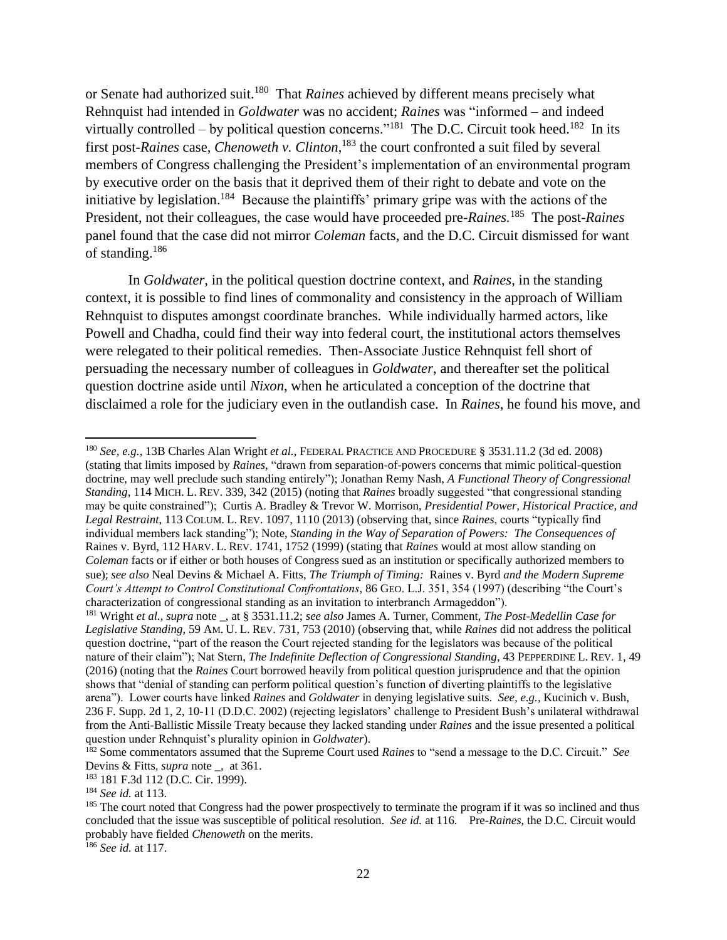or Senate had authorized suit.<sup>180</sup> That *Raines* achieved by different means precisely what Rehnquist had intended in *Goldwater* was no accident; *Raines* was "informed – and indeed virtually controlled – by political question concerns."<sup>181</sup> The D.C. Circuit took heed.<sup>182</sup> In its first post-*Raines* case, *Chenoweth v. Clinton*, <sup>183</sup> the court confronted a suit filed by several members of Congress challenging the President's implementation of an environmental program by executive order on the basis that it deprived them of their right to debate and vote on the initiative by legislation.<sup>184</sup> Because the plaintiffs' primary gripe was with the actions of the President, not their colleagues, the case would have proceeded pre-*Raines.*<sup>185</sup> The post-*Raines*  panel found that the case did not mirror *Coleman* facts, and the D.C. Circuit dismissed for want of standing.<sup>186</sup>

In *Goldwater*, in the political question doctrine context, and *Raines*, in the standing context, it is possible to find lines of commonality and consistency in the approach of William Rehnquist to disputes amongst coordinate branches. While individually harmed actors, like Powell and Chadha, could find their way into federal court, the institutional actors themselves were relegated to their political remedies. Then-Associate Justice Rehnquist fell short of persuading the necessary number of colleagues in *Goldwater*, and thereafter set the political question doctrine aside until *Nixon*, when he articulated a conception of the doctrine that disclaimed a role for the judiciary even in the outlandish case. In *Raines*, he found his move, and

<sup>180</sup> *See, e.g.*, 13B Charles Alan Wright *et al.*, FEDERAL PRACTICE AND PROCEDURE § 3531.11.2 (3d ed. 2008) (stating that limits imposed by *Raines*, "drawn from separation-of-powers concerns that mimic political-question doctrine, may well preclude such standing entirely"); Jonathan Remy Nash, *A Functional Theory of Congressional Standing*, 114 MICH. L. REV. 339, 342 (2015) (noting that *Raines* broadly suggested "that congressional standing may be quite constrained"); Curtis A. Bradley & Trevor W. Morrison, *Presidential Power, Historical Practice, and Legal Restraint*, 113 COLUM. L. REV. 1097, 1110 (2013) (observing that, since *Raines*, courts "typically find individual members lack standing"); Note, *Standing in the Way of Separation of Powers: The Consequences of*  Raines v. Byrd, 112 HARV. L. REV. 1741, 1752 (1999) (stating that *Raines* would at most allow standing on *Coleman* facts or if either or both houses of Congress sued as an institution or specifically authorized members to sue); *see also* Neal Devins & Michael A. Fitts, *The Triumph of Timing:* Raines v. Byrd *and the Modern Supreme Court's Attempt to Control Constitutional Confrontations*, 86 GEO. L.J. 351, 354 (1997) (describing "the Court's characterization of congressional standing as an invitation to interbranch Armageddon").

 $\overline{\phantom{a}}$ 

<sup>186</sup> *See id.* at 117.

<sup>181</sup> Wright *et al.*, *supra* note \_, at § 3531.11.2; *see also* James A. Turner, Comment, *The Post-Medellin Case for Legislative Standing*, 59 AM. U. L. REV. 731, 753 (2010) (observing that, while *Raines* did not address the political question doctrine, "part of the reason the Court rejected standing for the legislators was because of the political nature of their claim"); Nat Stern, *The Indefinite Deflection of Congressional Standing*, 43 PEPPERDINE L. REV. 1, 49 (2016) (noting that the *Raines* Court borrowed heavily from political question jurisprudence and that the opinion shows that "denial of standing can perform political question's function of diverting plaintiffs to the legislative arena"). Lower courts have linked *Raines* and *Goldwater* in denying legislative suits. *See, e.g.,* Kucinich v. Bush, 236 F. Supp. 2d 1, 2, 10-11 (D.D.C. 2002) (rejecting legislators' challenge to President Bush's unilateral withdrawal from the Anti-Ballistic Missile Treaty because they lacked standing under *Raines* and the issue presented a political question under Rehnquist's plurality opinion in *Goldwater*).

<sup>182</sup> Some commentators assumed that the Supreme Court used *Raines* to "send a message to the D.C. Circuit." *See* Devins & Fitts, *supra* note \_, at 361.

<sup>183</sup> 181 F.3d 112 (D.C. Cir. 1999).

<sup>184</sup> *See id.* at 113.

<sup>&</sup>lt;sup>185</sup> The court noted that Congress had the power prospectively to terminate the program if it was so inclined and thus concluded that the issue was susceptible of political resolution. *See id.* at 116. Pre-*Raines*, the D.C. Circuit would probably have fielded *Chenoweth* on the merits.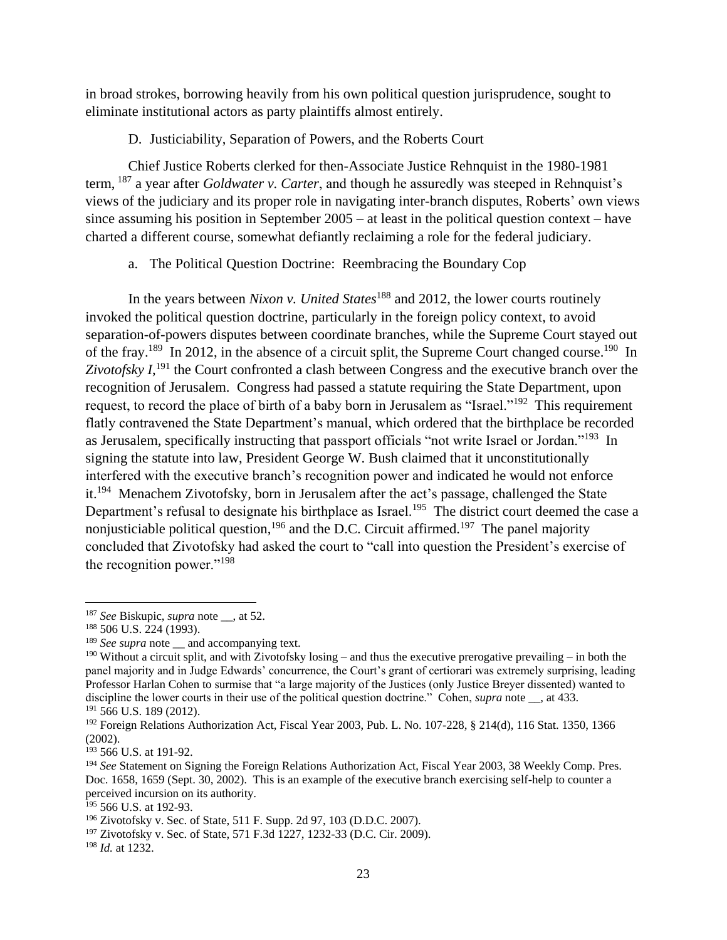in broad strokes, borrowing heavily from his own political question jurisprudence, sought to eliminate institutional actors as party plaintiffs almost entirely.

D. Justiciability, Separation of Powers, and the Roberts Court

Chief Justice Roberts clerked for then-Associate Justice Rehnquist in the 1980-1981 term, <sup>187</sup> a year after *Goldwater v. Carter*, and though he assuredly was steeped in Rehnquist's views of the judiciary and its proper role in navigating inter-branch disputes, Roberts' own views since assuming his position in September 2005 – at least in the political question context – have charted a different course, somewhat defiantly reclaiming a role for the federal judiciary.

a. The Political Question Doctrine: Reembracing the Boundary Cop

In the years between *Nixon v. United States*<sup>188</sup> and 2012, the lower courts routinely invoked the political question doctrine, particularly in the foreign policy context, to avoid separation-of-powers disputes between coordinate branches, while the Supreme Court stayed out of the fray.<sup>189</sup> In 2012, in the absence of a circuit split, the Supreme Court changed course.<sup>190</sup> In Zivotofsky  $I$ <sup>, 191</sup>, the Court confronted a clash between Congress and the executive branch over the recognition of Jerusalem. Congress had passed a statute requiring the State Department, upon request, to record the place of birth of a baby born in Jerusalem as "Israel."<sup>192</sup> This requirement flatly contravened the State Department's manual, which ordered that the birthplace be recorded as Jerusalem, specifically instructing that passport officials "not write Israel or Jordan."<sup>193</sup> In signing the statute into law, President George W. Bush claimed that it unconstitutionally interfered with the executive branch's recognition power and indicated he would not enforce it.<sup>194</sup> Menachem Zivotofsky, born in Jerusalem after the act's passage, challenged the State Department's refusal to designate his birthplace as Israel.<sup>195</sup> The district court deemed the case a nonjusticiable political question,  $196$  and the D.C. Circuit affirmed.<sup>197</sup> The panel majority concluded that Zivotofsky had asked the court to "call into question the President's exercise of the recognition power."<sup>198</sup>

 $\overline{\phantom{a}}$ <sup>187</sup> *See* Biskupic, *supra* note \_\_, at 52.

<sup>188</sup> 506 U.S. 224 (1993).

<sup>&</sup>lt;sup>189</sup> *See supra* note and accompanying text.

<sup>&</sup>lt;sup>190</sup> Without a circuit split, and with Zivotofsky losing – and thus the executive prerogative prevailing – in both the panel majority and in Judge Edwards' concurrence, the Court's grant of certiorari was extremely surprising, leading Professor Harlan Cohen to surmise that "a large majority of the Justices (only Justice Breyer dissented) wanted to discipline the lower courts in their use of the political question doctrine." Cohen, *supra* note \_\_, at 433. <sup>191</sup> 566 U.S. 189 (2012).

<sup>&</sup>lt;sup>192</sup> Foreign Relations Authorization Act, Fiscal Year 2003, Pub. L. No. 107-228, § 214(d), 116 Stat. 1350, 1366 (2002).

<sup>193</sup> 566 U.S. at 191-92.

<sup>194</sup> *See* Statement on Signing the Foreign Relations Authorization Act, Fiscal Year 2003, 38 Weekly Comp. Pres. Doc. 1658, 1659 (Sept. 30, 2002). This is an example of the executive branch exercising self-help to counter a perceived incursion on its authority.

 $195$  566 U.S. at 192-93.

<sup>196</sup> Zivotofsky v. Sec. of State, 511 F. Supp. 2d 97, 103 (D.D.C. 2007).

<sup>197</sup> Zivotofsky v. Sec. of State, 571 F.3d 1227, 1232-33 (D.C. Cir. 2009).

<sup>198</sup> *Id.* at 1232.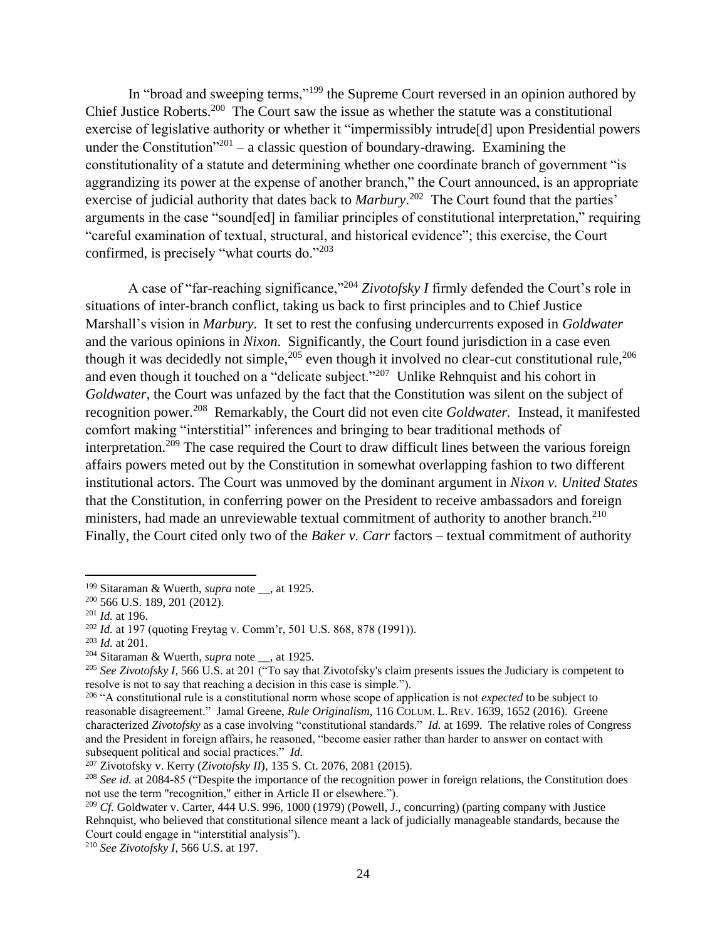In "broad and sweeping terms,"<sup>199</sup> the Supreme Court reversed in an opinion authored by Chief Justice Roberts.<sup>200</sup> The Court saw the issue as whether the statute was a constitutional exercise of legislative authority or whether it "impermissibly intrude[d] upon Presidential powers under the Constitution<sup>"201</sup> – a classic question of boundary-drawing. Examining the constitutionality of a statute and determining whether one coordinate branch of government "is aggrandizing its power at the expense of another branch," the Court announced, is an appropriate exercise of judicial authority that dates back to *Marbury*.<sup>202</sup> The Court found that the parties' arguments in the case "sound[ed] in familiar principles of constitutional interpretation," requiring "careful examination of textual, structural, and historical evidence"; this exercise, the Court confirmed, is precisely "what courts do."<sup>203</sup>

A case of "far-reaching significance,"<sup>204</sup> *Zivotofsky I* firmly defended the Court's role in situations of inter-branch conflict, taking us back to first principles and to Chief Justice Marshall's vision in *Marbury*. It set to rest the confusing undercurrents exposed in *Goldwater*  and the various opinions in *Nixon*. Significantly, the Court found jurisdiction in a case even though it was decidedly not simple,  $205$  even though it involved no clear-cut constitutional rule,  $206$ and even though it touched on a "delicate subject."<sup>207</sup> Unlike Rehnquist and his cohort in *Goldwater*, the Court was unfazed by the fact that the Constitution was silent on the subject of recognition power.<sup>208</sup> Remarkably, the Court did not even cite *Goldwater*. Instead, it manifested comfort making "interstitial" inferences and bringing to bear traditional methods of interpretation.<sup>209</sup> The case required the Court to draw difficult lines between the various foreign affairs powers meted out by the Constitution in somewhat overlapping fashion to two different institutional actors. The Court was unmoved by the dominant argument in *Nixon v. United States*  that the Constitution, in conferring power on the President to receive ambassadors and foreign ministers, had made an unreviewable textual commitment of authority to another branch.<sup>210</sup> Finally, the Court cited only two of the *Baker v. Carr* factors – textual commitment of authority

<sup>199</sup> Sitaraman & Wuerth, *supra* note \_\_, at 1925.

<sup>200</sup> 566 U.S. 189, 201 (2012).

<sup>201</sup> *Id.* at 196.

<sup>202</sup> *Id.* at 197 (quoting Freytag v. Comm'r, 501 U.S. 868, 878 (1991)).

<sup>203</sup> *Id.* at 201.

<sup>204</sup> Sitaraman & Wuerth, *supra* note \_\_, at 1925.

<sup>&</sup>lt;sup>205</sup> *See Zivotofsky I*, 566 U.S. at 201 ("To say that Zivotofsky's claim presents issues the Judiciary is competent to resolve is not to say that reaching a decision in this case is simple.").

<sup>&</sup>lt;sup>206</sup> "A constitutional rule is a constitutional norm whose scope of application is not *expected* to be subject to reasonable disagreement." Jamal Greene, *Rule Originalism*, 116 COLUM. L. REV. 1639, 1652 (2016). Greene characterized *Zivotofsky* as a case involving "constitutional standards." *Id.* at 1699. The relative roles of Congress and the President in foreign affairs, he reasoned, "become easier rather than harder to answer on contact with subsequent political and social practices." *Id.*

<sup>207</sup> Zivotofsky v. Kerry (*Zivotofsky II*), 135 S. Ct. 2076, 2081 (2015).

<sup>208</sup> *See id.* at 2084-85 ("Despite the importance of the recognition power in foreign relations, the Constitution does not use the term "recognition," either in Article II or elsewhere.").

<sup>209</sup> *Cf.* Goldwater v. Carter, 444 U.S. 996, 1000 (1979) (Powell, J., concurring) (parting company with Justice Rehnquist, who believed that constitutional silence meant a lack of judicially manageable standards, because the Court could engage in "interstitial analysis").

<sup>210</sup> *See Zivotofsky I*, 566 U.S. at 197.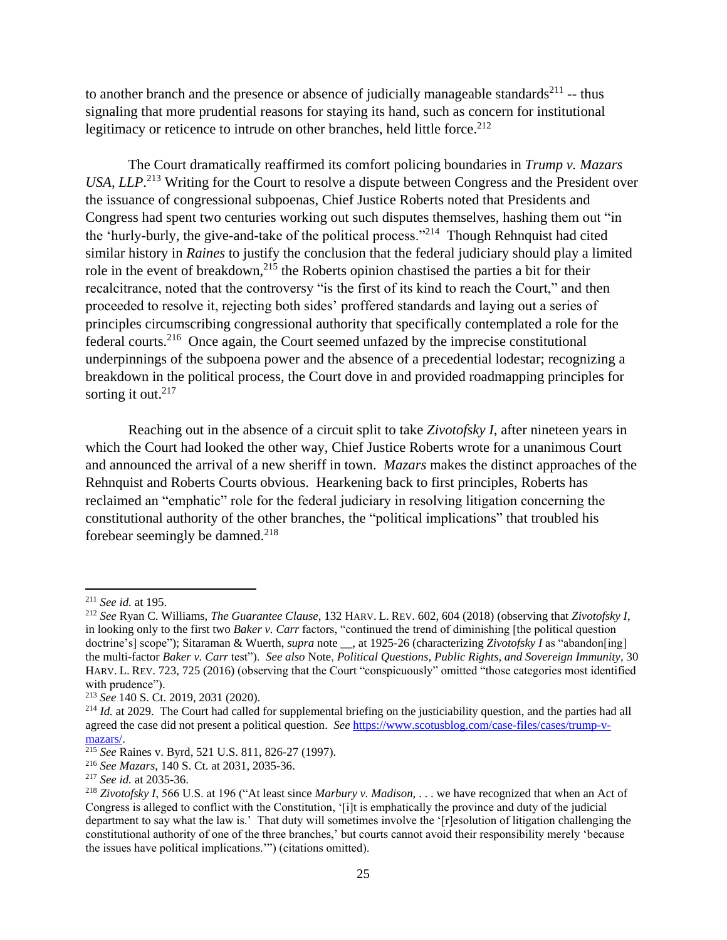to another branch and the presence or absence of judicially manageable standards<sup>211</sup> -- thus signaling that more prudential reasons for staying its hand, such as concern for institutional legitimacy or reticence to intrude on other branches, held little force.<sup>212</sup>

The Court dramatically reaffirmed its comfort policing boundaries in *Trump v. Mazars* USA, LLP.<sup>213</sup> Writing for the Court to resolve a dispute between Congress and the President over the issuance of congressional subpoenas, Chief Justice Roberts noted that Presidents and Congress had spent two centuries working out such disputes themselves, hashing them out "in the 'hurly-burly, the give-and-take of the political process."<sup>214</sup> Though Rehnquist had cited similar history in *Raines* to justify the conclusion that the federal judiciary should play a limited role in the event of breakdown,<sup>215</sup> the Roberts opinion chastised the parties a bit for their recalcitrance, noted that the controversy "is the first of its kind to reach the Court," and then proceeded to resolve it, rejecting both sides' proffered standards and laying out a series of principles circumscribing congressional authority that specifically contemplated a role for the federal courts.<sup>216</sup> Once again, the Court seemed unfazed by the imprecise constitutional underpinnings of the subpoena power and the absence of a precedential lodestar; recognizing a breakdown in the political process, the Court dove in and provided roadmapping principles for sorting it out. $217$ 

Reaching out in the absence of a circuit split to take *Zivotofsky I*, after nineteen years in which the Court had looked the other way, Chief Justice Roberts wrote for a unanimous Court and announced the arrival of a new sheriff in town. *Mazars* makes the distinct approaches of the Rehnquist and Roberts Courts obvious. Hearkening back to first principles, Roberts has reclaimed an "emphatic" role for the federal judiciary in resolving litigation concerning the constitutional authority of the other branches, the "political implications" that troubled his forebear seemingly be damned.<sup>218</sup>

 $\overline{a}$ 

<sup>211</sup> *See id.* at 195.

<sup>212</sup> *See* Ryan C. Williams, *The Guarantee Clause*, 132 HARV. L. REV. 602, 604 (2018) (observing that *Zivotofsky I*, in looking only to the first two *Baker v. Carr* factors, "continued the trend of diminishing [the political question doctrine's] scope"); Sitaraman & Wuerth, *supra* note \_\_, at 1925-26 (characterizing *Zivotofsky I* as "abandon[ing] the multi-factor *Baker v. Carr* test"). *See also* Note, *Political Questions, Public Rights, and Sovereign Immunity*, 30 HARV. L. REV. 723, 725 (2016) (observing that the Court "conspicuously" omitted "those categories most identified with prudence").

<sup>213</sup> *See* 140 S. Ct. 2019, 2031 (2020).

<sup>&</sup>lt;sup>214</sup> *Id.* at 2029. The Court had called for supplemental briefing on the justiciability question, and the parties had all agreed the case did not present a political question. *See* [https://www.scotusblog.com/case-files/cases/trump-v](https://www.scotusblog.com/case-files/cases/trump-v-mazars/)[mazars/.](https://www.scotusblog.com/case-files/cases/trump-v-mazars/)

<sup>215</sup> *See* Raines v. Byrd*,* 521 U.S. 811, 826-27 (1997).

<sup>216</sup> *See Mazars*, 140 S. Ct. at 2031, 2035-36.

<sup>217</sup> *See id.* at 2035-36.

<sup>218</sup> *Zivotofsky I*, 566 U.S. at 196 ("At least since *Marbury v. Madison,* . . . we have recognized that when an Act of Congress is alleged to conflict with the Constitution, '[i]t is emphatically the province and duty of the judicial department to say what the law is.' That duty will sometimes involve the '[r]esolution of litigation challenging the constitutional authority of one of the three branches,' but courts cannot avoid their responsibility merely 'because the issues have political implications.'") (citations omitted).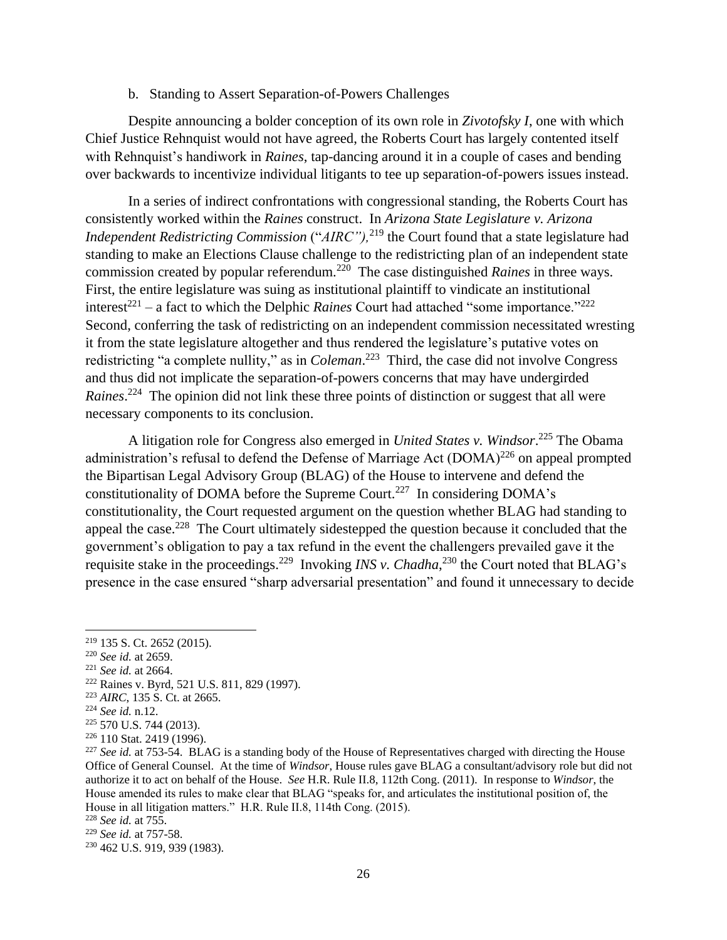### b. Standing to Assert Separation-of-Powers Challenges

Despite announcing a bolder conception of its own role in *Zivotofsky I*, one with which Chief Justice Rehnquist would not have agreed, the Roberts Court has largely contented itself with Rehnquist's handiwork in *Raines*, tap-dancing around it in a couple of cases and bending over backwards to incentivize individual litigants to tee up separation-of-powers issues instead.

In a series of indirect confrontations with congressional standing, the Roberts Court has consistently worked within the *Raines* construct. In *Arizona State Legislature v. Arizona Independent Redistricting Commission* ("*AIRC*"),<sup>219</sup> the Court found that a state legislature had standing to make an Elections Clause challenge to the redistricting plan of an independent state commission created by popular referendum.<sup>220</sup> The case distinguished *Raines* in three ways. First, the entire legislature was suing as institutional plaintiff to vindicate an institutional interest<sup>221</sup> – a fact to which the Delphic *Raines* Court had attached "some importance."<sup>222</sup> Second, conferring the task of redistricting on an independent commission necessitated wresting it from the state legislature altogether and thus rendered the legislature's putative votes on redistricting "a complete nullity," as in *Coleman*. 223 Third, the case did not involve Congress and thus did not implicate the separation-of-powers concerns that may have undergirded Raines.<sup>224</sup> The opinion did not link these three points of distinction or suggest that all were necessary components to its conclusion.

A litigation role for Congress also emerged in *United States v. Windsor*. <sup>225</sup> The Obama administration's refusal to defend the Defense of Marriage Act  $(DOMA)^{226}$  on appeal prompted the Bipartisan Legal Advisory Group (BLAG) of the House to intervene and defend the constitutionality of DOMA before the Supreme Court.<sup>227</sup> In considering DOMA's constitutionality, the Court requested argument on the question whether BLAG had standing to appeal the case.<sup>228</sup> The Court ultimately sidestepped the question because it concluded that the government's obligation to pay a tax refund in the event the challengers prevailed gave it the requisite stake in the proceedings.<sup>229</sup> Invoking *INS v. Chadha*,<sup>230</sup> the Court noted that BLAG's presence in the case ensured "sharp adversarial presentation" and found it unnecessary to decide

 $\overline{a}$ 

<sup>221</sup> *See id.* at 2664.

<sup>219</sup> 135 S. Ct. 2652 (2015).

<sup>220</sup> *See id.* at 2659.

<sup>222</sup> Raines v. Byrd, 521 U.S. 811, 829 (1997).

<sup>223</sup> *AIRC*, 135 S. Ct. at 2665.

<sup>224</sup> *See id.* n.12.

<sup>225</sup> 570 U.S. 744 (2013).

<sup>226</sup> 110 Stat. 2419 (1996).

<sup>&</sup>lt;sup>227</sup> See id. at 753-54. BLAG is a standing body of the House of Representatives charged with directing the House Office of General Counsel. At the time of *Windsor*, House rules gave BLAG a consultant/advisory role but did not authorize it to act on behalf of the House. *See* H.R. Rule II.8, 112th Cong. (2011). In response to *Windsor*, the House amended its rules to make clear that BLAG "speaks for, and articulates the institutional position of, the House in all litigation matters." H.R. Rule II.8, 114th Cong. (2015).

<sup>228</sup> *See id.* at 755.

<sup>229</sup> *See id.* at 757-58.

<sup>230</sup> 462 U.S. 919, 939 (1983).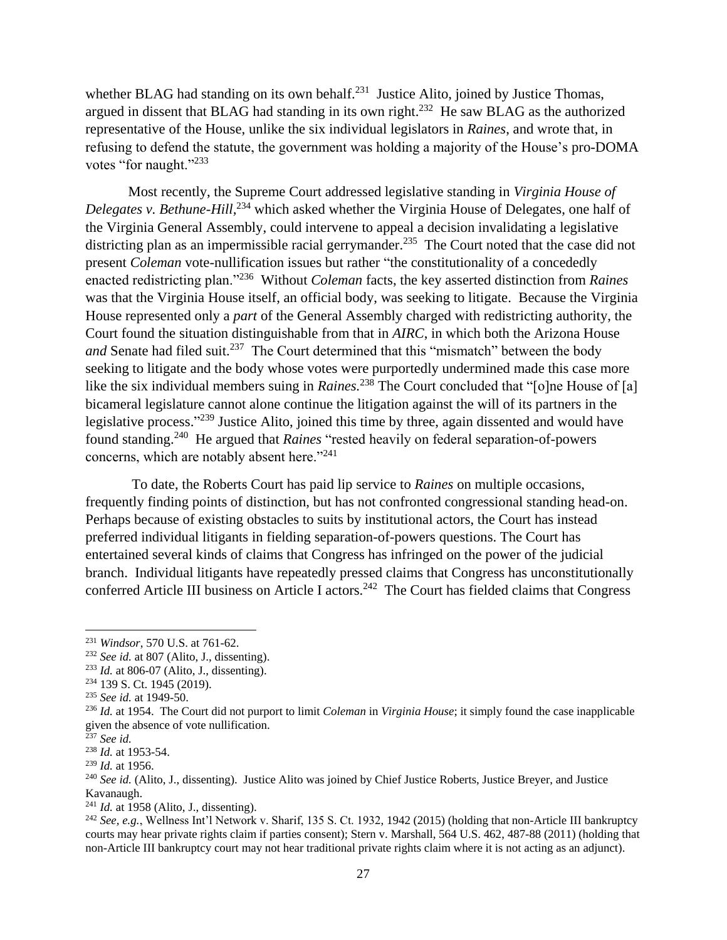whether BLAG had standing on its own behalf. $231$  Justice Alito, joined by Justice Thomas, argued in dissent that BLAG had standing in its own right.<sup>232</sup> He saw BLAG as the authorized representative of the House, unlike the six individual legislators in *Raines*, and wrote that, in refusing to defend the statute, the government was holding a majority of the House's pro-DOMA votes "for naught."<sup>233</sup>

Most recently, the Supreme Court addressed legislative standing in *Virginia House of Delegates v. Bethune-Hill*,<sup>234</sup> which asked whether the Virginia House of Delegates, one half of the Virginia General Assembly, could intervene to appeal a decision invalidating a legislative districting plan as an impermissible racial gerrymander.<sup>235</sup> The Court noted that the case did not present *Coleman* vote-nullification issues but rather "the constitutionality of a concededly enacted redistricting plan."<sup>236</sup> Without *Coleman* facts, the key asserted distinction from *Raines* was that the Virginia House itself, an official body, was seeking to litigate. Because the Virginia House represented only a *part* of the General Assembly charged with redistricting authority, the Court found the situation distinguishable from that in *AIRC*, in which both the Arizona House and Senate had filed suit.<sup>237</sup> The Court determined that this "mismatch" between the body seeking to litigate and the body whose votes were purportedly undermined made this case more like the six individual members suing in *Raines*.<sup>238</sup> The Court concluded that "[o]ne House of [a] bicameral legislature cannot alone continue the litigation against the will of its partners in the legislative process."<sup>239</sup> Justice Alito, joined this time by three, again dissented and would have found standing.<sup>240</sup> He argued that *Raines* "rested heavily on federal separation-of-powers concerns, which are notably absent here."<sup>241</sup>

To date, the Roberts Court has paid lip service to *Raines* on multiple occasions, frequently finding points of distinction, but has not confronted congressional standing head-on. Perhaps because of existing obstacles to suits by institutional actors, the Court has instead preferred individual litigants in fielding separation-of-powers questions. The Court has entertained several kinds of claims that Congress has infringed on the power of the judicial branch. Individual litigants have repeatedly pressed claims that Congress has unconstitutionally conferred Article III business on Article I actors.<sup>242</sup> The Court has fielded claims that Congress

 $\overline{a}$ 

<sup>241</sup> *Id.* at 1958 (Alito, J., dissenting).

<sup>242</sup> *See, e.g.*, Wellness Int'l Network v. Sharif, 135 S. Ct. 1932, 1942 (2015) (holding that non-Article III bankruptcy courts may hear private rights claim if parties consent); Stern v. Marshall, 564 U.S. 462, 487-88 (2011) (holding that non-Article III bankruptcy court may not hear traditional private rights claim where it is not acting as an adjunct).

<sup>231</sup> *Windsor*, 570 U.S. at 761-62.

<sup>232</sup> *See id.* at 807 (Alito, J., dissenting).

<sup>233</sup> *Id.* at 806-07 (Alito, J., dissenting).

<sup>234</sup> 139 S. Ct. 1945 (2019).

<sup>235</sup> *See id.* at 1949-50.

<sup>236</sup> *Id.* at 1954. The Court did not purport to limit *Coleman* in *Virginia House*; it simply found the case inapplicable given the absence of vote nullification.

<sup>237</sup> *See id.*

<sup>238</sup> *Id.* at 1953-54.

<sup>239</sup> *Id.* at 1956.

<sup>240</sup> *See id.* (Alito, J., dissenting). Justice Alito was joined by Chief Justice Roberts, Justice Breyer, and Justice Kavanaugh.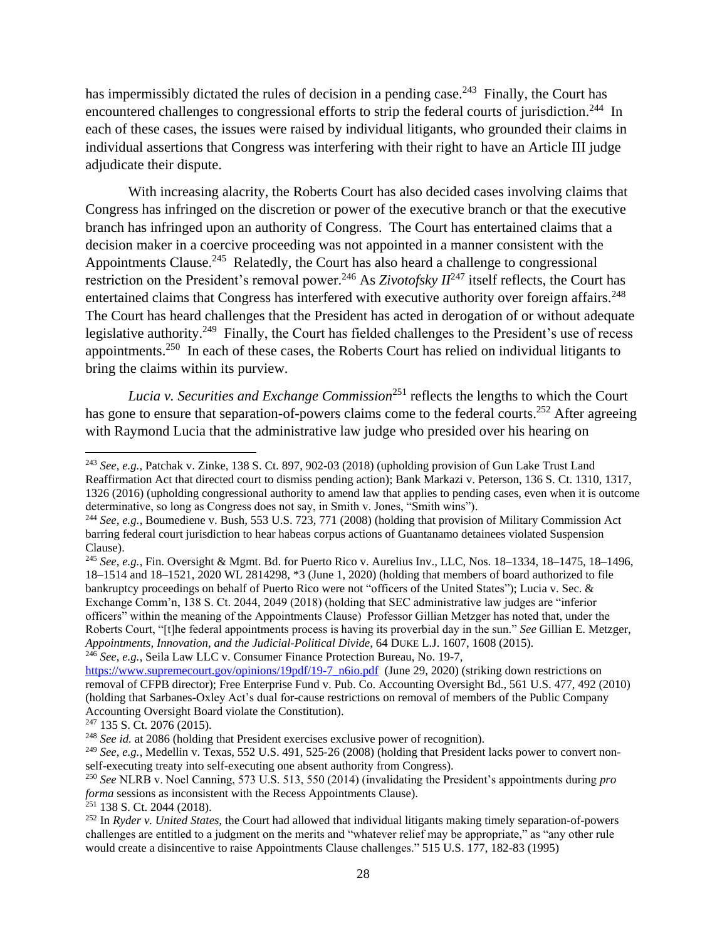has impermissibly dictated the rules of decision in a pending case.<sup>243</sup> Finally, the Court has encountered challenges to congressional efforts to strip the federal courts of jurisdiction.<sup>244</sup> In each of these cases, the issues were raised by individual litigants, who grounded their claims in individual assertions that Congress was interfering with their right to have an Article III judge adjudicate their dispute.

With increasing alacrity, the Roberts Court has also decided cases involving claims that Congress has infringed on the discretion or power of the executive branch or that the executive branch has infringed upon an authority of Congress. The Court has entertained claims that a decision maker in a coercive proceeding was not appointed in a manner consistent with the Appointments Clause.<sup>245</sup> Relatedly, the Court has also heard a challenge to congressional restriction on the President's removal power.<sup>246</sup> As *Zivotofsky II*<sup>247</sup> itself reflects, the Court has entertained claims that Congress has interfered with executive authority over foreign affairs.<sup>248</sup> The Court has heard challenges that the President has acted in derogation of or without adequate legislative authority.<sup>249</sup> Finally, the Court has fielded challenges to the President's use of recess appointments.<sup>250</sup> In each of these cases, the Roberts Court has relied on individual litigants to bring the claims within its purview.

*Lucia v. Securities and Exchange Commission*<sup>251</sup> reflects the lengths to which the Court has gone to ensure that separation-of-powers claims come to the federal courts.<sup>252</sup> After agreeing with Raymond Lucia that the administrative law judge who presided over his hearing on

l

<sup>251</sup> 138 S. Ct. 2044 (2018).

<sup>243</sup> *See, e.g.,* Patchak v. Zinke, 138 S. Ct. 897, 902-03 (2018) (upholding provision of Gun Lake Trust Land Reaffirmation Act that directed court to dismiss pending action); Bank Markazi v. Peterson, 136 S. Ct. 1310, 1317, 1326 (2016) (upholding congressional authority to amend law that applies to pending cases, even when it is outcome determinative, so long as Congress does not say, in Smith v. Jones, "Smith wins").

<sup>244</sup> *See, e.g.*, Boumediene v. Bush, 553 U.S. 723, 771 (2008) (holding that provision of Military Commission Act barring federal court jurisdiction to hear habeas corpus actions of Guantanamo detainees violated Suspension Clause).

<sup>245</sup> *See, e.g.*, Fin. Oversight & Mgmt. Bd. for Puerto Rico v. Aurelius Inv., LLC, Nos. 18–1334, 18–1475, 18–1496, 18–1514 and 18–1521, 2020 WL 2814298, \*3 (June 1, 2020) (holding that members of board authorized to file bankruptcy proceedings on behalf of Puerto Rico were not "officers of the United States"); Lucia v. Sec. & Exchange Comm'n, 138 S. Ct. 2044, 2049 (2018) (holding that SEC administrative law judges are "inferior officers" within the meaning of the Appointments Clause) Professor Gillian Metzger has noted that, under the Roberts Court, "[t]he federal appointments process is having its proverbial day in the sun." *See* Gillian E. Metzger, *Appointments, Innovation, and the Judicial-Political Divide*, 64 DUKE L.J. 1607, 1608 (2015). <sup>246</sup> *See, e.g.*, Seila Law LLC v. Consumer Finance Protection Bureau, No. 19-7,

[https://www.supremecourt.gov/opinions/19pdf/19-7\\_n6io.pdf](https://www.supremecourt.gov/opinions/19pdf/19-7_n6io.pdf) (June 29, 2020) (striking down restrictions on removal of CFPB director); Free Enterprise Fund v. Pub. Co. Accounting Oversight Bd., 561 U.S. 477, 492 (2010) (holding that Sarbanes-Oxley Act's dual for-cause restrictions on removal of members of the Public Company Accounting Oversight Board violate the Constitution).

<sup>247</sup> 135 S. Ct. 2076 (2015).

<sup>248</sup> *See id.* at 2086 (holding that President exercises exclusive power of recognition).

<sup>249</sup> *See*, *e.g.*, Medellin v. Texas, 552 U.S. 491, 525-26 (2008) (holding that President lacks power to convert nonself-executing treaty into self-executing one absent authority from Congress).

<sup>250</sup> *See* NLRB v. Noel Canning, 573 U.S. 513, 550 (2014) (invalidating the President's appointments during *pro forma* sessions as inconsistent with the Recess Appointments Clause).

<sup>252</sup> In *Ryder v. United States*, the Court had allowed that individual litigants making timely separation-of-powers challenges are entitled to a judgment on the merits and "whatever relief may be appropriate," as "any other rule would create a disincentive to raise Appointments Clause challenges." 515 U.S. 177, 182-83 (1995)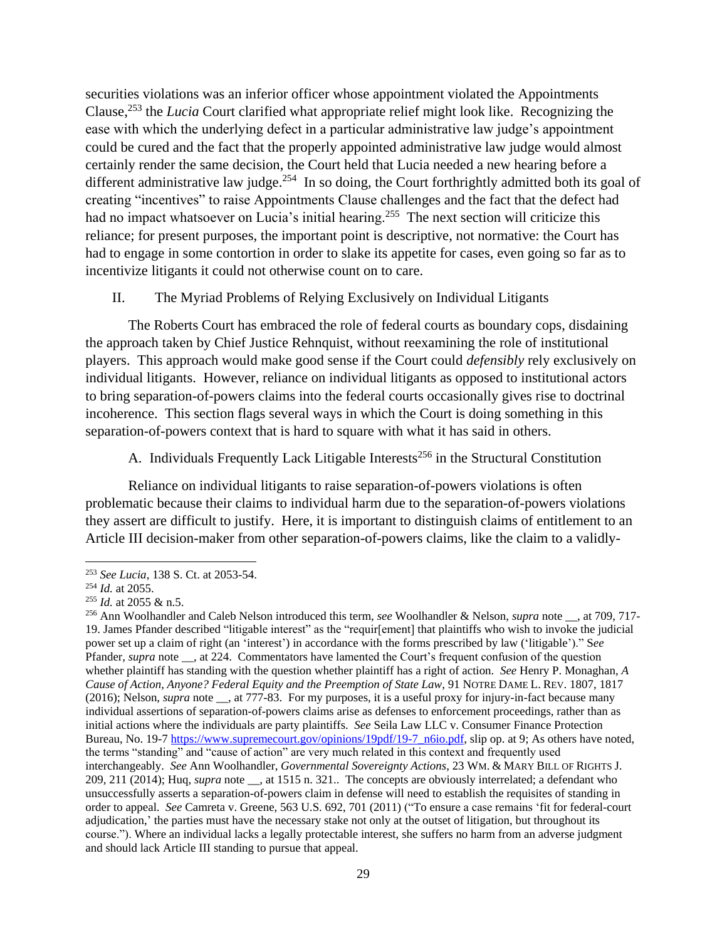securities violations was an inferior officer whose appointment violated the Appointments Clause,<sup>253</sup> the *Lucia* Court clarified what appropriate relief might look like. Recognizing the ease with which the underlying defect in a particular administrative law judge's appointment could be cured and the fact that the properly appointed administrative law judge would almost certainly render the same decision, the Court held that Lucia needed a new hearing before a different administrative law judge.<sup>254</sup> In so doing, the Court forthrightly admitted both its goal of creating "incentives" to raise Appointments Clause challenges and the fact that the defect had had no impact whatsoever on Lucia's initial hearing.<sup>255</sup> The next section will criticize this reliance; for present purposes, the important point is descriptive, not normative: the Court has had to engage in some contortion in order to slake its appetite for cases, even going so far as to incentivize litigants it could not otherwise count on to care.

II. The Myriad Problems of Relying Exclusively on Individual Litigants

The Roberts Court has embraced the role of federal courts as boundary cops, disdaining the approach taken by Chief Justice Rehnquist, without reexamining the role of institutional players. This approach would make good sense if the Court could *defensibly* rely exclusively on individual litigants. However, reliance on individual litigants as opposed to institutional actors to bring separation-of-powers claims into the federal courts occasionally gives rise to doctrinal incoherence. This section flags several ways in which the Court is doing something in this separation-of-powers context that is hard to square with what it has said in others.

A. Individuals Frequently Lack Litigable Interests<sup>256</sup> in the Structural Constitution

Reliance on individual litigants to raise separation-of-powers violations is often problematic because their claims to individual harm due to the separation-of-powers violations they assert are difficult to justify. Here, it is important to distinguish claims of entitlement to an Article III decision-maker from other separation-of-powers claims, like the claim to a validly-

<sup>253</sup> *See Lucia*, 138 S. Ct. at 2053-54.

<sup>254</sup> *Id.* at 2055.

<sup>255</sup> *Id.* at 2055 & n.5.

<sup>256</sup> Ann Woolhandler and Caleb Nelson introduced this term, *see* Woolhandler & Nelson, *supra* note \_\_, at 709, 717- 19. James Pfander described "litigable interest" as the "requir[ement] that plaintiffs who wish to invoke the judicial power set up a claim of right (an 'interest') in accordance with the forms prescribed by law ('litigable')." S*ee*  Pfander, *supra* note \_\_, at 224. Commentators have lamented the Court's frequent confusion of the question whether plaintiff has standing with the question whether plaintiff has a right of action. *See* Henry P. Monaghan, *A Cause of Action, Anyone? Federal Equity and the Preemption of State Law*, 91 NOTRE DAME L. REV. 1807, 1817 (2016); Nelson, *supra* note \_\_, at 777-83. For my purposes, it is a useful proxy for injury-in-fact because many individual assertions of separation-of-powers claims arise as defenses to enforcement proceedings, rather than as initial actions where the individuals are party plaintiffs. *See* Seila Law LLC v. Consumer Finance Protection Bureau, No. 19-7 [https://www.supremecourt.gov/opinions/19pdf/19-7\\_n6io.pdf,](https://www.supremecourt.gov/opinions/19pdf/19-7_n6io.pdf) slip op. at 9; As others have noted, the terms "standing" and "cause of action" are very much related in this context and frequently used interchangeably. *See* Ann Woolhandler, *Governmental Sovereignty Actions*, 23 WM. & MARY BILL OF RIGHTS J. 209, 211 (2014); Huq, *supra* note \_\_, at 1515 n. 321.. The concepts are obviously interrelated; a defendant who unsuccessfully asserts a separation-of-powers claim in defense will need to establish the requisites of standing in order to appeal. *See* Camreta v. Greene, 563 U.S. 692, 701 (2011) ("To ensure a case remains 'fit for federal-court adjudication,' the parties must have the necessary stake not only at the outset of litigation, but throughout its course."). Where an individual lacks a legally protectable interest, she suffers no harm from an adverse judgment and should lack Article III standing to pursue that appeal.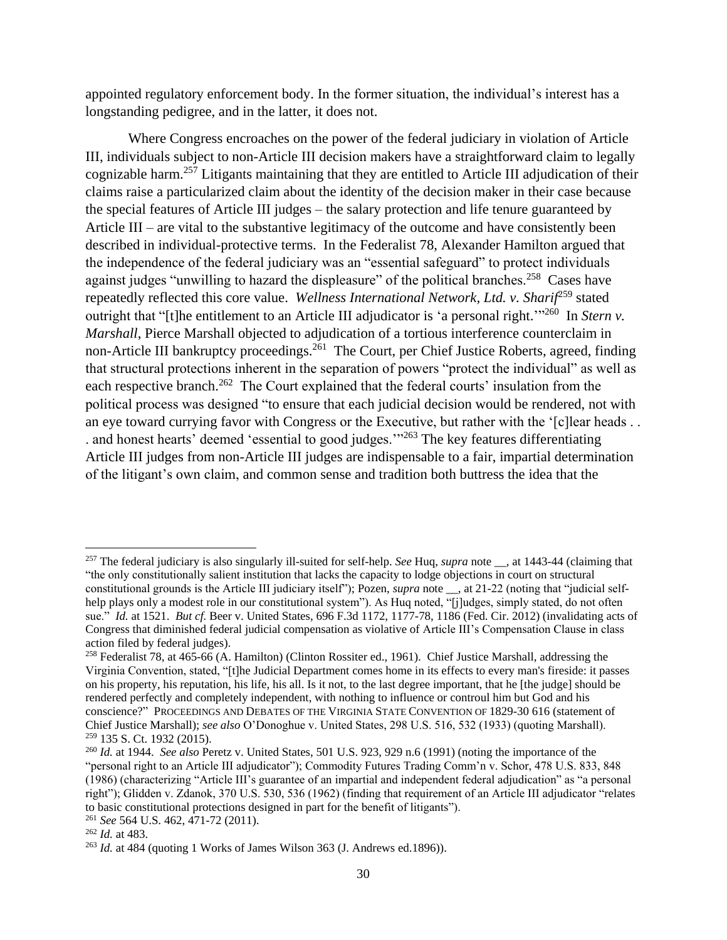appointed regulatory enforcement body. In the former situation, the individual's interest has a longstanding pedigree, and in the latter, it does not.

Where Congress encroaches on the power of the federal judiciary in violation of Article III, individuals subject to non-Article III decision makers have a straightforward claim to legally cognizable harm. <sup>257</sup> Litigants maintaining that they are entitled to Article III adjudication of their claims raise a particularized claim about the identity of the decision maker in their case because the special features of Article III judges – the salary protection and life tenure guaranteed by Article III – are vital to the substantive legitimacy of the outcome and have consistently been described in individual-protective terms. In the Federalist 78, Alexander Hamilton argued that the independence of the federal judiciary was an "essential safeguard" to protect individuals against judges "unwilling to hazard the displeasure" of the political branches.<sup>258</sup> Cases have repeatedly reflected this core value. *Wellness International Network, Ltd. v. Sharif*<sup>259</sup> stated outright that "[t]he entitlement to an Article III adjudicator is 'a personal right.<sup>'"260</sup> In *Stern v*. *Marshall*, Pierce Marshall objected to adjudication of a tortious interference counterclaim in non-Article III bankruptcy proceedings.<sup>261</sup> The Court, per Chief Justice Roberts, agreed, finding that structural protections inherent in the separation of powers "protect the individual" as well as each respective branch.<sup>262</sup> The Court explained that the federal courts' insulation from the political process was designed "to ensure that each judicial decision would be rendered, not with an eye toward currying favor with Congress or the Executive, but rather with the '[c]lear heads . . . and honest hearts' deemed 'essential to good judges.'"<sup>263</sup> The key features differentiating Article III judges from non-Article III judges are indispensable to a fair, impartial determination of the litigant's own claim, and common sense and tradition both buttress the idea that the

 $\overline{a}$ 

<sup>257</sup> The federal judiciary is also singularly ill-suited for self-help. *See* Huq, *supra* note \_\_, at 1443-44 (claiming that "the only constitutionally salient institution that lacks the capacity to lodge objections in court on structural constitutional grounds is the Article III judiciary itself"); Pozen, *supra* note \_\_, at 21-22 (noting that "judicial selfhelp plays only a modest role in our constitutional system"). As Huq noted, "[j]udges, simply stated, do not often sue." *Id.* at 1521. *But cf.* Beer v. United States, 696 F.3d 1172, 1177-78, 1186 (Fed. Cir. 2012) (invalidating acts of Congress that diminished federal judicial compensation as violative of Article III's Compensation Clause in class action filed by federal judges).

<sup>258</sup> Federalist 78, at 465-66 (A. Hamilton) (Clinton Rossiter ed., 1961). Chief Justice Marshall, addressing the Virginia Convention, stated, "[t]he Judicial Department comes home in its effects to every man's fireside: it passes on his property, his reputation, his life, his all. Is it not, to the last degree important, that he [the judge] should be rendered perfectly and completely independent, with nothing to influence or controul him but God and his conscience?" PROCEEDINGS AND DEBATES OF THE VIRGINIA STATE CONVENTION OF 1829-30 616 (statement of Chief Justice Marshall); *see also* O'Donoghue v. United States, 298 U.S. 516, 532 (1933) (quoting Marshall). <sup>259</sup> 135 S. Ct. 1932 (2015).

<sup>260</sup> *Id.* at 1944. *See also* Peretz v. United States, 501 U.S. 923, 929 n.6 (1991) (noting the importance of the "personal right to an Article III adjudicator"); Commodity Futures Trading Comm'n v. Schor, 478 U.S. 833, 848 (1986) (characterizing "Article III's guarantee of an impartial and independent federal adjudication" as "a personal right"); Glidden v. Zdanok, 370 U.S. 530, 536 (1962) (finding that requirement of an Article III adjudicator "relates to basic constitutional protections designed in part for the benefit of litigants").

<sup>261</sup> *See* 564 U.S*.* 462, 471-72 (2011).

<sup>262</sup> *Id.* at 483.

<sup>263</sup> *Id.* at 484 (quoting 1 Works of James Wilson 363 (J. Andrews ed.1896)).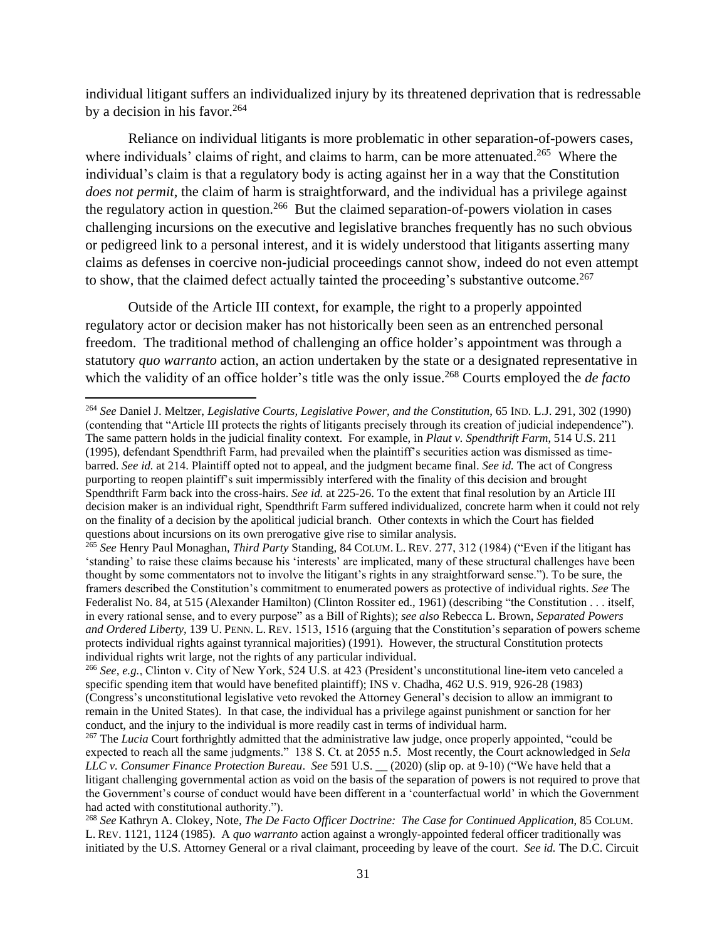individual litigant suffers an individualized injury by its threatened deprivation that is redressable by a decision in his favor.  $264$ 

Reliance on individual litigants is more problematic in other separation-of-powers cases, where individuals' claims of right, and claims to harm, can be more attenuated.<sup>265</sup> Where the individual's claim is that a regulatory body is acting against her in a way that the Constitution *does not permit*, the claim of harm is straightforward, and the individual has a privilege against the regulatory action in question.<sup>266</sup> But the claimed separation-of-powers violation in cases challenging incursions on the executive and legislative branches frequently has no such obvious or pedigreed link to a personal interest, and it is widely understood that litigants asserting many claims as defenses in coercive non-judicial proceedings cannot show, indeed do not even attempt to show, that the claimed defect actually tainted the proceeding's substantive outcome.<sup>267</sup>

Outside of the Article III context, for example, the right to a properly appointed regulatory actor or decision maker has not historically been seen as an entrenched personal freedom. The traditional method of challenging an office holder's appointment was through a statutory *quo warranto* action, an action undertaken by the state or a designated representative in which the validity of an office holder's title was the only issue. <sup>268</sup> Courts employed the *de facto*

<sup>264</sup> *See* Daniel J. Meltzer, *Legislative Courts, Legislative Power, and the Constitution*, 65 IND. L.J. 291, 302 (1990) (contending that "Article III protects the rights of litigants precisely through its creation of judicial independence"). The same pattern holds in the judicial finality context. For example, in *Plaut v. Spendthrift Farm*, 514 U.S. 211 (1995), defendant Spendthrift Farm, had prevailed when the plaintiff's securities action was dismissed as timebarred. *See id.* at 214. Plaintiff opted not to appeal, and the judgment became final. *See id.* The act of Congress purporting to reopen plaintiff's suit impermissibly interfered with the finality of this decision and brought Spendthrift Farm back into the cross-hairs. *See id.* at 225-26. To the extent that final resolution by an Article III decision maker is an individual right, Spendthrift Farm suffered individualized, concrete harm when it could not rely on the finality of a decision by the apolitical judicial branch. Other contexts in which the Court has fielded questions about incursions on its own prerogative give rise to similar analysis.

<sup>265</sup> *See* Henry Paul Monaghan, *Third Party* Standing, 84 COLUM. L. REV. 277, 312 (1984) ("Even if the litigant has 'standing' to raise these claims because his 'interests' are implicated, many of these structural challenges have been thought by some commentators not to involve the litigant's rights in any straightforward sense."). To be sure, the framers described the Constitution's commitment to enumerated powers as protective of individual rights. *See* The Federalist No. 84, at 515 (Alexander Hamilton) (Clinton Rossiter ed., 1961) (describing "the Constitution . . . itself, in every rational sense, and to every purpose" as a Bill of Rights); *see also* Rebecca L. Brown, *Separated Powers and Ordered Liberty*, 139 U. PENN. L. REV. 1513, 1516 (arguing that the Constitution's separation of powers scheme protects individual rights against tyrannical majorities) (1991). However, the structural Constitution protects individual rights writ large, not the rights of any particular individual.

<sup>266</sup> *See, e.g.*, Clinton v. City of New York, 524 U.S. at 423 (President's unconstitutional line-item veto canceled a specific spending item that would have benefited plaintiff); INS v. Chadha, 462 U.S. 919, 926-28 (1983) (Congress's unconstitutional legislative veto revoked the Attorney General's decision to allow an immigrant to remain in the United States). In that case, the individual has a privilege against punishment or sanction for her conduct, and the injury to the individual is more readily cast in terms of individual harm.

<sup>&</sup>lt;sup>267</sup> The *Lucia* Court forthrightly admitted that the administrative law judge, once properly appointed, "could be expected to reach all the same judgments." 138 S. Ct. at 2055 n.5. Most recently, the Court acknowledged in *Sela LLC v. Consumer Finance Protection Bureau*. *See* 591 U.S. \_\_ (2020) (slip op. at 9-10) ("We have held that a litigant challenging governmental action as void on the basis of the separation of powers is not required to prove that the Government's course of conduct would have been different in a 'counterfactual world' in which the Government had acted with constitutional authority.").

<sup>268</sup> *See* Kathryn A. Clokey, Note, *The De Facto Officer Doctrine: The Case for Continued Application*, 85 COLUM. L. REV. 1121, 1124 (1985). A *quo warranto* action against a wrongly-appointed federal officer traditionally was initiated by the U.S. Attorney General or a rival claimant, proceeding by leave of the court. *See id.* The D.C. Circuit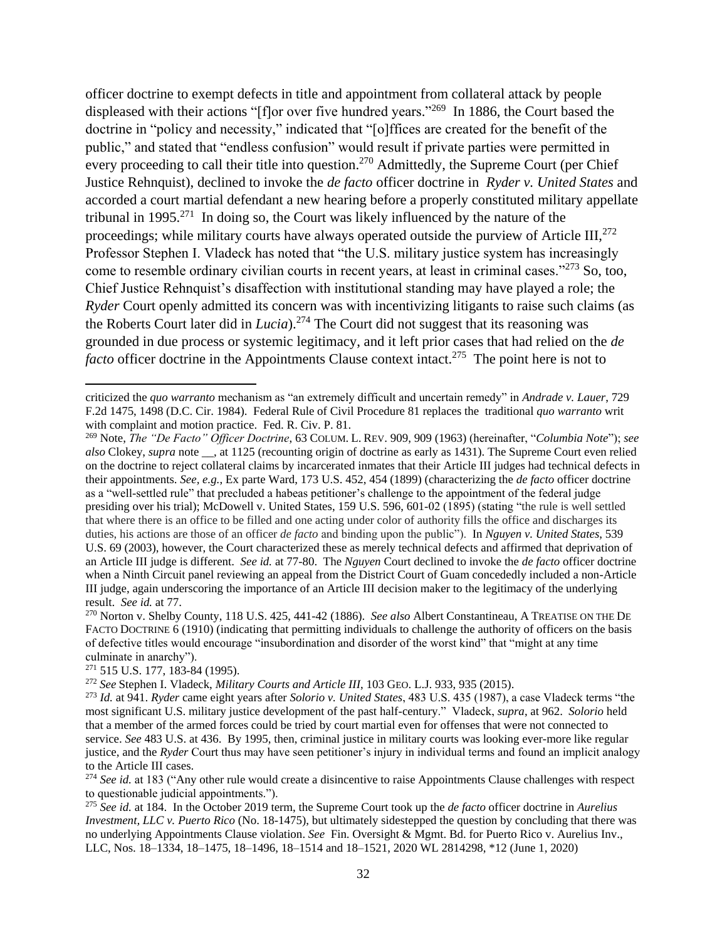officer doctrine to exempt defects in title and appointment from collateral attack by people displeased with their actions "[f]or over five hundred years."<sup>269</sup> In 1886, the Court based the doctrine in "policy and necessity," indicated that "[o]ffices are created for the benefit of the public," and stated that "endless confusion" would result if private parties were permitted in every proceeding to call their title into question.<sup>270</sup> Admittedly, the Supreme Court (per Chief Justice Rehnquist), declined to invoke the *de facto* officer doctrine in *Ryder v. United States* and accorded a court martial defendant a new hearing before a properly constituted military appellate tribunal in 1995.<sup>271</sup> In doing so, the Court was likely influenced by the nature of the proceedings; while military courts have always operated outside the purview of Article III, $^{272}$ Professor Stephen I. Vladeck has noted that "the U.S. military justice system has increasingly come to resemble ordinary civilian courts in recent years, at least in criminal cases."<sup>273</sup> So, too, Chief Justice Rehnquist's disaffection with institutional standing may have played a role; the *Ryder* Court openly admitted its concern was with incentivizing litigants to raise such claims (as the Roberts Court later did in *Lucia*).<sup>274</sup> The Court did not suggest that its reasoning was grounded in due process or systemic legitimacy, and it left prior cases that had relied on the *de*  facto officer doctrine in the Appointments Clause context intact.<sup>275</sup> The point here is not to

criticized the *quo warranto* mechanism as "an extremely difficult and uncertain remedy" in *Andrade v. Lauer*, 729 F.2d 1475, 1498 (D.C. Cir. 1984). Federal Rule of Civil Procedure 81 replaces the traditional *quo warranto* writ with complaint and motion practice. Fed. R. Civ. P. 81.

<sup>269</sup> Note, *The "De Facto" Officer Doctrine*, 63 COLUM. L. REV. 909, 909 (1963) (hereinafter, "*Columbia Note*"); *see also* Clokey, *supra* note \_\_, at 1125 (recounting origin of doctrine as early as 1431). The Supreme Court even relied on the doctrine to reject collateral claims by incarcerated inmates that their Article III judges had technical defects in their appointments. *See, e.g.*, Ex parte Ward, 173 U.S. 452, 454 (1899) (characterizing the *de facto* officer doctrine as a "well-settled rule" that precluded a habeas petitioner's challenge to the appointment of the federal judge presiding over his trial); McDowell v. United States, 159 U.S. 596, 601-02 (1895) (stating "the rule is well settled that where there is an office to be filled and one acting under color of authority fills the office and discharges its duties, his actions are those of an officer *de facto* and binding upon the public"). In *Nguyen v. United States*, 539 U.S. 69 (2003), however, the Court characterized these as merely technical defects and affirmed that deprivation of an Article III judge is different. *See id.* at 77-80. The *Nguyen* Court declined to invoke the *de facto* officer doctrine when a Ninth Circuit panel reviewing an appeal from the District Court of Guam concededly included a non-Article III judge, again underscoring the importance of an Article III decision maker to the legitimacy of the underlying result. *See id.* at 77.

<sup>270</sup> Norton v. Shelby County, 118 U.S. 425, 441-42 (1886). *See also* Albert Constantineau, A TREATISE ON THE DE FACTO DOCTRINE 6 (1910) (indicating that permitting individuals to challenge the authority of officers on the basis of defective titles would encourage "insubordination and disorder of the worst kind" that "might at any time culminate in anarchy").

<sup>271</sup> 515 U.S. 177, 183-84 (1995).

<sup>272</sup> *See* Stephen I. Vladeck, *Military Courts and Article III*, 103 GEO. L.J. 933, 935 (2015).

<sup>273</sup> *Id.* at 941. *Ryder* came eight years after *Solorio v. United States*, 483 U.S. 435 (1987), a case Vladeck terms "the most significant U.S. military justice development of the past half-century." Vladeck, *supra*, at 962. *Solorio* held that a member of the armed forces could be tried by court martial even for offenses that were not connected to service. *See* 483 U.S. at 436. By 1995, then, criminal justice in military courts was looking ever-more like regular justice, and the *Ryder* Court thus may have seen petitioner's injury in individual terms and found an implicit analogy to the Article III cases.

<sup>274</sup> *See id.* at 183 ("Any other rule would create a disincentive to raise Appointments Clause challenges with respect to questionable judicial appointments.").

<sup>275</sup> *See id.* at 184. In the October 2019 term, the Supreme Court took up the *de facto* officer doctrine in *Aurelius Investment, LLC v. Puerto Rico* (No. 18-1475), but ultimately sidestepped the question by concluding that there was no underlying Appointments Clause violation. *See* Fin. Oversight & Mgmt. Bd. for Puerto Rico v. Aurelius Inv., LLC, Nos. 18–1334, 18–1475, 18–1496, 18–1514 and 18–1521, 2020 WL 2814298, \*12 (June 1, 2020)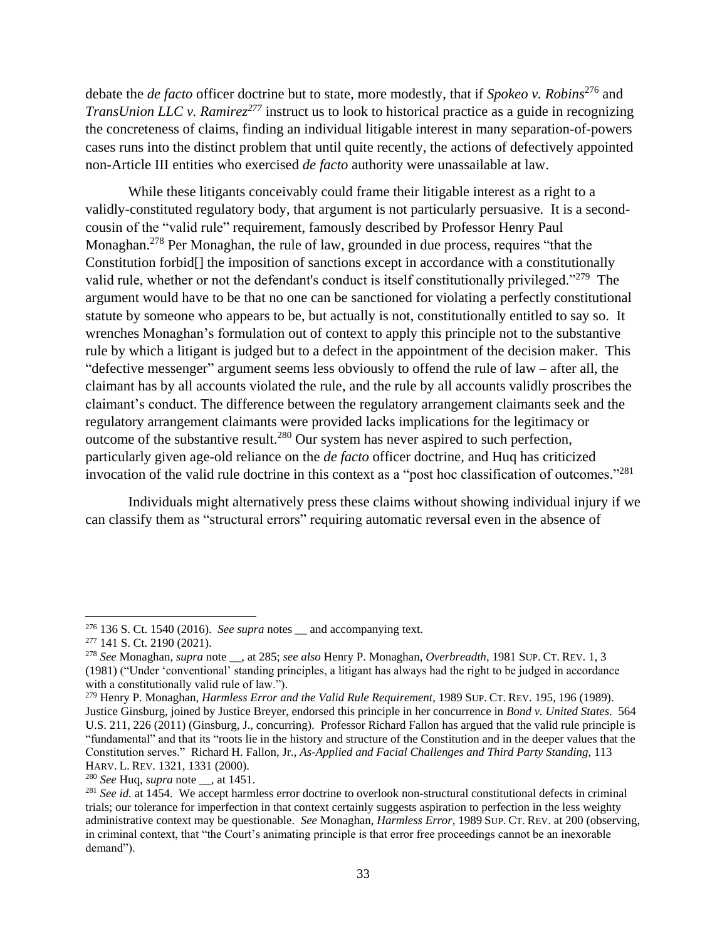debate the *de facto* officer doctrine but to state, more modestly, that if *Spokeo v. Robins*<sup>276</sup> and *TransUnion LLC v. Ramirez*<sup>277</sup> instruct us to look to historical practice as a guide in recognizing the concreteness of claims, finding an individual litigable interest in many separation-of-powers cases runs into the distinct problem that until quite recently, the actions of defectively appointed non-Article III entities who exercised *de facto* authority were unassailable at law.

While these litigants conceivably could frame their litigable interest as a right to a validly-constituted regulatory body, that argument is not particularly persuasive. It is a secondcousin of the "valid rule" requirement, famously described by Professor Henry Paul Monaghan.<sup>278</sup> Per Monaghan, the rule of law, grounded in due process, requires "that the Constitution forbid[] the imposition of sanctions except in accordance with a constitutionally valid rule, whether or not the defendant's conduct is itself constitutionally privileged."<sup>279</sup> The argument would have to be that no one can be sanctioned for violating a perfectly constitutional statute by someone who appears to be, but actually is not, constitutionally entitled to say so. It wrenches Monaghan's formulation out of context to apply this principle not to the substantive rule by which a litigant is judged but to a defect in the appointment of the decision maker. This "defective messenger" argument seems less obviously to offend the rule of law – after all, the claimant has by all accounts violated the rule, and the rule by all accounts validly proscribes the claimant's conduct. The difference between the regulatory arrangement claimants seek and the regulatory arrangement claimants were provided lacks implications for the legitimacy or outcome of the substantive result.<sup>280</sup> Our system has never aspired to such perfection, particularly given age-old reliance on the *de facto* officer doctrine, and Huq has criticized invocation of the valid rule doctrine in this context as a "post hoc classification of outcomes." 281

Individuals might alternatively press these claims without showing individual injury if we can classify them as "structural errors" requiring automatic reversal even in the absence of

<sup>276</sup> 136 S. Ct. 1540 (2016). *See supra* notes \_\_ and accompanying text.

<sup>277</sup> 141 S. Ct. 2190 (2021).

<sup>278</sup> *See* Monaghan, *supra* note \_\_, at 285; *see also* Henry P. Monaghan, *Overbreadth*, 1981 SUP. CT. REV. 1, 3 (1981) ("Under 'conventional' standing principles, a litigant has always had the right to be judged in accordance with a constitutionally valid rule of law.").

<sup>279</sup> Henry P. Monaghan, *Harmless Error and the Valid Rule Requirement*, 1989 SUP. CT. REV. 195, 196 (1989).

Justice Ginsburg, joined by Justice Breyer, endorsed this principle in her concurrence in *Bond v. United States*. 564 U.S. 211, 226 (2011) (Ginsburg, J., concurring). Professor Richard Fallon has argued that the valid rule principle is "fundamental" and that its "roots lie in the history and structure of the Constitution and in the deeper values that the Constitution serves." Richard H. Fallon, Jr., *As-Applied and Facial Challenges and Third Party Standing*, 113 HARV. L. REV. 1321, 1331 (2000).

<sup>280</sup> *See* Huq, *supra* note \_\_, at 1451.

<sup>281</sup> *See id.* at 1454. We accept harmless error doctrine to overlook non-structural constitutional defects in criminal trials; our tolerance for imperfection in that context certainly suggests aspiration to perfection in the less weighty administrative context may be questionable. *See* Monaghan, *Harmless Error*, 1989 SUP. CT. REV. at 200 (observing, in criminal context, that "the Court's animating principle is that error free proceedings cannot be an inexorable demand").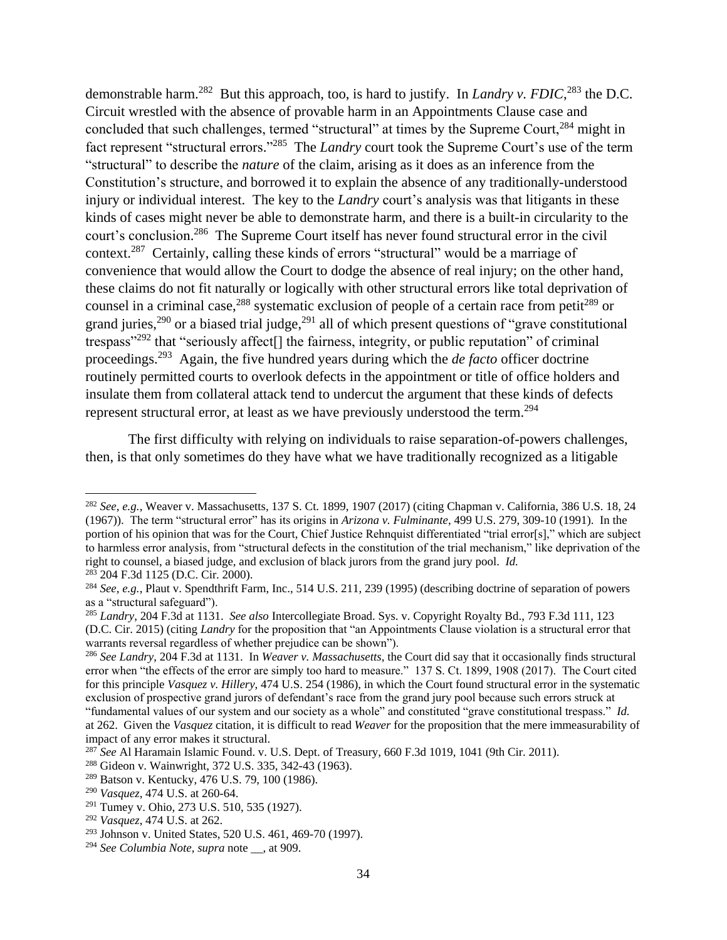demonstrable harm.<sup>282</sup> But this approach, too, is hard to justify. In *Landry v. FDIC*, <sup>283</sup> the D.C. Circuit wrestled with the absence of provable harm in an Appointments Clause case and concluded that such challenges, termed "structural" at times by the Supreme Court,<sup>284</sup> might in fact represent "structural errors."<sup>285</sup> The *Landry* court took the Supreme Court's use of the term "structural" to describe the *nature* of the claim, arising as it does as an inference from the Constitution's structure, and borrowed it to explain the absence of any traditionally-understood injury or individual interest. The key to the *Landry* court's analysis was that litigants in these kinds of cases might never be able to demonstrate harm, and there is a built-in circularity to the court's conclusion.<sup>286</sup> The Supreme Court itself has never found structural error in the civil context.<sup>287</sup> Certainly, calling these kinds of errors "structural" would be a marriage of convenience that would allow the Court to dodge the absence of real injury; on the other hand, these claims do not fit naturally or logically with other structural errors like total deprivation of counsel in a criminal case,  $288$  systematic exclusion of people of a certain race from petit $289$  or grand juries,<sup>290</sup> or a biased trial judge,<sup>291</sup> all of which present questions of "grave constitutional trespass"<sup>292</sup> that "seriously affect[] the fairness, integrity, or public reputation" of criminal proceedings.<sup>293</sup> Again, the five hundred years during which the *de facto* officer doctrine routinely permitted courts to overlook defects in the appointment or title of office holders and insulate them from collateral attack tend to undercut the argument that these kinds of defects represent structural error, at least as we have previously understood the term.<sup>294</sup>

The first difficulty with relying on individuals to raise separation-of-powers challenges, then, is that only sometimes do they have what we have traditionally recognized as a litigable

<sup>282</sup> *See, e.g.*, Weaver v. Massachusetts, 137 S. Ct. 1899, 1907 (2017) (citing Chapman v. California, 386 U.S. 18, 24 (1967)). The term "structural error" has its origins in *Arizona v. Fulminante*, 499 U.S. 279, 309-10 (1991). In the portion of his opinion that was for the Court, Chief Justice Rehnquist differentiated "trial error[s]," which are subject to harmless error analysis, from "structural defects in the constitution of the trial mechanism," like deprivation of the right to counsel, a biased judge, and exclusion of black jurors from the grand jury pool. *Id.* <sup>283</sup> 204 F.3d 1125 (D.C. Cir. 2000).

<sup>284</sup> *See, e.g.*, Plaut v. Spendthrift Farm, Inc., 514 U.S. 211, 239 (1995) (describing doctrine of separation of powers as a "structural safeguard").

<sup>285</sup> *Landry*, 204 F.3d at 1131. *See also* Intercollegiate Broad. Sys. v. Copyright Royalty Bd., 793 F.3d 111, 123 (D.C. Cir. 2015) (citing *Landry* for the proposition that "an Appointments Clause violation is a structural error that warrants reversal regardless of whether prejudice can be shown").

<sup>286</sup> *See Landry*, 204 F.3d at 1131. In *Weaver v. Massachusetts*, the Court did say that it occasionally finds structural error when "the effects of the error are simply too hard to measure." 137 S. Ct. 1899, 1908 (2017). The Court cited for this principle *Vasquez v. Hillery*, 474 U.S. 254 (1986), in which the Court found structural error in the systematic exclusion of prospective grand jurors of defendant's race from the grand jury pool because such errors struck at

<sup>&</sup>quot;fundamental values of our system and our society as a whole" and constituted "grave constitutional trespass." *Id.* at 262. Given the *Vasquez* citation, it is difficult to read *Weaver* for the proposition that the mere immeasurability of impact of any error makes it structural.

<sup>287</sup> *See* Al Haramain Islamic Found. v. U.S. Dept. of Treasury, 660 F.3d 1019, 1041 (9th Cir. 2011).

<sup>288</sup> Gideon v. Wainwright, 372 U.S. 335, 342-43 (1963).

<sup>289</sup> Batson v. Kentucky, 476 U.S. 79, 100 (1986).

<sup>290</sup> *Vasquez*, 474 U.S. at 260-64.

<sup>291</sup> Tumey v. Ohio, 273 U.S. 510, 535 (1927).

<sup>292</sup> *Vasquez*, 474 U.S. at 262.

<sup>293</sup> Johnson v. United States, 520 U.S. 461, 469-70 (1997).

<sup>294</sup> *See Columbia Note*, *supra* note \_\_, at 909.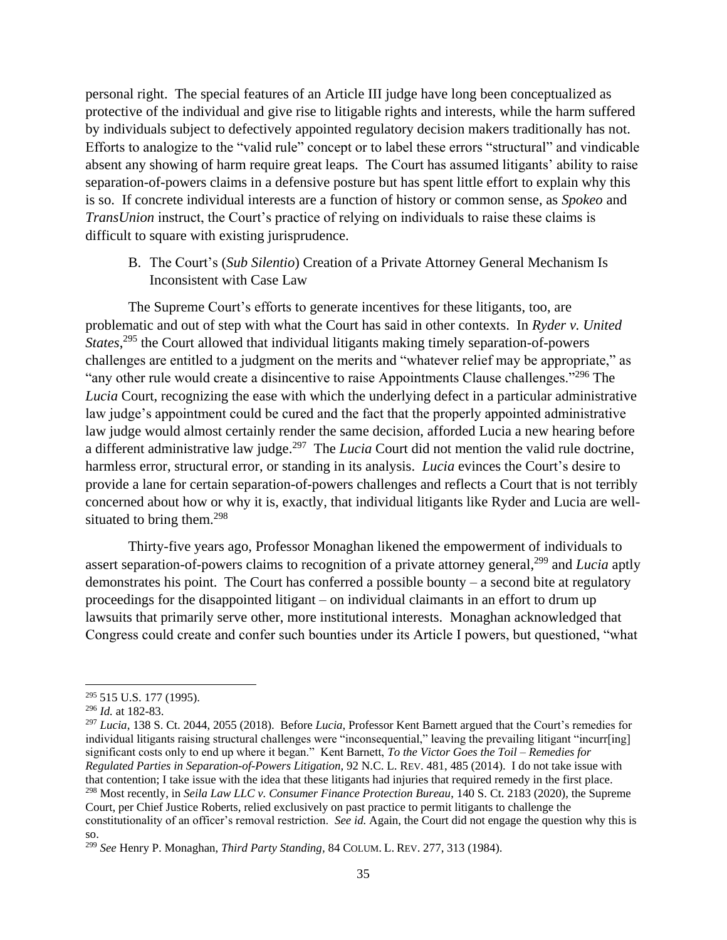personal right. The special features of an Article III judge have long been conceptualized as protective of the individual and give rise to litigable rights and interests, while the harm suffered by individuals subject to defectively appointed regulatory decision makers traditionally has not. Efforts to analogize to the "valid rule" concept or to label these errors "structural" and vindicable absent any showing of harm require great leaps. The Court has assumed litigants' ability to raise separation-of-powers claims in a defensive posture but has spent little effort to explain why this is so. If concrete individual interests are a function of history or common sense, as *Spokeo* and *TransUnion* instruct, the Court's practice of relying on individuals to raise these claims is difficult to square with existing jurisprudence.

B. The Court's (*Sub Silentio*) Creation of a Private Attorney General Mechanism Is Inconsistent with Case Law

The Supreme Court's efforts to generate incentives for these litigants, too, are problematic and out of step with what the Court has said in other contexts. In *Ryder v. United States*, <sup>295</sup> the Court allowed that individual litigants making timely separation-of-powers challenges are entitled to a judgment on the merits and "whatever relief may be appropriate," as "any other rule would create a disincentive to raise Appointments Clause challenges."<sup>296</sup> The *Lucia* Court, recognizing the ease with which the underlying defect in a particular administrative law judge's appointment could be cured and the fact that the properly appointed administrative law judge would almost certainly render the same decision, afforded Lucia a new hearing before a different administrative law judge.<sup>297</sup> The *Lucia* Court did not mention the valid rule doctrine, harmless error, structural error, or standing in its analysis. *Lucia* evinces the Court's desire to provide a lane for certain separation-of-powers challenges and reflects a Court that is not terribly concerned about how or why it is, exactly, that individual litigants like Ryder and Lucia are wellsituated to bring them. $298$ 

Thirty-five years ago, Professor Monaghan likened the empowerment of individuals to assert separation-of-powers claims to recognition of a private attorney general,<sup>299</sup> and *Lucia* aptly demonstrates his point. The Court has conferred a possible bounty – a second bite at regulatory proceedings for the disappointed litigant – on individual claimants in an effort to drum up lawsuits that primarily serve other, more institutional interests. Monaghan acknowledged that Congress could create and confer such bounties under its Article I powers, but questioned, "what

<sup>295</sup> 515 U.S. 177 (1995).

<sup>296</sup> *Id.* at 182-83.

<sup>297</sup> *Lucia*, 138 S. Ct. 2044, 2055 (2018). Before *Lucia*, Professor Kent Barnett argued that the Court's remedies for individual litigants raising structural challenges were "inconsequential," leaving the prevailing litigant "incurr[ing] significant costs only to end up where it began." Kent Barnett, *To the Victor Goes the Toil – Remedies for Regulated Parties in Separation-of-Powers Litigation*, 92 N.C. L. REV. 481, 485 (2014). I do not take issue with that contention; I take issue with the idea that these litigants had injuries that required remedy in the first place. <sup>298</sup> Most recently, in *Seila Law LLC v. Consumer Finance Protection Bureau*, 140 S. Ct. 2183 (2020), the Supreme Court, per Chief Justice Roberts, relied exclusively on past practice to permit litigants to challenge the

constitutionality of an officer's removal restriction. *See id.* Again, the Court did not engage the question why this is so.

<sup>299</sup> *See* Henry P. Monaghan, *Third Party Standing,* 84 COLUM. L. REV. 277, 313 (1984).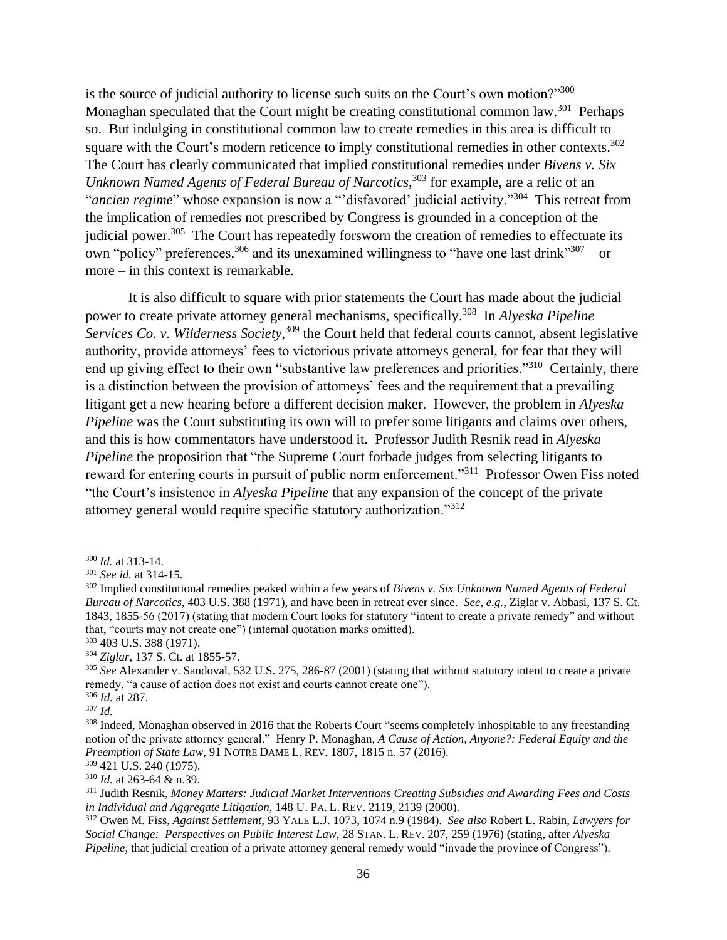is the source of judicial authority to license such suits on the Court's own motion?" $300$ Monaghan speculated that the Court might be creating constitutional common law.<sup>301</sup> Perhaps so. But indulging in constitutional common law to create remedies in this area is difficult to square with the Court's modern reticence to imply constitutional remedies in other contexts.<sup>302</sup> The Court has clearly communicated that implied constitutional remedies under *Bivens v. Six Unknown Named Agents of Federal Bureau of Narcotics*, <sup>303</sup> for example, are a relic of an "*ancien regime*" whose expansion is now a "'disfavored' judicial activity."<sup>304</sup> This retreat from the implication of remedies not prescribed by Congress is grounded in a conception of the judicial power. $305$  The Court has repeatedly forsworn the creation of remedies to effectuate its own "policy" preferences,  $306$  and its unexamined willingness to "have one last drink"  $307 -$  or more – in this context is remarkable.

It is also difficult to square with prior statements the Court has made about the judicial power to create private attorney general mechanisms, specifically.<sup>308</sup> In *Alyeska Pipeline Services Co. v. Wilderness Society*, <sup>309</sup> the Court held that federal courts cannot, absent legislative authority, provide attorneys' fees to victorious private attorneys general, for fear that they will end up giving effect to their own "substantive law preferences and priorities."<sup>310</sup> Certainly, there is a distinction between the provision of attorneys' fees and the requirement that a prevailing litigant get a new hearing before a different decision maker. However, the problem in *Alyeska Pipeline* was the Court substituting its own will to prefer some litigants and claims over others, and this is how commentators have understood it. Professor Judith Resnik read in *Alyeska Pipeline* the proposition that "the Supreme Court forbade judges from selecting litigants to reward for entering courts in pursuit of public norm enforcement."<sup>311</sup> Professor Owen Fiss noted "the Court's insistence in *Alyeska Pipeline* that any expansion of the concept of the private attorney general would require specific statutory authorization."<sup>312</sup>

 $\overline{a}$ 

<sup>300</sup> *Id.* at 313-14.

<sup>301</sup> *See id.* at 314-15.

<sup>302</sup> Implied constitutional remedies peaked within a few years of *Bivens v. Six Unknown Named Agents of Federal Bureau of Narcotics*, 403 U.S. 388 (1971), and have been in retreat ever since. *See, e.g.*, Ziglar v. Abbasi, 137 S. Ct. 1843, 1855-56 (2017) (stating that modern Court looks for statutory "intent to create a private remedy" and without that, "courts may not create one") (internal quotation marks omitted).

<sup>303</sup> 403 U.S. 388 (1971).

<sup>304</sup> *Ziglar*, 137 S. Ct. at 1855-57.

<sup>305</sup> *See* Alexander v. Sandoval, 532 U.S. 275, 286-87 (2001) (stating that without statutory intent to create a private remedy, "a cause of action does not exist and courts cannot create one"). <sup>306</sup> *Id.* at 287.

<sup>307</sup> *Id.*

<sup>&</sup>lt;sup>308</sup> Indeed, Monaghan observed in 2016 that the Roberts Court "seems completely inhospitable to any freestanding notion of the private attorney general." Henry P. Monaghan, *A Cause of Action, Anyone?: Federal Equity and the Preemption of State Law*, 91 NOTRE DAME L. REV. 1807, 1815 n. 57 (2016).

<sup>309</sup> 421 U.S. 240 (1975).

<sup>310</sup> *Id.* at 263-64 & n.39.

<sup>311</sup> Judith Resnik, *Money Matters: Judicial Market Interventions Creating Subsidies and Awarding Fees and Costs in Individual and Aggregate Litigation*, 148 U. PA. L. REV. 2119, 2139 (2000).

<sup>312</sup> Owen M. Fiss, *Against Settlement*, 93 YALE L.J. 1073, 1074 n.9 (1984). *See also* Robert L. Rabin, *Lawyers for Social Change: Perspectives on Public Interest Law*, 28 STAN. L. REV. 207, 259 (1976) (stating, after *Alyeska Pipeline*, that judicial creation of a private attorney general remedy would "invade the province of Congress").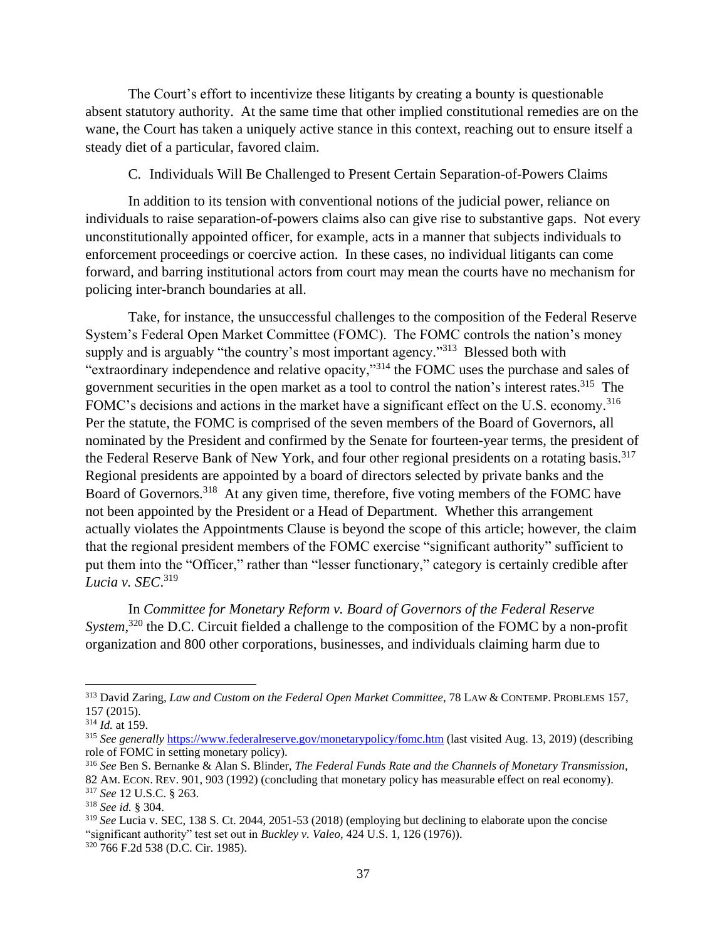The Court's effort to incentivize these litigants by creating a bounty is questionable absent statutory authority. At the same time that other implied constitutional remedies are on the wane, the Court has taken a uniquely active stance in this context, reaching out to ensure itself a steady diet of a particular, favored claim.

## C. Individuals Will Be Challenged to Present Certain Separation-of-Powers Claims

In addition to its tension with conventional notions of the judicial power, reliance on individuals to raise separation-of-powers claims also can give rise to substantive gaps. Not every unconstitutionally appointed officer, for example, acts in a manner that subjects individuals to enforcement proceedings or coercive action. In these cases, no individual litigants can come forward, and barring institutional actors from court may mean the courts have no mechanism for policing inter-branch boundaries at all.

Take, for instance, the unsuccessful challenges to the composition of the Federal Reserve System's Federal Open Market Committee (FOMC). The FOMC controls the nation's money supply and is arguably "the country's most important agency."<sup>313</sup> Blessed both with "extraordinary independence and relative opacity,"<sup>314</sup> the FOMC uses the purchase and sales of government securities in the open market as a tool to control the nation's interest rates.<sup>315</sup> The FOMC's decisions and actions in the market have a significant effect on the U.S. economy.<sup>316</sup> Per the statute, the FOMC is comprised of the seven members of the Board of Governors, all nominated by the President and confirmed by the Senate for fourteen-year terms, the president of the Federal Reserve Bank of New York, and four other regional presidents on a rotating basis.<sup>317</sup> Regional presidents are appointed by a board of directors selected by private banks and the Board of Governors.<sup>318</sup> At any given time, therefore, five voting members of the FOMC have not been appointed by the President or a Head of Department. Whether this arrangement actually violates the Appointments Clause is beyond the scope of this article; however, the claim that the regional president members of the FOMC exercise "significant authority" sufficient to put them into the "Officer," rather than "lesser functionary," category is certainly credible after *Lucia v. SEC*. 319

In *Committee for Monetary Reform v. Board of Governors of the Federal Reserve System*, <sup>320</sup> the D.C. Circuit fielded a challenge to the composition of the FOMC by a non-profit organization and 800 other corporations, businesses, and individuals claiming harm due to

<sup>313</sup> David Zaring, *Law and Custom on the Federal Open Market Committee*, 78 LAW & CONTEMP. PROBLEMS 157, 157 (2015).

<sup>314</sup> *Id.* at 159.

<sup>315</sup> *See generally* <https://www.federalreserve.gov/monetarypolicy/fomc.htm> (last visited Aug. 13, 2019) (describing role of FOMC in setting monetary policy).

<sup>316</sup> *See* Ben S. Bernanke & Alan S. Blinder, *The Federal Funds Rate and the Channels of Monetary Transmission*, 82 AM. ECON. REV. 901, 903 (1992) (concluding that monetary policy has measurable effect on real economy). <sup>317</sup> *See* 12 U.S.C. § 263.

<sup>318</sup> *See id.* § 304.

<sup>319</sup> *See* Lucia v. SEC, 138 S. Ct. 2044, 2051-53 (2018) (employing but declining to elaborate upon the concise "significant authority" test set out in *Buckley v. Valeo*, 424 U.S. 1, 126 (1976)). <sup>320</sup> 766 F.2d 538 (D.C. Cir. 1985).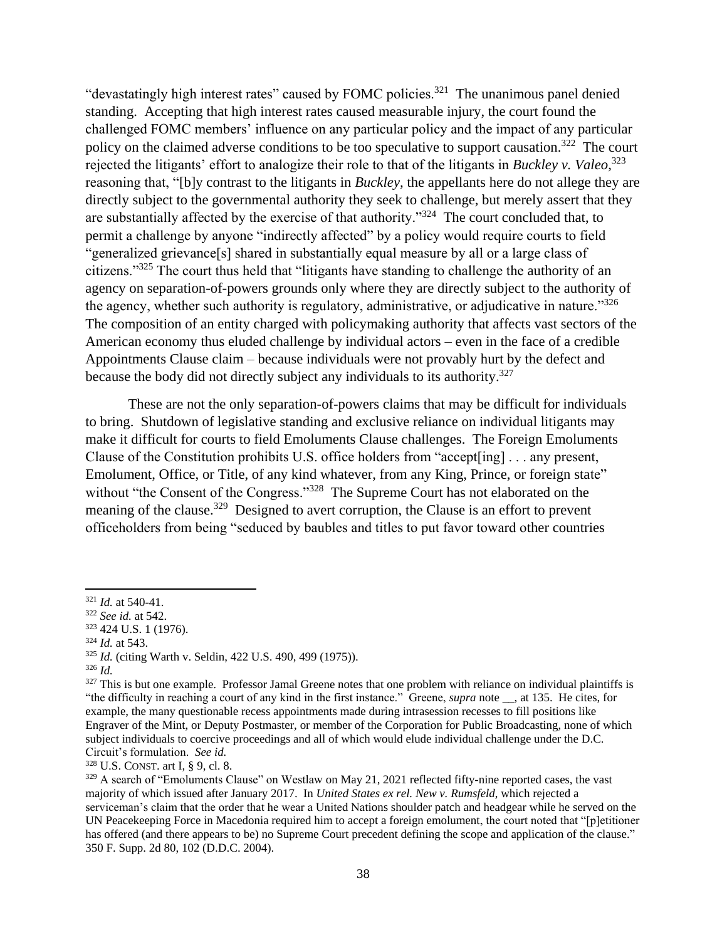"devastatingly high interest rates" caused by FOMC policies.<sup>321</sup> The unanimous panel denied standing. Accepting that high interest rates caused measurable injury, the court found the challenged FOMC members' influence on any particular policy and the impact of any particular policy on the claimed adverse conditions to be too speculative to support causation.<sup>322</sup> The court rejected the litigants' effort to analogize their role to that of the litigants in *Buckley v. Valeo*, 323 reasoning that, "[b]y contrast to the litigants in *Buckley,* the appellants here do not allege they are directly subject to the governmental authority they seek to challenge, but merely assert that they are substantially affected by the exercise of that authority."<sup>324</sup> The court concluded that, to permit a challenge by anyone "indirectly affected" by a policy would require courts to field "generalized grievance[s] shared in substantially equal measure by all or a large class of citizens."<sup>325</sup> The court thus held that "litigants have standing to challenge the authority of an agency on separation-of-powers grounds only where they are directly subject to the authority of the agency, whether such authority is regulatory, administrative, or adjudicative in nature."<sup>326</sup> The composition of an entity charged with policymaking authority that affects vast sectors of the American economy thus eluded challenge by individual actors – even in the face of a credible Appointments Clause claim – because individuals were not provably hurt by the defect and because the body did not directly subject any individuals to its authority.<sup>327</sup>

These are not the only separation-of-powers claims that may be difficult for individuals to bring. Shutdown of legislative standing and exclusive reliance on individual litigants may make it difficult for courts to field Emoluments Clause challenges. The Foreign Emoluments Clause of the Constitution prohibits U.S. office holders from "accept[ing] . . . any present, Emolument, Office, or Title, of any kind whatever, from any King, Prince, or foreign state" without "the Consent of the Congress."<sup>328</sup> The Supreme Court has not elaborated on the meaning of the clause.<sup>329</sup> Designed to avert corruption, the Clause is an effort to prevent officeholders from being "seduced by baubles and titles to put favor toward other countries

 $\overline{a}$ 

<sup>328</sup> U.S. CONST. art I, § 9, cl. 8.

<sup>321</sup> *Id.* at 540-41.

<sup>322</sup> *See id.* at 542.

<sup>323</sup> 424 U.S. 1 (1976).

<sup>324</sup> *Id.* at 543.

<sup>325</sup> *Id.* (citing Warth v. Seldin, 422 U.S. 490, 499 (1975)).

<sup>326</sup> *Id.*

<sup>&</sup>lt;sup>327</sup> This is but one example. Professor Jamal Greene notes that one problem with reliance on individual plaintiffs is "the difficulty in reaching a court of any kind in the first instance." Greene, *supra* note \_\_, at 135. He cites, for example, the many questionable recess appointments made during intrasession recesses to fill positions like Engraver of the Mint, or Deputy Postmaster, or member of the Corporation for Public Broadcasting, none of which subject individuals to coercive proceedings and all of which would elude individual challenge under the D.C. Circuit's formulation. *See id.*

<sup>&</sup>lt;sup>329</sup> A search of "Emoluments Clause" on Westlaw on May 21, 2021 reflected fifty-nine reported cases, the vast majority of which issued after January 2017. In *United States ex rel. New v. Rumsfeld*, which rejected a serviceman's claim that the order that he wear a United Nations shoulder patch and headgear while he served on the UN Peacekeeping Force in Macedonia required him to accept a foreign emolument, the court noted that "[p]etitioner has offered (and there appears to be) no Supreme Court precedent defining the scope and application of the clause." 350 F. Supp. 2d 80, 102 (D.D.C. 2004).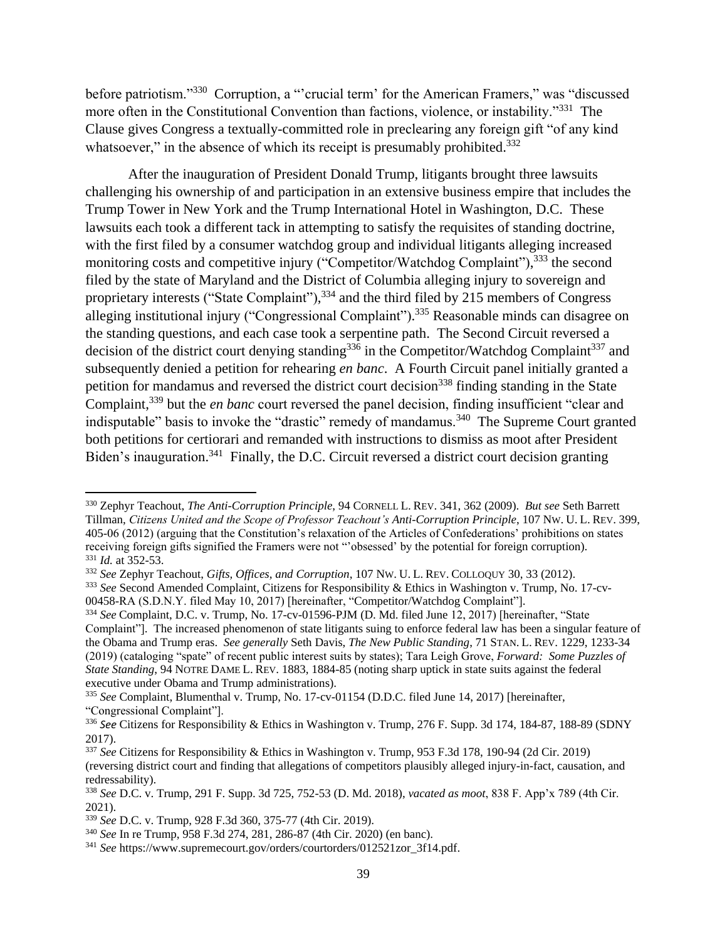before patriotism."<sup>330</sup> Corruption, a "'crucial term' for the American Framers," was "discussed more often in the Constitutional Convention than factions, violence, or instability."<sup>331</sup> The Clause gives Congress a textually-committed role in preclearing any foreign gift "of any kind whatsoever," in the absence of which its receipt is presumably prohibited.<sup>332</sup>

After the inauguration of President Donald Trump, litigants brought three lawsuits challenging his ownership of and participation in an extensive business empire that includes the Trump Tower in New York and the Trump International Hotel in Washington, D.C. These lawsuits each took a different tack in attempting to satisfy the requisites of standing doctrine, with the first filed by a consumer watchdog group and individual litigants alleging increased monitoring costs and competitive injury ("Competitor/Watchdog Complaint"),<sup>333</sup> the second filed by the state of Maryland and the District of Columbia alleging injury to sovereign and proprietary interests ("State Complaint"),  $334$  and the third filed by 215 members of Congress alleging institutional injury ("Congressional Complaint").<sup>335</sup> Reasonable minds can disagree on the standing questions, and each case took a serpentine path. The Second Circuit reversed a decision of the district court denying standing<sup>336</sup> in the Competitor/Watchdog Complaint<sup>337</sup> and subsequently denied a petition for rehearing *en banc*. A Fourth Circuit panel initially granted a petition for mandamus and reversed the district court decision<sup>338</sup> finding standing in the State Complaint,<sup>339</sup> but the *en banc* court reversed the panel decision, finding insufficient "clear and indisputable" basis to invoke the "drastic" remedy of mandamus.<sup>340</sup> The Supreme Court granted both petitions for certiorari and remanded with instructions to dismiss as moot after President Biden's inauguration.<sup>341</sup> Finally, the D.C. Circuit reversed a district court decision granting

<sup>330</sup> Zephyr Teachout, *The Anti-Corruption Principle*, 94 CORNELL L. REV. 341, 362 (2009). *But see* Seth Barrett Tillman, *Citizens United and the Scope of Professor Teachout's Anti-Corruption Principle*, 107 NW. U. L. REV. 399, 405-06 (2012) (arguing that the Constitution's relaxation of the Articles of Confederations' prohibitions on states receiving foreign gifts signified the Framers were not "'obsessed' by the potential for foreign corruption). <sup>331</sup> *Id.* at 352-53.

<sup>332</sup> *See* Zephyr Teachout, *Gifts, Offices, and Corruption*, 107 NW. U. L. REV. COLLOQUY 30, 33 (2012).

<sup>&</sup>lt;sup>333</sup> See Second Amended Complaint, Citizens for Responsibility & Ethics in Washington v. Trump, No. 17-cv-00458-RA (S.D.N.Y. filed May 10, 2017) [hereinafter, "Competitor/Watchdog Complaint"].

<sup>334</sup> *See* Complaint, D.C. v. Trump, No. 17-cv-01596-PJM (D. Md. filed June 12, 2017) [hereinafter, "State Complaint"]. The increased phenomenon of state litigants suing to enforce federal law has been a singular feature of the Obama and Trump eras. *See generally* Seth Davis, *The New Public Standing*, 71 STAN. L. REV. 1229, 1233-34 (2019) (cataloging "spate" of recent public interest suits by states); Tara Leigh Grove, *Forward: Some Puzzles of State Standing*, 94 NOTRE DAME L. REV. 1883, 1884-85 (noting sharp uptick in state suits against the federal executive under Obama and Trump administrations).

<sup>335</sup> *See* Complaint, Blumenthal v. Trump, No. 17-cv-01154 (D.D.C. filed June 14, 2017) [hereinafter, "Congressional Complaint"].

<sup>336</sup> *See* Citizens for Responsibility & Ethics in Washington v. Trump, 276 F. Supp. 3d 174, 184-87, 188-89 (SDNY 2017).

<sup>337</sup> *See* Citizens for Responsibility & Ethics in Washington v. Trump, 953 F.3d 178, 190-94 (2d Cir. 2019) (reversing district court and finding that allegations of competitors plausibly alleged injury-in-fact, causation, and redressability).

<sup>338</sup> *See* D.C. v. Trump, 291 F. Supp. 3d 725, 752-53 (D. Md. 2018), *vacated as moot*, 838 F. App'x 789 (4th Cir. 2021).

<sup>339</sup> *See* D.C. v. Trump, 928 F.3d 360, 375-77 (4th Cir. 2019).

<sup>340</sup> *See* In re Trump, 958 F.3d 274, 281, 286-87 (4th Cir. 2020) (en banc).

<sup>341</sup> *See* https://www.supremecourt.gov/orders/courtorders/012521zor\_3f14.pdf.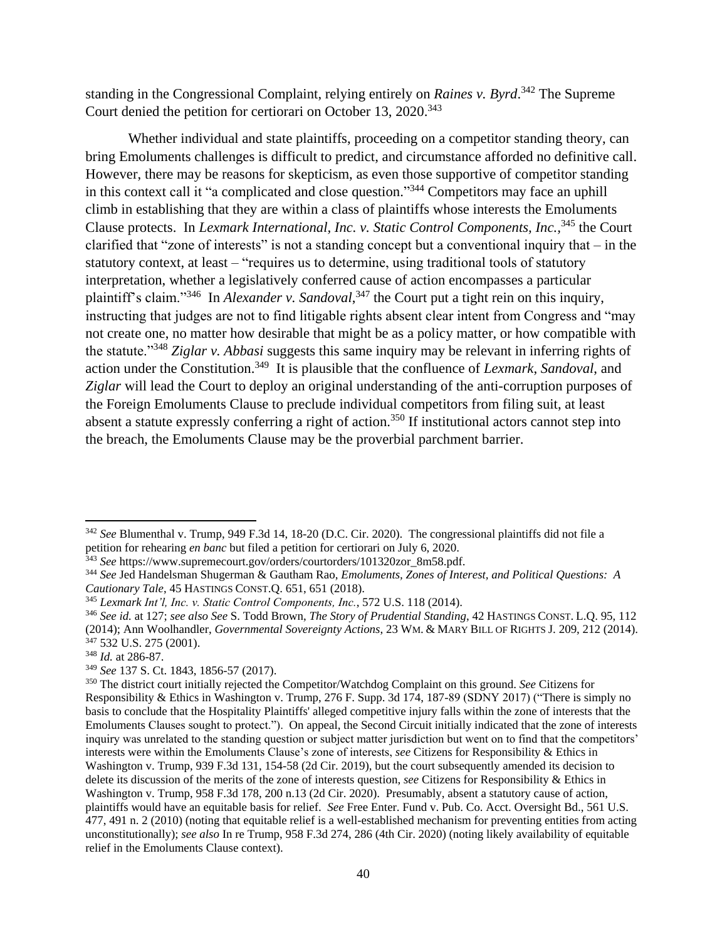standing in the Congressional Complaint, relying entirely on *Raines v. Byrd*. <sup>342</sup> The Supreme Court denied the petition for certiorari on October 13, 2020. 343

Whether individual and state plaintiffs, proceeding on a competitor standing theory, can bring Emoluments challenges is difficult to predict, and circumstance afforded no definitive call. However, there may be reasons for skepticism, as even those supportive of competitor standing in this context call it "a complicated and close question."<sup>344</sup> Competitors may face an uphill climb in establishing that they are within a class of plaintiffs whose interests the Emoluments Clause protects. In *Lexmark International, Inc. v. Static Control Components, Inc.,*<sup>345</sup> the Court clarified that "zone of interests" is not a standing concept but a conventional inquiry that – in the statutory context, at least – "requires us to determine, using traditional tools of statutory interpretation, whether a legislatively conferred cause of action encompasses a particular plaintiff's claim."<sup>346</sup> In *Alexander v. Sandoval*, <sup>347</sup> the Court put a tight rein on this inquiry, instructing that judges are not to find litigable rights absent clear intent from Congress and "may not create one, no matter how desirable that might be as a policy matter, or how compatible with the statute."<sup>348</sup> *Ziglar v. Abbasi* suggests this same inquiry may be relevant in inferring rights of action under the Constitution.<sup>349</sup> It is plausible that the confluence of *Lexmark*, *Sandoval*, and *Ziglar* will lead the Court to deploy an original understanding of the anti-corruption purposes of the Foreign Emoluments Clause to preclude individual competitors from filing suit, at least absent a statute expressly conferring a right of action.<sup>350</sup> If institutional actors cannot step into the breach, the Emoluments Clause may be the proverbial parchment barrier.

<sup>342</sup> *See* Blumenthal v. Trump, 949 F.3d 14, 18-20 (D.C. Cir. 2020). The congressional plaintiffs did not file a petition for rehearing *en banc* but filed a petition for certiorari on July 6, 2020.

<sup>343</sup> *See* https://www.supremecourt.gov/orders/courtorders/101320zor\_8m58.pdf.

<sup>344</sup> *See* Jed Handelsman Shugerman & Gautham Rao, *Emoluments, Zones of Interest, and Political Questions: A Cautionary Tale*, 45 HASTINGS CONST.Q. 651, 651 (2018).

<sup>345</sup> *Lexmark Int'l, Inc. v. Static Control Components, Inc.*, 572 U.S. 118 (2014).

<sup>346</sup> *See id.* at 127; *see also See* S. Todd Brown, *The Story of Prudential Standing*, 42 HASTINGS CONST. L.Q. 95, 112 (2014); Ann Woolhandler, *Governmental Sovereignty Actions*, 23 WM. & MARY BILL OF RIGHTS J. 209, 212 (2014). <sup>347</sup> 532 U.S. 275 (2001).

<sup>348</sup> *Id.* at 286-87.

<sup>349</sup> *See* 137 S. Ct. 1843, 1856-57 (2017).

<sup>350</sup> The district court initially rejected the Competitor/Watchdog Complaint on this ground. *See* Citizens for Responsibility & Ethics in Washington v. Trump, 276 F. Supp. 3d 174, 187-89 (SDNY 2017) ("There is simply no basis to conclude that the Hospitality Plaintiffs' alleged competitive injury falls within the zone of interests that the Emoluments Clauses sought to protect."). On appeal, the Second Circuit initially indicated that the zone of interests inquiry was unrelated to the standing question or subject matter jurisdiction but went on to find that the competitors' interests were within the Emoluments Clause's zone of interests, *see* Citizens for Responsibility & Ethics in Washington v. Trump, 939 F.3d 131, 154-58 (2d Cir. 2019), but the court subsequently amended its decision to delete its discussion of the merits of the zone of interests question, *see* Citizens for Responsibility & Ethics in Washington v. Trump, 958 F.3d 178, 200 n.13 (2d Cir. 2020). Presumably, absent a statutory cause of action, plaintiffs would have an equitable basis for relief. *See* Free Enter. Fund v. Pub. Co. Acct. Oversight Bd., 561 U.S. 477, 491 n. 2 (2010) (noting that equitable relief is a well-established mechanism for preventing entities from acting unconstitutionally); *see also* In re Trump, 958 F.3d 274, 286 (4th Cir. 2020) (noting likely availability of equitable relief in the Emoluments Clause context).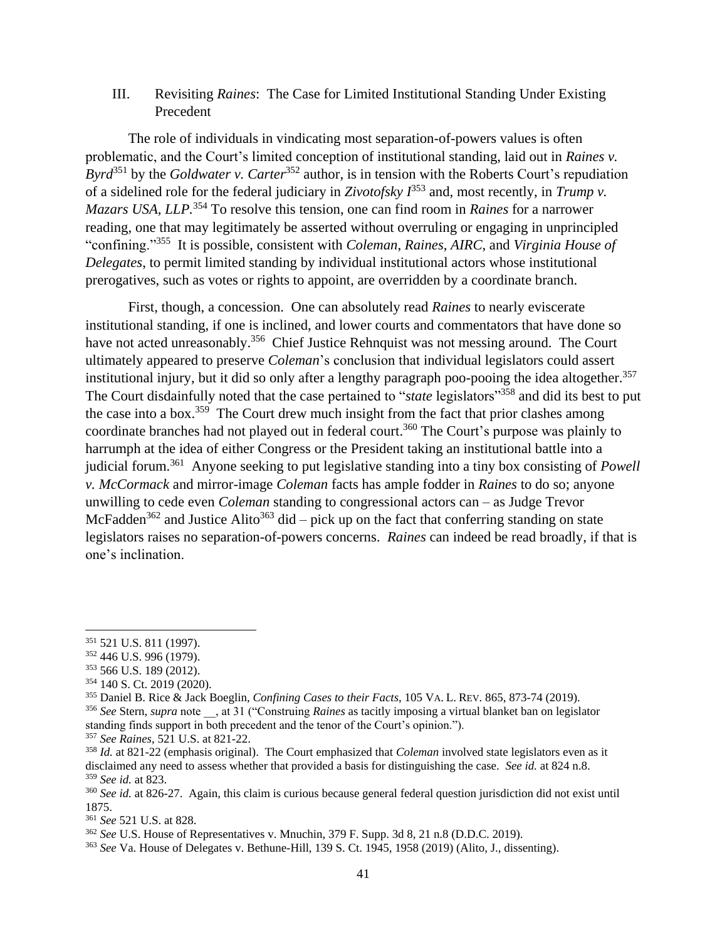## III. Revisiting *Raines*: The Case for Limited Institutional Standing Under Existing Precedent

The role of individuals in vindicating most separation-of-powers values is often problematic, and the Court's limited conception of institutional standing, laid out in *Raines v. Byrd*<sup>351</sup> by the *Goldwater v. Carter*<sup>352</sup> author, is in tension with the Roberts Court's repudiation of a sidelined role for the federal judiciary in *Zivotofsky I* <sup>353</sup> and, most recently, in *Trump v. Mazars USA, LLP.*<sup>354</sup> To resolve this tension, one can find room in *Raines* for a narrower reading, one that may legitimately be asserted without overruling or engaging in unprincipled "confining."<sup>355</sup> It is possible, consistent with *Coleman*, *Raines*, *AIRC*, and *Virginia House of Delegates*, to permit limited standing by individual institutional actors whose institutional prerogatives, such as votes or rights to appoint, are overridden by a coordinate branch.

First, though, a concession. One can absolutely read *Raines* to nearly eviscerate institutional standing, if one is inclined, and lower courts and commentators that have done so have not acted unreasonably.<sup>356</sup> Chief Justice Rehnquist was not messing around. The Court ultimately appeared to preserve *Coleman*'s conclusion that individual legislators could assert institutional injury, but it did so only after a lengthy paragraph poo-pooing the idea altogether.<sup>357</sup> The Court disdainfully noted that the case pertained to "*state* legislators"<sup>358</sup> and did its best to put the case into a box.<sup>359</sup> The Court drew much insight from the fact that prior clashes among coordinate branches had not played out in federal court. <sup>360</sup> The Court's purpose was plainly to harrumph at the idea of either Congress or the President taking an institutional battle into a judicial forum.<sup>361</sup> Anyone seeking to put legislative standing into a tiny box consisting of *Powell v. McCormack* and mirror-image *Coleman* facts has ample fodder in *Raines* to do so; anyone unwilling to cede even *Coleman* standing to congressional actors can – as Judge Trevor McFadden<sup>362</sup> and Justice Alito<sup>363</sup> did – pick up on the fact that conferring standing on state legislators raises no separation-of-powers concerns. *Raines* can indeed be read broadly, if that is one's inclination.

 $\overline{a}$ 

<sup>351</sup> 521 U.S. 811 (1997).

<sup>352</sup> 446 U.S. 996 (1979).

<sup>353</sup> 566 U.S. 189 (2012).

<sup>354</sup> 140 S. Ct. 2019 (2020).

<sup>355</sup> Daniel B. Rice & Jack Boeglin, *Confining Cases to their Facts*, 105 VA. L. REV. 865, 873-74 (2019).

<sup>356</sup> *See* Stern, *supra* note \_\_, at 31 ("Construing *Raines* as tacitly imposing a virtual blanket ban on legislator standing finds support in both precedent and the tenor of the Court's opinion.").

<sup>357</sup> *See Raines*, 521 U.S. at 821-22.

<sup>358</sup> *Id.* at 821-22 (emphasis original). The Court emphasized that *Coleman* involved state legislators even as it disclaimed any need to assess whether that provided a basis for distinguishing the case. *See id.* at 824 n.8. <sup>359</sup> *See id.* at 823.

<sup>360</sup> *See id.* at 826-27. Again, this claim is curious because general federal question jurisdiction did not exist until 1875.

<sup>361</sup> *See* 521 U.S. at 828.

<sup>362</sup> *See* U.S. House of Representatives v. Mnuchin, 379 F. Supp. 3d 8, 21 n.8 (D.D.C. 2019).

<sup>363</sup> *See* Va. House of Delegates v. Bethune-Hill, 139 S. Ct. 1945, 1958 (2019) (Alito, J., dissenting).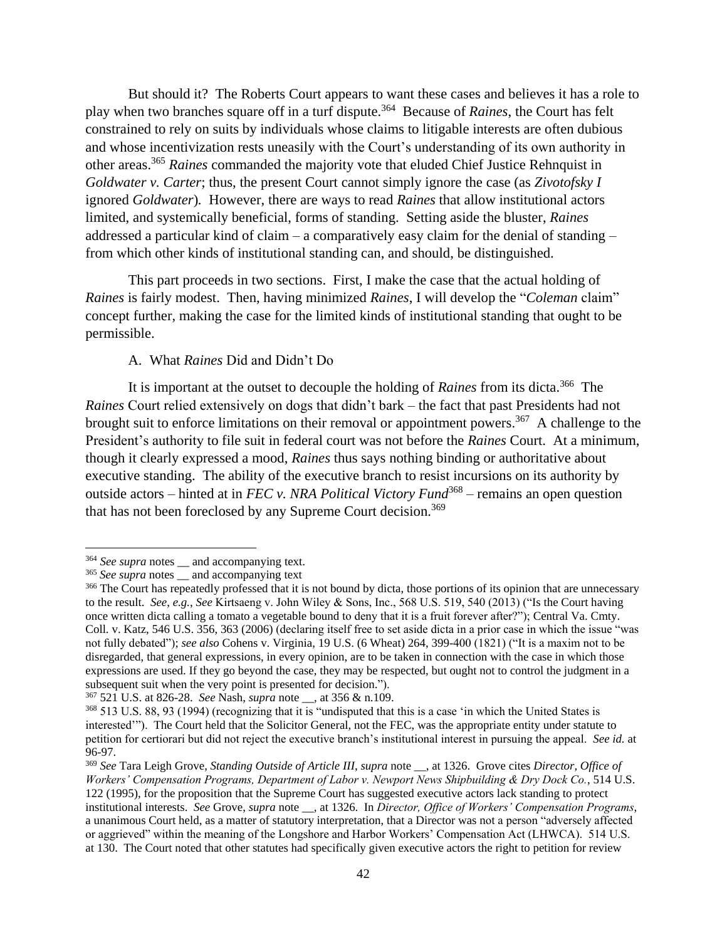But should it? The Roberts Court appears to want these cases and believes it has a role to play when two branches square off in a turf dispute.<sup>364</sup> Because of *Raines*, the Court has felt constrained to rely on suits by individuals whose claims to litigable interests are often dubious and whose incentivization rests uneasily with the Court's understanding of its own authority in other areas.<sup>365</sup> *Raines* commanded the majority vote that eluded Chief Justice Rehnquist in *Goldwater v. Carter*; thus, the present Court cannot simply ignore the case (as *Zivotofsky I* ignored *Goldwater*)*.* However, there are ways to read *Raines* that allow institutional actors limited, and systemically beneficial, forms of standing. Setting aside the bluster, *Raines* addressed a particular kind of claim – a comparatively easy claim for the denial of standing – from which other kinds of institutional standing can, and should, be distinguished.

This part proceeds in two sections. First, I make the case that the actual holding of *Raines* is fairly modest. Then, having minimized *Raines*, I will develop the "*Coleman* claim" concept further, making the case for the limited kinds of institutional standing that ought to be permissible.

## A. What *Raines* Did and Didn't Do

It is important at the outset to decouple the holding of *Raines* from its dicta.<sup>366</sup> The *Raines* Court relied extensively on dogs that didn't bark – the fact that past Presidents had not brought suit to enforce limitations on their removal or appointment powers.<sup>367</sup> A challenge to the President's authority to file suit in federal court was not before the *Raines* Court. At a minimum, though it clearly expressed a mood, *Raines* thus says nothing binding or authoritative about executive standing. The ability of the executive branch to resist incursions on its authority by outside actors – hinted at in *FEC v. NRA Political Victory Fund*<sup>368</sup> – remains an open question that has not been foreclosed by any Supreme Court decision.<sup>369</sup>

 $\overline{a}$ 

<sup>367</sup> 521 U.S. at 826-28. *See* Nash, *supra* note \_\_, at 356 & n.109.

<sup>&</sup>lt;sup>364</sup> *See supra* notes and accompanying text.

<sup>&</sup>lt;sup>365</sup> See supra notes \_\_ and accompanying text

<sup>&</sup>lt;sup>366</sup> The Court has repeatedly professed that it is not bound by dicta, those portions of its opinion that are unnecessary to the result. *See*, *e.g.*, *See* Kirtsaeng v. John Wiley & Sons, Inc., 568 U.S. 519, 540 (2013) ("Is the Court having once written dicta calling a tomato a vegetable bound to deny that it is a fruit forever after?"); Central Va. Cmty. Coll. v. Katz, 546 U.S. 356, 363 (2006) (declaring itself free to set aside dicta in a prior case in which the issue "was not fully debated"); *see also* Cohens v. Virginia, 19 U.S. (6 Wheat) 264, 399-400 (1821) ("It is a maxim not to be disregarded, that general expressions, in every opinion, are to be taken in connection with the case in which those expressions are used. If they go beyond the case, they may be respected, but ought not to control the judgment in a subsequent suit when the very point is presented for decision.").

<sup>368</sup> 513 U.S. 88, 93 (1994) (recognizing that it is "undisputed that this is a case 'in which the United States is interested'"). The Court held that the Solicitor General, not the FEC, was the appropriate entity under statute to petition for certiorari but did not reject the executive branch's institutional interest in pursuing the appeal. *See id.* at 96-97.

<sup>369</sup> *See* Tara Leigh Grove, *Standing Outside of Article III*, *supra* note \_\_, at 1326. Grove cites *Director, Office of Workers' Compensation Programs, Department of Labor v. Newport News Shipbuilding & Dry Dock Co.*, 514 U.S. 122 (1995), for the proposition that the Supreme Court has suggested executive actors lack standing to protect institutional interests. *See* Grove, *supra* note \_\_, at 1326. In *Director, Office of Workers' Compensation Programs*, a unanimous Court held, as a matter of statutory interpretation, that a Director was not a person "adversely affected or aggrieved" within the meaning of the Longshore and Harbor Workers' Compensation Act (LHWCA). 514 U.S. at 130. The Court noted that other statutes had specifically given executive actors the right to petition for review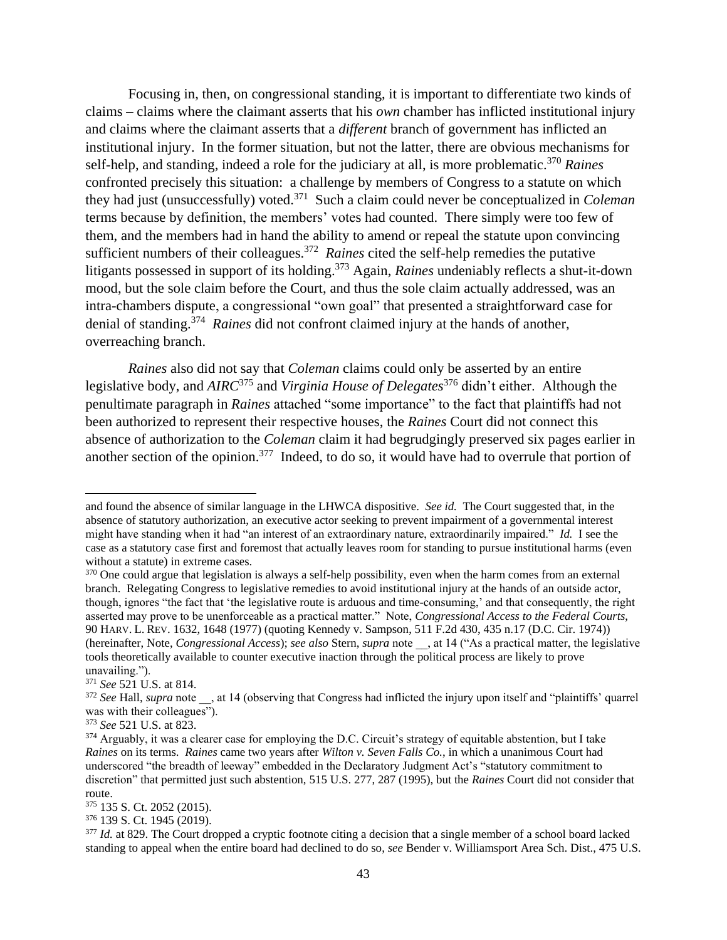Focusing in, then, on congressional standing, it is important to differentiate two kinds of claims – claims where the claimant asserts that his *own* chamber has inflicted institutional injury and claims where the claimant asserts that a *different* branch of government has inflicted an institutional injury. In the former situation, but not the latter, there are obvious mechanisms for self-help, and standing, indeed a role for the judiciary at all, is more problematic. <sup>370</sup> *Raines* confronted precisely this situation: a challenge by members of Congress to a statute on which they had just (unsuccessfully) voted.<sup>371</sup> Such a claim could never be conceptualized in *Coleman*  terms because by definition, the members' votes had counted. There simply were too few of them, and the members had in hand the ability to amend or repeal the statute upon convincing sufficient numbers of their colleagues.<sup>372</sup> Raines cited the self-help remedies the putative litigants possessed in support of its holding. <sup>373</sup> Again, *Raines* undeniably reflects a shut-it-down mood, but the sole claim before the Court, and thus the sole claim actually addressed, was an intra-chambers dispute, a congressional "own goal" that presented a straightforward case for denial of standing.<sup>374</sup> *Raines* did not confront claimed injury at the hands of another, overreaching branch.

*Raines* also did not say that *Coleman* claims could only be asserted by an entire legislative body, and *AIRC*<sup>375</sup> and *Virginia House of Delegates*<sup>376</sup> didn't either. Although the penultimate paragraph in *Raines* attached "some importance" to the fact that plaintiffs had not been authorized to represent their respective houses, the *Raines* Court did not connect this absence of authorization to the *Coleman* claim it had begrudgingly preserved six pages earlier in another section of the opinion.<sup>377</sup> Indeed, to do so, it would have had to overrule that portion of

and found the absence of similar language in the LHWCA dispositive. *See id.* The Court suggested that, in the absence of statutory authorization, an executive actor seeking to prevent impairment of a governmental interest might have standing when it had "an interest of an extraordinary nature, extraordinarily impaired." *Id.* I see the case as a statutory case first and foremost that actually leaves room for standing to pursue institutional harms (even without a statute) in extreme cases.

<sup>&</sup>lt;sup>370</sup> One could argue that legislation is always a self-help possibility, even when the harm comes from an external branch. Relegating Congress to legislative remedies to avoid institutional injury at the hands of an outside actor, though, ignores "the fact that 'the legislative route is arduous and time-consuming,' and that consequently, the right asserted may prove to be unenforceable as a practical matter." Note, *Congressional Access to the Federal Courts*, 90 HARV. L. REV. 1632, 1648 (1977) (quoting Kennedy v. Sampson, 511 F.2d 430, 435 n.17 (D.C. Cir. 1974)) (hereinafter, Note, *Congressional Access*); *see also* Stern, *supra* note \_\_, at 14 ("As a practical matter, the legislative tools theoretically available to counter executive inaction through the political process are likely to prove unavailing.").

<sup>371</sup> *See* 521 U.S. at 814.

<sup>&</sup>lt;sup>372</sup> See Hall, *supra* note , at 14 (observing that Congress had inflicted the injury upon itself and "plaintiffs' quarrel was with their colleagues").

<sup>373</sup> *See* 521 U.S. at 823.

<sup>&</sup>lt;sup>374</sup> Arguably, it was a clearer case for employing the D.C. Circuit's strategy of equitable abstention, but I take *Raines* on its terms. *Raines* came two years after *Wilton v. Seven Falls Co.*, in which a unanimous Court had underscored "the breadth of leeway" embedded in the Declaratory Judgment Act's "statutory commitment to discretion" that permitted just such abstention, 515 U.S. 277, 287 (1995), but the *Raines* Court did not consider that route.

<sup>375</sup> 135 S. Ct. 2052 (2015).

<sup>376</sup> 139 S. Ct. 1945 (2019).

<sup>&</sup>lt;sup>377</sup> *Id.* at 829. The Court dropped a cryptic footnote citing a decision that a single member of a school board lacked standing to appeal when the entire board had declined to do so, *see* Bender v. Williamsport Area Sch. Dist., 475 U.S.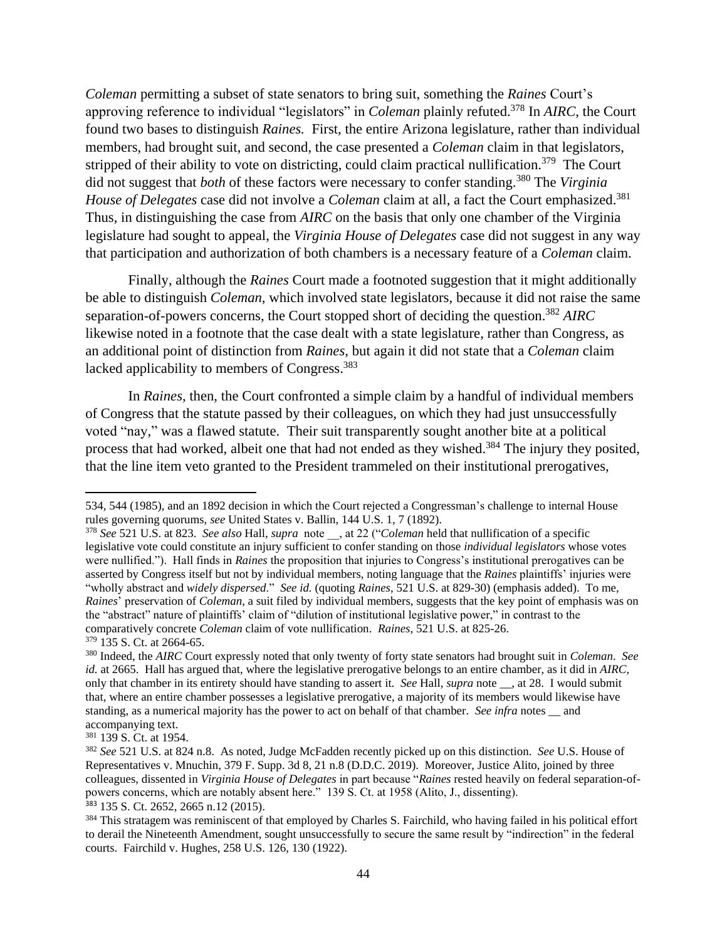*Coleman* permitting a subset of state senators to bring suit, something the *Raines* Court's approving reference to individual "legislators" in *Coleman* plainly refuted. <sup>378</sup> In *AIRC*, the Court found two bases to distinguish *Raines.* First, the entire Arizona legislature, rather than individual members, had brought suit, and second, the case presented a *Coleman* claim in that legislators, stripped of their ability to vote on districting, could claim practical nullification.<sup>379</sup> The Court did not suggest that *both* of these factors were necessary to confer standing.<sup>380</sup> The *Virginia House of Delegates* case did not involve a *Coleman* claim at all, a fact the Court emphasized. 381 Thus, in distinguishing the case from *AIRC* on the basis that only one chamber of the Virginia legislature had sought to appeal, the *Virginia House of Delegates* case did not suggest in any way that participation and authorization of both chambers is a necessary feature of a *Coleman* claim.

Finally, although the *Raines* Court made a footnoted suggestion that it might additionally be able to distinguish *Coleman*, which involved state legislators, because it did not raise the same separation-of-powers concerns, the Court stopped short of deciding the question.<sup>382</sup> *AIRC* likewise noted in a footnote that the case dealt with a state legislature, rather than Congress, as an additional point of distinction from *Raines*, but again it did not state that a *Coleman* claim lacked applicability to members of Congress.<sup>383</sup>

In *Raines*, then, the Court confronted a simple claim by a handful of individual members of Congress that the statute passed by their colleagues, on which they had just unsuccessfully voted "nay," was a flawed statute. Their suit transparently sought another bite at a political process that had worked, albeit one that had not ended as they wished.<sup>384</sup> The injury they posited, that the line item veto granted to the President trammeled on their institutional prerogatives,

<sup>534, 544</sup> (1985), and an 1892 decision in which the Court rejected a Congressman's challenge to internal House rules governing quorums, *see* United States v. Ballin, 144 U.S. 1, 7 (1892).

<sup>378</sup> *See* 521 U.S. at 823. *See also* Hall, *supra* note \_\_, at 22 ("*Coleman* held that nullification of a specific legislative vote could constitute an injury sufficient to confer standing on those *individual legislators* whose votes were nullified."). Hall finds in *Raines* the proposition that injuries to Congress's institutional prerogatives can be asserted by Congress itself but not by individual members, noting language that the *Raines* plaintiffs' injuries were "wholly abstract and *widely dispersed*." *See id.* (quoting *Raines*, 521 U.S. at 829-30) (emphasis added). To me, *Raines*' preservation of *Coleman*, a suit filed by individual members, suggests that the key point of emphasis was on the "abstract" nature of plaintiffs' claim of "dilution of institutional legislative power," in contrast to the comparatively concrete *Coleman* claim of vote nullification. *Raines*, 521 U.S. at 825-26. <sup>379</sup> 135 S. Ct. at 2664-65.

<sup>380</sup> Indeed, the *AIRC* Court expressly noted that only twenty of forty state senators had brought suit in *Coleman*. *See id.* at 2665. Hall has argued that, where the legislative prerogative belongs to an entire chamber, as it did in *AIRC*, only that chamber in its entirety should have standing to assert it. *See* Hall, *supra* note \_\_, at 28. I would submit that, where an entire chamber possesses a legislative prerogative, a majority of its members would likewise have standing, as a numerical majority has the power to act on behalf of that chamber. *See infra* notes and accompanying text.

<sup>381</sup> 139 S. Ct. at 1954.

<sup>382</sup> *See* 521 U.S. at 824 n.8. As noted, Judge McFadden recently picked up on this distinction. *See* U.S. House of Representatives v. Mnuchin, 379 F. Supp. 3d 8, 21 n.8 (D.D.C. 2019). Moreover, Justice Alito, joined by three colleagues, dissented in *Virginia House of Delegates* in part because "*Raines* rested heavily on federal separation-ofpowers concerns, which are notably absent here." 139 S. Ct. at 1958 (Alito, J., dissenting). <sup>383</sup> 135 S. Ct. 2652, 2665 n.12 (2015).

<sup>384</sup> This stratagem was reminiscent of that employed by Charles S. Fairchild, who having failed in his political effort to derail the Nineteenth Amendment, sought unsuccessfully to secure the same result by "indirection" in the federal courts. Fairchild v. Hughes, 258 U.S. 126, 130 (1922).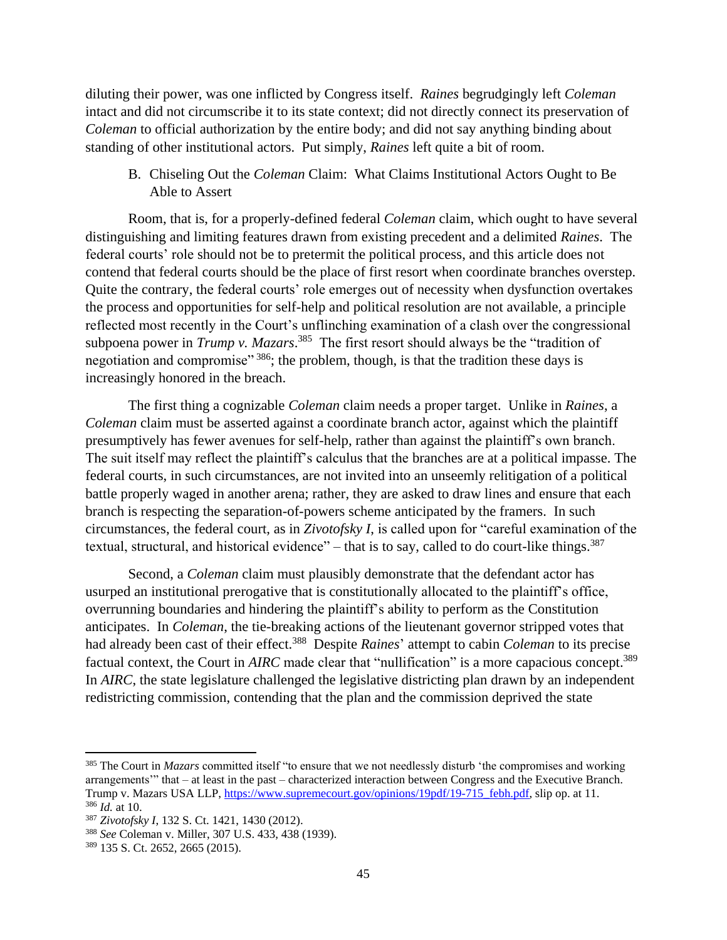diluting their power, was one inflicted by Congress itself. *Raines* begrudgingly left *Coleman* intact and did not circumscribe it to its state context; did not directly connect its preservation of *Coleman* to official authorization by the entire body; and did not say anything binding about standing of other institutional actors. Put simply, *Raines* left quite a bit of room.

B. Chiseling Out the *Coleman* Claim: What Claims Institutional Actors Ought to Be Able to Assert

Room, that is, for a properly-defined federal *Coleman* claim, which ought to have several distinguishing and limiting features drawn from existing precedent and a delimited *Raines*. The federal courts' role should not be to pretermit the political process, and this article does not contend that federal courts should be the place of first resort when coordinate branches overstep. Quite the contrary, the federal courts' role emerges out of necessity when dysfunction overtakes the process and opportunities for self-help and political resolution are not available, a principle reflected most recently in the Court's unflinching examination of a clash over the congressional subpoena power in *Trump v. Mazars*.<sup>385</sup> The first resort should always be the "tradition of negotiation and compromise" <sup>386</sup>; the problem, though, is that the tradition these days is increasingly honored in the breach.

The first thing a cognizable *Coleman* claim needs a proper target. Unlike in *Raines*, a *Coleman* claim must be asserted against a coordinate branch actor, against which the plaintiff presumptively has fewer avenues for self-help, rather than against the plaintiff's own branch. The suit itself may reflect the plaintiff's calculus that the branches are at a political impasse. The federal courts, in such circumstances, are not invited into an unseemly relitigation of a political battle properly waged in another arena; rather, they are asked to draw lines and ensure that each branch is respecting the separation-of-powers scheme anticipated by the framers. In such circumstances, the federal court, as in *Zivotofsky I*, is called upon for "careful examination of the textual, structural, and historical evidence" – that is to say, called to do court-like things.<sup>387</sup>

Second, a *Coleman* claim must plausibly demonstrate that the defendant actor has usurped an institutional prerogative that is constitutionally allocated to the plaintiff's office, overrunning boundaries and hindering the plaintiff's ability to perform as the Constitution anticipates. In *Coleman*, the tie-breaking actions of the lieutenant governor stripped votes that had already been cast of their effect.<sup>388</sup> Despite *Raines*' attempt to cabin *Coleman* to its precise factual context, the Court in *AIRC* made clear that "nullification" is a more capacious concept.<sup>389</sup> In *AIRC*, the state legislature challenged the legislative districting plan drawn by an independent redistricting commission, contending that the plan and the commission deprived the state

<sup>&</sup>lt;sup>385</sup> The Court in *Mazars* committed itself "to ensure that we not needlessly disturb 'the compromises and working arrangements'" that – at least in the past – characterized interaction between Congress and the Executive Branch. Trump v. Mazars USA LLP, [https://www.supremecourt.gov/opinions/19pdf/19-715\\_febh.pdf,](https://www.supremecourt.gov/opinions/19pdf/19-715_febh.pdf) slip op. at 11. <sup>386</sup> *Id.* at 10.

<sup>387</sup> *Zivotofsky I*, 132 S. Ct. 1421, 1430 (2012).

<sup>388</sup> *See* Coleman v. Miller, 307 U.S. 433, 438 (1939).

<sup>389</sup> 135 S. Ct. 2652, 2665 (2015).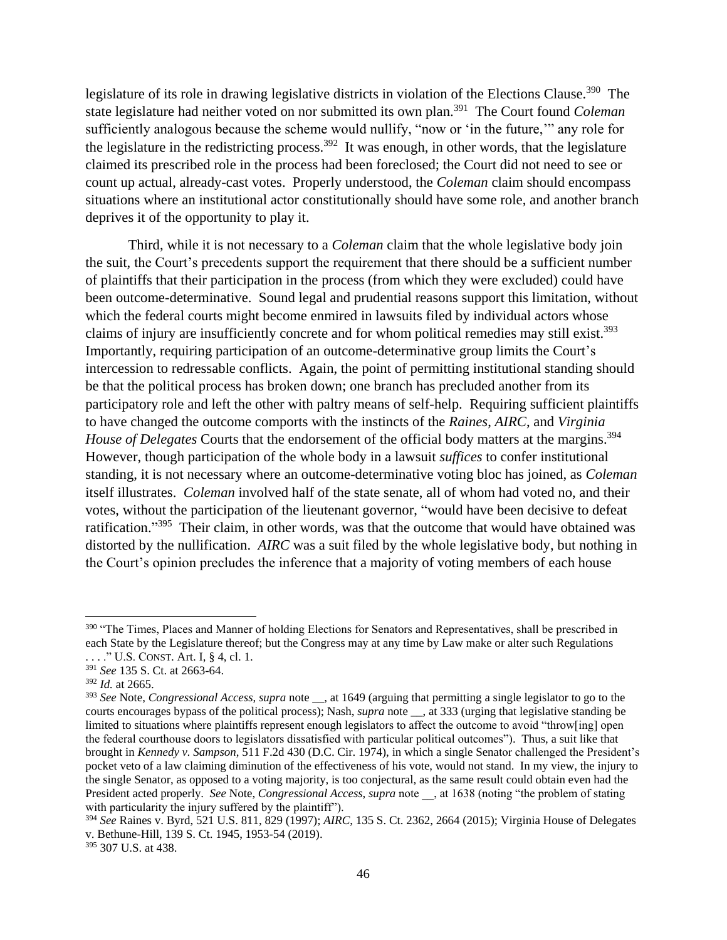legislature of its role in drawing legislative districts in violation of the Elections Clause.<sup>390</sup> The state legislature had neither voted on nor submitted its own plan.<sup>391</sup> The Court found *Coleman* sufficiently analogous because the scheme would nullify, "now or 'in the future,'" any role for the legislature in the redistricting process.<sup>392</sup> It was enough, in other words, that the legislature claimed its prescribed role in the process had been foreclosed; the Court did not need to see or count up actual, already-cast votes. Properly understood, the *Coleman* claim should encompass situations where an institutional actor constitutionally should have some role, and another branch deprives it of the opportunity to play it.

Third, while it is not necessary to a *Coleman* claim that the whole legislative body join the suit, the Court's precedents support the requirement that there should be a sufficient number of plaintiffs that their participation in the process (from which they were excluded) could have been outcome-determinative. Sound legal and prudential reasons support this limitation, without which the federal courts might become enmired in lawsuits filed by individual actors whose claims of injury are insufficiently concrete and for whom political remedies may still exist.<sup>393</sup> Importantly, requiring participation of an outcome-determinative group limits the Court's intercession to redressable conflicts. Again, the point of permitting institutional standing should be that the political process has broken down; one branch has precluded another from its participatory role and left the other with paltry means of self-help. Requiring sufficient plaintiffs to have changed the outcome comports with the instincts of the *Raines*, *AIRC*, and *Virginia House of Delegates* Courts that the endorsement of the official body matters at the margins. 394 However, though participation of the whole body in a lawsuit *suffices* to confer institutional standing, it is not necessary where an outcome-determinative voting bloc has joined, as *Coleman* itself illustrates. *Coleman* involved half of the state senate, all of whom had voted no, and their votes, without the participation of the lieutenant governor, "would have been decisive to defeat ratification."<sup>395</sup> Their claim, in other words, was that the outcome that would have obtained was distorted by the nullification. *AIRC* was a suit filed by the whole legislative body, but nothing in the Court's opinion precludes the inference that a majority of voting members of each house

<sup>390</sup> "The Times, Places and Manner of holding Elections for Senators and Representatives, shall be prescribed in each State by the Legislature thereof; but the Congress may at any time by Law make or alter such Regulations . . . ." U.S. CONST. Art. I, § 4, cl. 1.

<sup>391</sup> *See* 135 S. Ct. at 2663-64.

<sup>392</sup> *Id.* at 2665.

<sup>393</sup> *See* Note, *Congressional Access*, *supra* note \_\_, at 1649 (arguing that permitting a single legislator to go to the courts encourages bypass of the political process); Nash, *supra* note \_\_, at 333 (urging that legislative standing be limited to situations where plaintiffs represent enough legislators to affect the outcome to avoid "throw[ing] open the federal courthouse doors to legislators dissatisfied with particular political outcomes"). Thus, a suit like that brought in *Kennedy v. Sampson*, 511 F.2d 430 (D.C. Cir. 1974), in which a single Senator challenged the President's pocket veto of a law claiming diminution of the effectiveness of his vote, would not stand. In my view, the injury to the single Senator, as opposed to a voting majority, is too conjectural, as the same result could obtain even had the President acted properly. *See* Note, *Congressional Access*, *supra* note \_\_, at 1638 (noting "the problem of stating with particularity the injury suffered by the plaintiff").

<sup>394</sup> *See* Raines v. Byrd, 521 U.S. 811, 829 (1997); *AIRC*, 135 S. Ct. 2362, 2664 (2015); Virginia House of Delegates v. Bethune-Hill, 139 S. Ct. 1945, 1953-54 (2019).

<sup>395</sup> 307 U.S. at 438.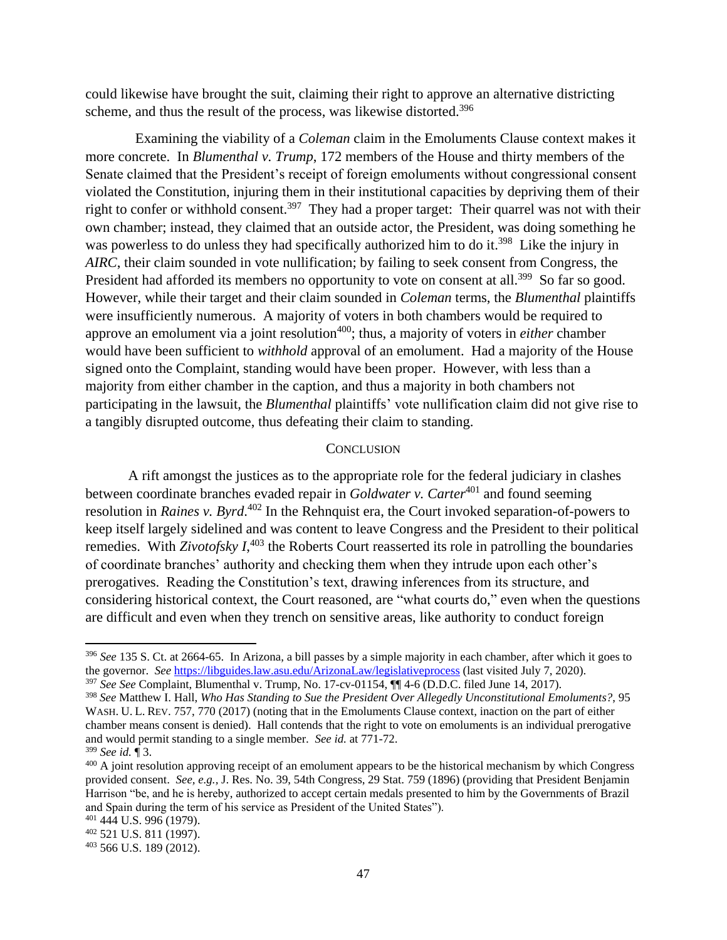could likewise have brought the suit, claiming their right to approve an alternative districting scheme, and thus the result of the process, was likewise distorted.<sup>396</sup>

 Examining the viability of a *Coleman* claim in the Emoluments Clause context makes it more concrete. In *Blumenthal v. Trump*, 172 members of the House and thirty members of the Senate claimed that the President's receipt of foreign emoluments without congressional consent violated the Constitution, injuring them in their institutional capacities by depriving them of their right to confer or withhold consent.<sup>397</sup> They had a proper target: Their quarrel was not with their own chamber; instead, they claimed that an outside actor, the President, was doing something he was powerless to do unless they had specifically authorized him to do it.<sup>398</sup> Like the injury in *AIRC*, their claim sounded in vote nullification; by failing to seek consent from Congress, the President had afforded its members no opportunity to vote on consent at all.<sup>399</sup> So far so good. However, while their target and their claim sounded in *Coleman* terms, the *Blumenthal* plaintiffs were insufficiently numerous. A majority of voters in both chambers would be required to approve an emolument via a joint resolution<sup>400</sup>; thus, a majority of voters in *either* chamber would have been sufficient to *withhold* approval of an emolument. Had a majority of the House signed onto the Complaint, standing would have been proper. However, with less than a majority from either chamber in the caption, and thus a majority in both chambers not participating in the lawsuit, the *Blumenthal* plaintiffs' vote nullification claim did not give rise to a tangibly disrupted outcome, thus defeating their claim to standing.

#### **CONCLUSION**

A rift amongst the justices as to the appropriate role for the federal judiciary in clashes between coordinate branches evaded repair in *Goldwater v. Carter*<sup>401</sup> and found seeming resolution in *Raines v. Byrd*. <sup>402</sup> In the Rehnquist era, the Court invoked separation-of-powers to keep itself largely sidelined and was content to leave Congress and the President to their political remedies. With *Zivotofsky I*<sup>403</sup>, the Roberts Court reasserted its role in patrolling the boundaries of coordinate branches' authority and checking them when they intrude upon each other's prerogatives. Reading the Constitution's text, drawing inferences from its structure, and considering historical context, the Court reasoned, are "what courts do," even when the questions are difficult and even when they trench on sensitive areas, like authority to conduct foreign

<sup>397</sup> *See See* Complaint, Blumenthal v. Trump, No. 17-cv-01154, ¶¶ 4-6 (D.D.C. filed June 14, 2017).

<sup>396</sup> *See* 135 S. Ct. at 2664-65. In Arizona, a bill passes by a simple majority in each chamber, after which it goes to the governor. *See* <https://libguides.law.asu.edu/ArizonaLaw/legislativeprocess> (last visited July 7, 2020).

<sup>398</sup> *See* Matthew I. Hall, *Who Has Standing to Sue the President Over Allegedly Unconstitutional Emoluments?*, 95 WASH. U. L. REV. 757, 770 (2017) (noting that in the Emoluments Clause context, inaction on the part of either chamber means consent is denied). Hall contends that the right to vote on emoluments is an individual prerogative and would permit standing to a single member. *See id.* at 771-72.

<sup>399</sup> *See id.* ¶ 3.

<sup>&</sup>lt;sup>400</sup> A joint resolution approving receipt of an emolument appears to be the historical mechanism by which Congress provided consent. *See, e.g.,* J. Res. No. 39, 54th Congress, 29 Stat. 759 (1896) (providing that President Benjamin Harrison "be, and he is hereby, authorized to accept certain medals presented to him by the Governments of Brazil and Spain during the term of his service as President of the United States").

<sup>401</sup> 444 U.S. 996 (1979).

<sup>402</sup> 521 U.S. 811 (1997).

<sup>403</sup> 566 U.S. 189 (2012).